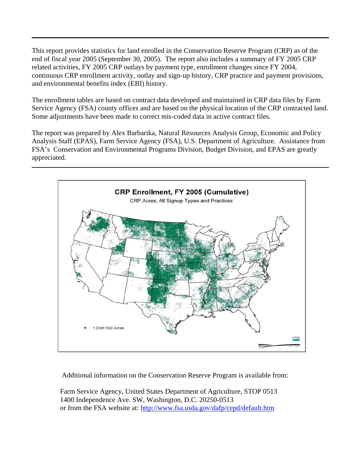This report provides statistics for land enrolled in the Conservation Reserve Program (CRP) as of the end of fiscal year 2005 (September 30, 2005). The report also includes a summary of FY 2005 CRP related activities, FY 2005 CRP outlays by payment type, enrollment changes since FY 2004, continuous CRP enrollment activity, outlay and sign-up history, CRP practice and payment provisions, and environmental benefits index (EBI) history.

The enrollment tables are based on contract data developed and maintained in CRP data files by Farm Service Agency (FSA) county offices and are based on the physical location of the CRP contracted land. Some adjustments have been made to correct mis-coded data in active contract files.

The report was prepared by Alex Barbarika, Natural Resources Analysis Group, Economic and Policy Analysis Staff (EPAS), Farm Service Agency (FSA), U.S. Department of Agriculture. Assistance from FSA's Conservation and Environmental Programs Division, Budget Division, and EPAS are greatly appreciated.



Additional information on the Conservation Reserve Program is available from:

 Farm Service Agency, United States Department of Agriculture, STOP 0513 1400 Independence Ave. SW, Washington, D.C. 20250-0513 or from the FSA website at: http://www.fsa.usda.gov/dafp/cepd/default.htm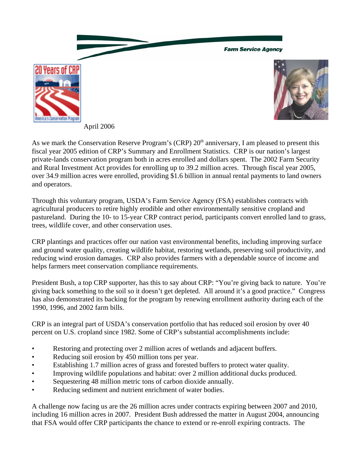





April 2006

As we mark the Conservation Reserve Program's (CRP) 20<sup>th</sup> anniversary, I am pleased to present this fiscal year 2005 edition of CRP's Summary and Enrollment Statistics. CRP is our nation's largest private-lands conservation program both in acres enrolled and dollars spent. The 2002 Farm Security and Rural Investment Act provides for enrolling up to 39.2 million acres. Through fiscal year 2005, over 34.9 million acres were enrolled, providing \$1.6 billion in annual rental payments to land owners and operators.

Through this voluntary program, USDA's Farm Service Agency (FSA) establishes contracts with agricultural producers to retire highly erodible and other environmentally sensitive cropland and pastureland. During the 10- to 15-year CRP contract period, participants convert enrolled land to grass, trees, wildlife cover, and other conservation uses.

CRP plantings and practices offer our nation vast environmental benefits, including improving surface and ground water quality, creating wildlife habitat, restoring wetlands, preserving soil productivity, and reducing wind erosion damages. CRP also provides farmers with a dependable source of income and helps farmers meet conservation compliance requirements.

President Bush, a top CRP supporter, has this to say about CRP: "You're giving back to nature. You're giving back something to the soil so it doesn't get depleted. All around it's a good practice." Congress has also demonstrated its backing for the program by renewing enrollment authority during each of the 1990, 1996, and 2002 farm bills.

CRP is an integral part of USDA's conservation portfolio that has reduced soil erosion by over 40 percent on U.S. cropland since 1982. Some of CRP's substantial accomplishments include:

- Restoring and protecting over 2 million acres of wetlands and adjacent buffers.
- Reducing soil erosion by 450 million tons per year.
- Establishing 1.7 million acres of grass and forested buffers to protect water quality.
- Improving wildlife populations and habitat: over 2 million additional ducks produced.
- Sequestering 48 million metric tons of carbon dioxide annually.
- Reducing sediment and nutrient enrichment of water bodies.

A challenge now facing us are the 26 million acres under contracts expiring between 2007 and 2010, including 16 million acres in 2007. President Bush addressed the matter in August 2004, announcing that FSA would offer CRP participants the chance to extend or re-enroll expiring contracts. The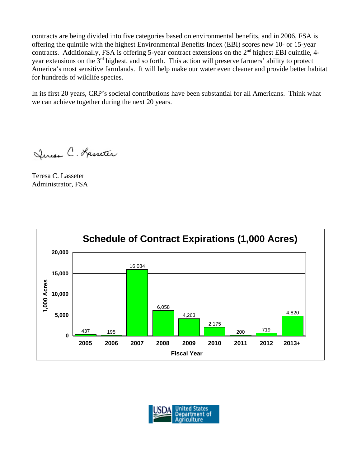contracts are being divided into five categories based on environmental benefits, and in 2006, FSA is offering the quintile with the highest Environmental Benefits Index (EBI) scores new 10- or 15-year contracts. Additionally, FSA is offering 5-year contract extensions on the  $2<sup>nd</sup>$  highest EBI quintile, 4year extensions on the 3rd highest, and so forth. This action will preserve farmers' ability to protect America's most sensitive farmlands. It will help make our water even cleaner and provide better habitat for hundreds of wildlife species.

In its first 20 years, CRP's societal contributions have been substantial for all Americans. Think what we can achieve together during the next 20 years.

Leresa C. Kasseter

Teresa C. Lasseter Administrator, FSA



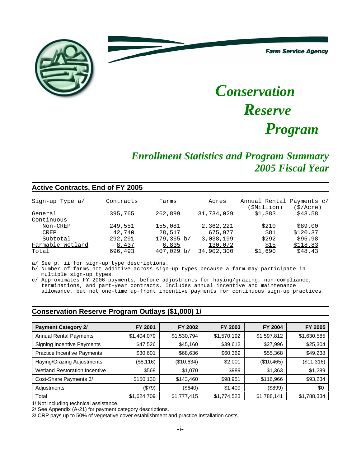**Farm Service Agency** 



# *Conservation Reserve Program*

# *Enrollment Statistics and Program Summary 2005 Fiscal Year*

#### **Active Contracts, End of FY 2005**

| Sign-up Type a/  | Contracts | Farms           | Acres      | Annual Rental | Payments c/ |
|------------------|-----------|-----------------|------------|---------------|-------------|
|                  |           |                 |            | SMillion)     | (\$/Acre)   |
| General          | 395,765   | 262,899         | 31,734,029 | \$1,383       | \$43.58     |
| Continuous       |           |                 |            |               |             |
| Non-CREP         | 249,551   | 155,081         | 2,362,221  | \$210         | \$89.00     |
| CREP             | 42,740    | 28,517          | 675,977    | \$81          | \$120.37    |
| Subtotal         | 292,291   | $179,365 \; b/$ | 3,038,199  | \$292         | \$95.98     |
| Farmable Wetland | 8,437     | 6,835           | 130,072    | \$15          | \$118.83    |
| Total            | 696,493   | 407,029 b/      | 34,902,300 | \$1,690       | \$48.43     |

a/ See p. ii for sign-up type descriptions.

b/ Number of farms not additive across sign-up types because a farm may participate in multiple sign-up types.

c/ Approximates FY 2006 payments, before adjustments for haying/grazing, non-compliance, terminations, and part-year contracts. Includes annual incentive and maintenance allowance, but not one-time up-front incentive payments for continuous sign-up practices.

#### **Conservation Reserve Program Outlays (\$1,000) 1/**

| <b>Payment Category 2/</b>           | FY 2001     | FY 2002     | FY 2003     | FY 2004     | FY 2005     |
|--------------------------------------|-------------|-------------|-------------|-------------|-------------|
| <b>Annual Rental Payments</b>        | \$1,404,079 | \$1,530,794 | \$1,570,192 | \$1,597,812 | \$1,630,585 |
| <b>Signing Incentive Payments</b>    | \$47,526    | \$45,160    | \$39,612    | \$27,996    | \$25,304    |
| <b>Practice Incentive Payments</b>   | \$30,601    | \$68,636    | \$60,369    | \$55,368    | \$49,238    |
| Haying/Grazing Adjustments           | (\$8,116)   | (\$10,634)  | \$2,001     | (\$10,465)  | (\$11,316)  |
| <b>Wetland Restoration Incentive</b> | \$568       | \$1,070     | \$989       | \$1,363     | \$1,289     |
| Cost-Share Payments 3/               | \$150,130   | \$143,460   | \$98,951    | \$116,966   | \$93,234    |
| Adjustments                          | (\$79)      | (\$640)     | \$1,409     | (\$899)     | \$0         |
| Total                                | \$1,624,709 | \$1,777,415 | \$1,774,523 | \$1,788,141 | \$1,788,334 |

1/ Not including technical assistance.

2/ See Appendix (A-21) for payment category descriptions.

3/ CRP pays up to 50% of vegetative cover establishment and practice installation costs.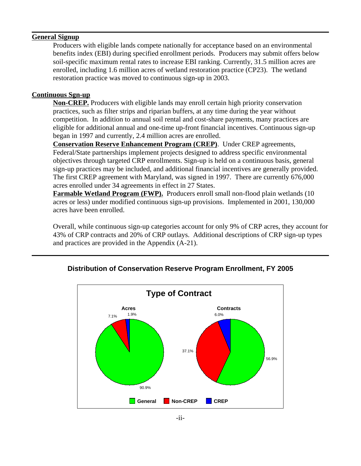#### **General Signup**

Producers with eligible lands compete nationally for acceptance based on an environmental benefits index (EBI) during specified enrollment periods. Producers may submit offers below soil-specific maximum rental rates to increase EBI ranking. Currently, 31.5 million acres are enrolled, including 1.6 million acres of wetland restoration practice (CP23). The wetland restoration practice was moved to continuous sign-up in 2003.

#### **Continuous Sgn-up**

**Non-CREP.** Producers with eligible lands may enroll certain high priority conservation practices, such as filter strips and riparian buffers, at any time during the year without competition. In addition to annual soil rental and cost-share payments, many practices are eligible for additional annual and one-time up-front financial incentives. Continuous sign-up began in 1997 and currently, 2.4 million acres are enrolled.

**Conservation Reserve Enhancement Program (CREP)**. Under CREP agreements, Federal/State partnerships implement projects designed to address specific environmental objectives through targeted CRP enrollments. Sign-up is held on a continuous basis, general sign-up practices may be included, and additional financial incentives are generally provided. The first CREP agreement with Maryland, was signed in 1997. There are currently 676,000 acres enrolled under 34 agreements in effect in 27 States.

**Farmable Wetland Program (FWP).** Producers enroll small non-flood plain wetlands (10 acres or less) under modified continuous sign-up provisions. Implemented in 2001, 130,000 acres have been enrolled.

Overall, while continuous sign-up categories account for only 9% of CRP acres, they account for 43% of CRP contracts and 20% of CRP outlays. Additional descriptions of CRP sign-up types and practices are provided in the Appendix (A-21).



### **Distribution of Conservation Reserve Program Enrollment, FY 2005**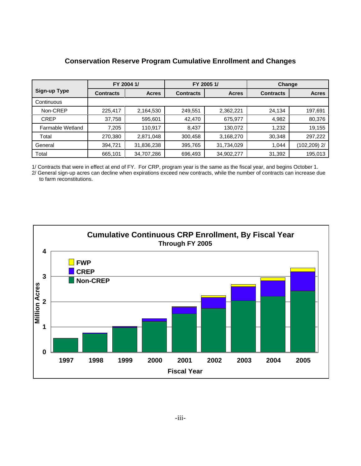|                     |                  | FY 2004 1/   |                  | FY 2005 1/   | Change           |                 |  |
|---------------------|------------------|--------------|------------------|--------------|------------------|-----------------|--|
| <b>Sign-up Type</b> | <b>Contracts</b> | <b>Acres</b> | <b>Contracts</b> | <b>Acres</b> | <b>Contracts</b> | <b>Acres</b>    |  |
| Continuous          |                  |              |                  |              |                  |                 |  |
| Non-CREP            | 225,417          | 2,164,530    | 249,551          | 2,362,221    | 24,134           | 197,691         |  |
| <b>CREP</b>         | 37,758           | 595,601      | 42,470           | 675,977      | 4,982            | 80,376          |  |
| Farmable Wetland    | 7,205            | 110,917      | 8,437            | 130,072      | 1,232            | 19,155          |  |
| Total               | 270,380          | 2,871,048    | 300,458          | 3,168,270    | 30,348           | 297,222         |  |
| General             | 394,721          | 31,836,238   | 395,765          | 31,734,029   | 1,044            | $(102, 209)$ 2/ |  |
| Total               | 665,101          | 34,707,286   | 696,493          | 34,902,277   | 31,392           | 195,013         |  |

#### **Conservation Reserve Program Cumulative Enrollment and Changes**

1/ Contracts that were in effect at end of FY. For CRP, program year is the same as the fiscal year, and begins October 1.

2/ General sign-up acres can decline when expirations exceed new contracts, while the number of contracts can increase due to farm reconstitutions.

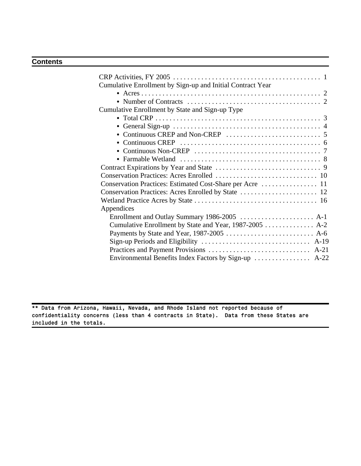#### **Contents**

| Cumulative Enrollment by Sign-up and Initial Contract Year |
|------------------------------------------------------------|
|                                                            |
|                                                            |
| Cumulative Enrollment by State and Sign-up Type            |
|                                                            |
|                                                            |
|                                                            |
|                                                            |
|                                                            |
|                                                            |
|                                                            |
|                                                            |
|                                                            |
|                                                            |
|                                                            |
| Appendices                                                 |
|                                                            |
| Cumulative Enrollment by State and Year, 1987-2005  A-2    |
|                                                            |
|                                                            |
|                                                            |
| Environmental Benefits Index Factors by Sign-up  A-22      |
|                                                            |

\*\* Data from Arizona, Hawaii, Nevada, and Rhode Island not reported because of confidentiality concerns (less than 4 contracts in State). Data from these States are included in the totals.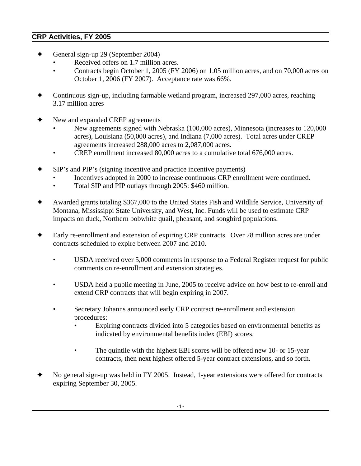### **CRP Activities, FY 2005**

- General sign-up 29 (September 2004)
	- Received offers on 1.7 million acres.
	- Contracts begin October 1, 2005 (FY 2006) on 1.05 million acres, and on 70,000 acres on October 1, 2006 (FY 2007). Acceptance rate was 66%.
- Continuous sign-up, including farmable wetland program, increased 297,000 acres, reaching 3.17 million acres
- New and expanded CREP agreements
	- New agreements signed with Nebraska (100,000 acres), Minnesota (increases to 120,000 acres), Louisiana (50,000 acres), and Indiana (7,000 acres). Total acres under CREP agreements increased 288,000 acres to 2,087,000 acres.
	- CREP enrollment increased 80,000 acres to a cumulative total 676,000 acres.
- SIP's and PIP's (signing incentive and practice incentive payments)
	- Incentives adopted in 2000 to increase continuous CRP enrollment were continued.
	- Total SIP and PIP outlays through 2005: \$460 million.
- g Awarded grants totaling \$367,000 to the United States Fish and Wildlife Service, University of Montana, Mississippi State University, and West, Inc. Funds will be used to estimate CRP impacts on duck, Northern bobwhite quail, pheasant, and songbird populations.
- Early re-enrollment and extension of expiring CRP contracts. Over 28 million acres are under contracts scheduled to expire between 2007 and 2010.
	- USDA received over 5,000 comments in response to a Federal Register request for public comments on re-enrollment and extension strategies.
	- USDA held a public meeting in June, 2005 to receive advice on how best to re-enroll and extend CRP contracts that will begin expiring in 2007.
	- Secretary Johanns announced early CRP contract re-enrollment and extension procedures:
		- Expiring contracts divided into 5 categories based on environmental benefits as indicated by environmental benefits index (EBI) scores.
		- The quintile with the highest EBI scores will be offered new 10- or 15-year contracts, then next highest offered 5-year contract extensions, and so forth.
- No general sign-up was held in FY 2005. Instead, 1-year extensions were offered for contracts expiring September 30, 2005.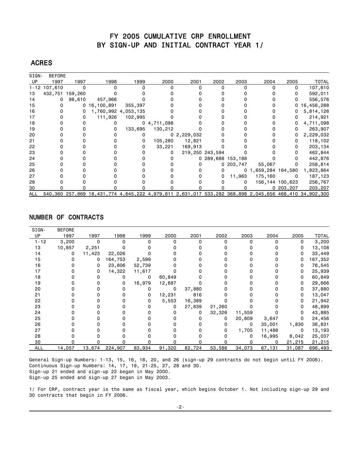#### FY 2005 CUMULATIVE CRP ENROLLMENT BY SIGN-UP AND INITIAL CONTRACT YEAR 1/

#### ACRES

| SIGN- | <b>BEFORE</b>   |        |                 |                     |                |                |                   |           |                     |                 |                                                                                                       |
|-------|-----------------|--------|-----------------|---------------------|----------------|----------------|-------------------|-----------|---------------------|-----------------|-------------------------------------------------------------------------------------------------------|
| UP    | 1997            | 1997   | 1998            | 1999                | 2000           | 2001           | 2002              | 2003      | 2004                | 2005            | <b>TOTAL</b>                                                                                          |
|       | 1-12 107,610    | 0      |                 |                     |                |                |                   |           |                     | 0               | 107,610                                                                                               |
| 13    | 432,751 159,260 |        |                 |                     |                |                |                   |           |                     |                 | 592,011                                                                                               |
| 14    |                 | 98,610 | 457,966         |                     |                |                |                   |           |                     |                 | 556,576                                                                                               |
| 15    |                 |        | 0, 16, 100, 891 | 355,397             |                |                |                   |           |                     | 0               | 16,456,288                                                                                            |
| 16    |                 | 0      |                 | 1,760,992 4,053,135 |                |                |                   |           |                     | 0               | 5,814,126                                                                                             |
| 17    |                 | 0      | 111,926         | 102,995             |                |                |                   |           |                     |                 | 214,921                                                                                               |
| 18    |                 |        |                 |                     | 0, 4, 711, 098 |                |                   |           |                     |                 | 4,711,098                                                                                             |
| 19    |                 |        | O               | 133,695             | 130,212        |                |                   |           |                     | 0               | 263,907                                                                                               |
| 20    |                 |        |                 |                     |                | 0, 2, 229, 032 |                   |           |                     | 0               | 2,229,032                                                                                             |
| 21    |                 |        |                 |                     | 105,280        | 12,821         |                   |           |                     | 0               | 118,102                                                                                               |
| 22    |                 |        |                 |                     | 33,221         | 169,913        |                   |           |                     |                 | 203,134                                                                                               |
| 23    |                 |        |                 |                     |                |                | 219,250 243,594   |           |                     |                 | 462,844                                                                                               |
| 24    |                 |        |                 |                     |                |                | 0 289,688 153,188 |           |                     |                 | 442,876                                                                                               |
| 25    |                 |        |                 |                     |                |                |                   | 0 203,747 | 55,067              | 0               | 258,814                                                                                               |
| 26    |                 |        |                 |                     |                |                |                   |           | 0 1,659,284 164,580 |                 | 1,823,864                                                                                             |
| 27    |                 |        |                 |                     |                |                |                   | 11,963    | 175,160             | 0               | 187,123                                                                                               |
| 28    |                 |        |                 |                     |                |                |                   |           |                     | 156,144 100,623 | 256,767                                                                                               |
| 30    |                 |        |                 |                     |                |                |                   |           |                     | 0203,207        | 203,207                                                                                               |
| ALL   |                 |        |                 |                     |                |                |                   |           |                     |                 | 540,360 257,869 18,431,774 4,645,222 4,979,811 2,631,017 533,282 368,898 2,045,656 468,410 34,902,300 |

#### NUMBER OF CONTRACTS

| SIGN-      | <b>BEFORE</b> |          |          |          |          |          |          |              |              |        |              |
|------------|---------------|----------|----------|----------|----------|----------|----------|--------------|--------------|--------|--------------|
| UP         | 1997          | 1997     | 1998     | 1999     | 2000     | 2001     | 2002     | 2003         | 2004         | 2005   | <b>TOTAL</b> |
| $1 - 12$   | 3,200         | $\Omega$ | $\Omega$ | $\Omega$ | $\Omega$ | $\Omega$ | $\Omega$ | <sup>0</sup> | <sup>0</sup> | 0      | 3,200        |
| 13         | 10,857        | 2,251    |          |          |          |          |          |              |              | 0      | 13,108       |
| 14         | 0             | 11,423   | 22,026   |          |          |          |          |              |              | 0      | 33,449       |
| 15         | 0             | 0        | 164,753  | 2,599    |          |          |          |              |              | 0      | 167,352      |
| 16         |               | 0        | 23,806   | 52,739   |          |          |          |              |              | 0      | 76,545       |
| 17         |               | 0        | 14,322   | 11,617   |          |          |          |              |              | 0      | 25,939       |
| 18         |               | 0        | 0        | 0        | 60,849   |          |          |              |              | 0      | 60,849       |
| 19         |               |          | 0        | 16,979   | 12,687   |          |          |              |              | 0      | 29,666       |
| 20         |               |          | 0        | 0        | 0        | 37,880   |          |              |              | 0      | 37,880       |
| 21         |               |          |          | 0        | 12,231   | 816      |          |              |              | 0      | 13,047       |
| 22         |               |          |          | 0        | 5,553    | 16,389   |          |              |              | 0      | 21,942       |
| 23         |               |          |          |          | 0        | 27,639   | 21,260   |              |              | 0      | 48,899       |
| 24         |               |          |          |          |          | 0        | 32,326   | 11,559       |              | 0      | 43,885       |
| 25         |               |          |          |          |          | 0        | 0        | 20,809       | 3,647        | 0      | 24,456       |
| 26         |               |          |          |          |          |          | 0        | 0            | 35,001       | 1,830  | 36,831       |
| 27         |               |          |          |          |          | 0        | 0        | 1,705        | 11,488       | 0      | 13,193       |
| 28         |               |          |          |          |          |          | 0        | 0            | 16,995       | 8,042  | 25,037       |
| 30         |               |          |          |          |          | O        | n        |              | 0            | 21,215 | 21,215       |
| <b>ALL</b> | 14,057        | 13,674   | 224,907  | 83,934   | 91,320   | 82,724   | 53,586   | 34,073       | 67,131       | 31,087 | 696,493      |

General Sign-up Numbers: 1-13, 15, 16, 18, 20, and 26 (sign-up 29 contracts do not begin until FY 2006). Continuous Sign-up Numbers: 14, 17, 19, 21-25, 27, 28 and 30. Sign-up 21 ended and sign-up 22 began in May 2000. Sign-up 25 ended and sign-up 27 began in May 2003.

1/ For CRP, contract year is the same as fiscal year, which begins October 1. Not including sign-up 29 and 30 contracts that begin in FY 2006.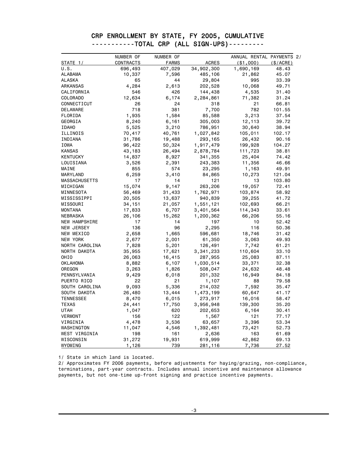|  |  | CRP ENROLLMENT BY STATE, FY 2005, CUMULATIVE |
|--|--|----------------------------------------------|
|  |  | -----------TOTAL CRP (ALL SIGN-UPS)--------- |
|  |  |                                              |

|                  | NUMBER OF | NUMBER OF    |              | ANNUAL RENTAL PAYMENTS 2/ |          |
|------------------|-----------|--------------|--------------|---------------------------|----------|
| STATE 1/         | CONTRACTS | <b>FARMS</b> | <b>ACRES</b> | $($ \$1,000)              | (S/ACRE) |
| u.s.             | 696,493   | 407,029      | 34,902,300   | 1,690,169                 | 48.43    |
| ALABAMA          | 10,337    | 7,596        | 485,106      | 21,862                    | 45.07    |
| ALASKA           | 65        | 44           | 29,804       | 995                       | 33.39    |
| ARKANSAS         | 4,284     | 2,613        | 202,528      | 10,068                    | 49.71    |
| CALIFORNIA       | 546       | 426          | 144,438      | 4,535                     | 31.40    |
| <b>COLORADO</b>  | 12,634    | 6,174        | 2,284,861    | 71,382                    | 31.24    |
| CONNECTICUT      | 26        | 24           | 318          | 21                        | 66.81    |
| DELAWARE         | 718       | 381          | 7,700        | 782                       | 101.55   |
| FLORIDA          | 1,935     | 1,584        | 85,588       | 3,213                     | 37.54    |
| GEORGIA          | 8,240     | 6,161        | 305,003      | 12,113                    | 39.72    |
| <b>IDAHO</b>     | 5,525     | 3,210        | 786,951      | 30,640                    | 38.94    |
| ILLINOIS         | 70,417    | 40,761       | 1,027,842    | 105,011                   | 102.17   |
| INDIANA          | 31,786    | 19,488       | 293,165      | 26,432                    | 90.16    |
| IOWA             | 96,422    | 50,324       | 1,917,479    | 199,928                   | 104.27   |
| <b>KANSAS</b>    | 43,183    | 26,494       | 2,878,784    | 111,723                   | 38.81    |
| <b>KENTUCKY</b>  | 14,837    | 8,927        | 341,355      | 25,404                    | 74.42    |
| LOUISIANA        | 3,526     | 2,391        | 243,383      | 11,356                    | 46.66    |
| MAINE            | 855       | 574          | 23,295       | 1,163                     | 49.91    |
| MARYLAND         | 6,259     | 3,410        | 84,865       | 10,273                    | 121.04   |
| MASSACHUSETTS    | 17        | 14           | 121          | 13                        | 103.80   |
| MICHIGAN         | 15,074    | 9,147        | 263,206      | 19,057                    | 72.41    |
| MINNESOTA        | 56,469    | 31,433       | 1,762,971    | 103,874                   | 58.92    |
| MISSISSIPPI      | 20,505    | 13,637       | 940,839      | 39,255                    | 41.72    |
| MISSOURI         | 34,151    | 21,057       | 1,551,121    | 102,693                   | 66.21    |
| <b>MONTANA</b>   | 17,833    | 6,707        | 3,401,564    | 114,343                   | 33.61    |
| NEBRASKA         | 26,106    | 15,262       | 1,200,362    | 66,206                    | 55.16    |
| NEW HAMPSHIRE    | 17        | 14           | 197          | 10                        | 52.42    |
| NEW JERSEY       | 136       | 96           | 2,295        | 116                       | 50.36    |
| NEW MEXICO       | 2,658     | 1,665        | 596,681      | 18,746                    | 31.42    |
| NEW YORK         | 2,677     | 2,001        | 61,350       | 3,063                     | 49.93    |
| NORTH CAROLINA   | 7,828     | 5,201        | 126,491      | 7,742                     | 61.21    |
| NORTH DAKOTA     | 35,955    | 17,621       | 3,341,233    | 110,604                   | 33.10    |
| OHIO             | 26,063    | 16,415       | 287,955      | 25,083                    | 87.11    |
| <b>OKLAHOMA</b>  | 8,882     | 6,107        | 1,030,514    | 33,371                    | 32.38    |
| OREGON           | 3,263     | 1,826        | 508,047      | 24,632                    | 48.48    |
| PENNSYLVANIA     | 9,429     | 6,018        | 201,332      | 16,949                    | 84.18    |
| PUERTO RICO      | 22        | 21           | 1,107        | 88                        | 79.58    |
| SOUTH CAROLINA   | 9,093     | 5,336        | 214,032      | 7,592                     | 35.47    |
| SOUTH DAKOTA     | 26,480    | 13,444       | 1,473,199    | 60,647                    | 41.17    |
| <b>TENNESSEE</b> | 8,470     | 6,015        | 273,917      | 16,016                    | 58.47    |
| TEXAS            | 24,441    | 17,750       | 3,956,948    | 139,300                   | 35.20    |
| UTAH             | 1,047     | 620          | 202,653      | 6,164                     | 30.41    |
| <b>VERMONT</b>   | 156       | 122          | 1,567        | 121                       | 77.17    |
| VIRGINIA         | 4,478     | 3,536        | 63,657       | 3,396                     | 53.34    |
| WASHINGTON       | 11,047    | 4,546        | 1,392,481    | 73,421                    | 52.73    |
| WEST VIRGINIA    | 198       | 161          | 2,636        | 163                       | 61.69    |
| WISCONSIN        | 31,272    | 19,931       | 619,999      | 42,862                    | 69.13    |
| WYOMING          | 1,126     | 739          | 281,116      | 7,736                     | 27.52    |

1/ State in which land is located.

2/ Approximates FY 2006 payments, before adjustments for haying/grazing, non-compliance, terminations, part-year contracts. Includes annual incentive and maintenance allowance payments, but not one-time up-front signing and practice incentive payments.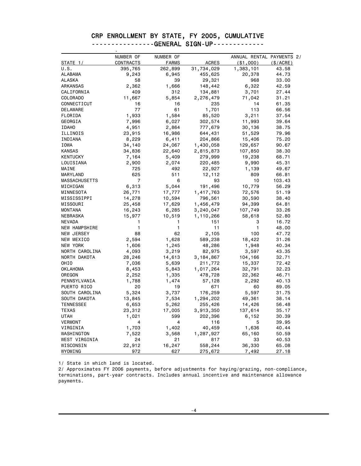### CRP ENROLLMENT BY STATE, FY 2005, CUMULATIVE ---------------GENERAL SIGN-UP--------------<br>-

|                      | NUMBER OF        | NUMBER OF    |              | ANNUAL RENTAL PAYMENTS 2/ |          |
|----------------------|------------------|--------------|--------------|---------------------------|----------|
| STATE 1/             | <b>CONTRACTS</b> | <b>FARMS</b> | <b>ACRES</b> | ( \$1,000)                | (S/ACRE) |
| U.S.                 | 395,765          | 262,899      | 31,734,029   | 1,383,101                 | 43.58    |
| ALABAMA              | 9,243            | 6,945        | 455,625      | 20,378                    | 44.73    |
| ALASKA               | 58               | 39           | 29,321       | 968                       | 33.00    |
| ARKANSAS             | 2,362            | 1,666        | 148,442      | 6,322                     | 42.59    |
| CALIFORNIA           | 409              | 312          | 134,881      | 3,701                     | 27.44    |
| COLORADO             | 11,667           | 5,854        | 2,276,479    | 71,042                    | 31.21    |
| CONNECTICUT          | 16               | 16           | 235          | 14                        | 61.35    |
| DELAWARE             | 77               | 61           | 1,701        | 113                       | 66.56    |
| FLORIDA              | 1,933            | 1,584        | 85,520       | 3,211                     | 37.54    |
| GEORGIA              | 7,996            | 6,027        | 302,574      | 11,993                    | 39.64    |
| <b>IDAHO</b>         | 4,951            | 2,864        | 777,679      | 30,136                    | 38.75    |
| ILLINOIS             | 23,915           | 16,986       | 644,431      | 51,529                    | 79.96    |
| INDIANA              | 8,229            | 6,411        | 204,866      | 15,406                    | 75.20    |
| IOWA                 | 34,140           | 24,067       | 1,430,058    | 129,657                   | 90.67    |
| <b>KANSAS</b>        | 34,836           | 22,640       | 2,815,873    | 107,850                   | 38.30    |
| KENTUCKY             | 7,164            | 5,409        | 279,999      | 19,238                    | 68.71    |
| LOUISIANA            | 2,900            | 2,074        | 220,485      | 9,990                     | 45.31    |
| MAINE                | 725              | 492          | 22,927       | 1,139                     | 49.67    |
| MARYLAND             | 625              | 511          | 12,112       | 809                       | 66.81    |
| <b>MASSACHUSETTS</b> | $\overline{7}$   | 6            | 93           | 10                        | 103.43   |
| MICHIGAN             | 6,313            | 5,044        | 191,496      | 10,779                    | 56.29    |
| MINNESOTA            | 26,771           | 17,777       | 1,417,763    | 72,576                    | 51.19    |
| MISSISSIPPI          | 14,278           | 10,594       | 796,561      | 30,590                    | 38.40    |
| MISSOURI             | 25,458           | 17,629       | 1,456,479    | 94,399                    | 64.81    |
| <b>MONTANA</b>       | 16,243           | 6,285        | 3,240,047    | 107,749                   | 33.26    |
| NEBRASKA             | 15,977           | 10,519       | 1,110,266    | 58,618                    | 52.80    |
| NEVADA               | 1                | 1            | 151          | 3                         | 16.72    |
| NEW HAMPSHIRE        | 1                | 1            | 11           | 1                         | 48.00    |
| NEW JERSEY           | 88               | 62           | 2,105        | 100                       | 47.72    |
| NEW MEXICO           | 2,594            | 1,628        | 589,238      | 18,422                    | 31.26    |
| NEW YORK             | 1,606            | 1,245        | 48,286       | 1,948                     | 40.34    |
| NORTH CAROLINA       | 4,093            | 3,219        | 82,975       | 3,597                     | 43.35    |
| NORTH DAKOTA         | 28,246           | 14,613       | 3,184,867    | 104,166                   | 32.71    |
| OHIO                 | 7,036            | 5,639        | 211,772      | 15,337                    | 72.42    |
| OKLAHOMA             | 8,453            | 5,843        | 1,017,264    | 32,791                    | 32.23    |
| OREGON               | 2,252            | 1,335        | 478,728      | 22,362                    | 46.71    |
| PENNSYLVANIA         | 1,788            | 1,474        | 57,128       | 2,292                     | 40.13    |
| PUERTO RICO          | 20               | 19           | 671          | 60                        | 89.05    |
| SOUTH CAROLINA       | 5,324            | 3,737        | 176,259      | 5,597                     | 31.75    |
| SOUTH DAKOTA         | 13,845           | 7,534        | 1,294,202    | 49,361                    | 38.14    |
| <b>TENNESSEE</b>     | 6,653            | 5,262        | 255,426      | 14,426                    | 56.48    |
| <b>TEXAS</b>         | 23,312           | 17,005       | 3,913,350    | 137,614                   | 35.17    |
| <b>UTAH</b>          | 1,021            | 599          | 202,396      | 6,152                     | 30.39    |
| <b>VERMONT</b>       | 4                | 4            | 116          | 5                         | 39.95    |
| VIRGINIA             | 1,703            | 1,402        | 40,459       | 1,636                     | 40.44    |
| WASHINGTON           | 7,522            | 3,568        | 1,287,927    | 65,160                    | 50.59    |
| WEST VIRGINIA        | 24               | 21           | 817          | 33                        | 40.53    |
| WISCONSIN            | 22,912           | 16,247       | 558,244      | 36,330                    | 65.08    |
| WYOMING              | 972              | 627          | 275,672      | 7,492                     | 27.18    |

1/ State in which land is located.

2/ Approximates FY 2006 payments, before adjustments for haying/grazing, non-compliance, terminations, part-year contracts. Includes annual incentive and maintenance allowance payments.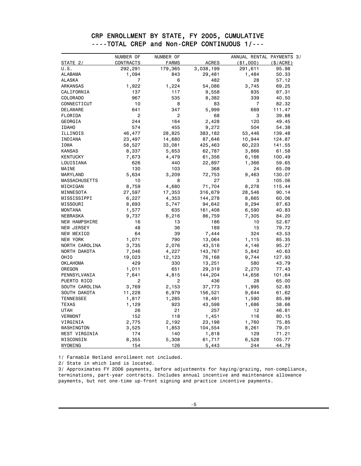|  | CRP ENROLLMENT BY STATE, FY 2005, CUMULATIVE |
|--|----------------------------------------------|
|  | ----TOTAL CREP and Non-CREP CONTINUOUS 1/--- |
|  |                                              |

|                      | NUMBER OF      | NUMBER OF    |              | ANNUAL RENTAL PAYMENTS 3/ |           |
|----------------------|----------------|--------------|--------------|---------------------------|-----------|
| STATE 2/             | CONTRACTS      | <b>FARMS</b> | <b>ACRES</b> | ( \$1,000)                | (\$/ACRE) |
| U.S.                 | 292,291        | 179,365      | 3,038,199    | 291,611                   | 95.98     |
| ALABAMA              | 1,094          | 843          | 29,481       | 1,484                     | 50.33     |
| ALASKA               | $\overline{7}$ | 6            | 482          | 28                        | 57.12     |
| ARKANSAS             | 1,922          | 1,224        | 54,086       | 3,745                     | 69.25     |
| CALIFORNIA           | 137            | 117          | 9,558        | 835                       | 87.31     |
| COLORADO             | 967            | 535          | 8,382        | 339                       | 40.50     |
| CONNECTICUT          | 10             | 8            | 83           | $\overline{7}$            | 82.32     |
| DELAWARE             | 641            | 347          | 5,999        | 669                       | 111.47    |
| FLORIDA              | 2              | 2            | 68           | 3                         | 39.88     |
| GEORGIA              | 244            | 164          | 2,428        | 120                       | 49.45     |
| <b>IDAHO</b>         | 574            | 455          | 9,272        | 504                       | 54.38     |
| ILLINOIS             | 46,477         | 28,825       | 383,182      | 53,446                    | 139.48    |
| INDIANA              | 23,497         | 14,680       | 87,646       | 10,944                    | 124.87    |
| IOWA                 | 58,527         | 33,081       | 425,463      | 60,223                    | 141.55    |
| <b>KANSAS</b>        | 8,337          | 5,653        | 62,787       | 3,866                     | 61.58     |
| <b>KENTUCKY</b>      | 7,673          | 4,479        | 61,356       | 6,166                     | 100.49    |
| LOUISIANA            | 626            | 440          | 22,897       | 1,366                     | 59.65     |
| MAINE                | 130            | 103          | 368          | 24                        | 65.09     |
| MARYLAND             | 5,634          | 3,209        | 72,753       | 9,463                     | 130.07    |
| <b>MASSACHUSETTS</b> | 10             | 8            | 27           | 3                         | 105.06    |
| MICHIGAN             | 8,759          | 4,680        | 71,704       | 8,278                     | 115.44    |
| MINNESOTA            | 27,597         | 17,353       | 316,679      | 28,546                    | 90.14     |
| MISSISSIPPI          | 6,227          | 4,353        | 144,278      | 8,665                     | 60.06     |
| MISSOURI             | 8,693          | 5,747        | 94,642       | 8,294                     | 87.63     |
| <b>MONTANA</b>       | 1,577          | 635          | 161,408      | 6,590                     | 40.83     |
| NEBRASKA             | 9,737          | 6,216        | 86,759       | 7,305                     | 84.20     |
| NEW HAMPSHIRE        | 16             | 13           | 186          | 10                        | 52.67     |
| NEW JERSEY           | 48             | 36           | 189          | 15                        | 79.72     |
| NEW MEXICO           | 64             | 39           | 7,444        | 324                       | 43.53     |
| NEW YORK             | 1,071          | 790          | 13,064       | 1,115                     | 85.35     |
| NORTH CAROLINA       | 3,735          | 2,076        | 43,516       | 4,146                     | 95.27     |
| NORTH DAKOTA         | 7,046          | 4,227        | 143,767      | 5,842                     | 40.63     |
| OHIO                 | 19,023         | 12,123       | 76,168       | 9,744                     | 127.93    |
| <b>OKLAHOMA</b>      | 429            | 330          | 13,251       | 580                       | 43.79     |
| OREGON               | 1,011          | 651          | 29,319       | 2,270                     | 77.43     |
| PENNSYLVANIA         | 7,641          | 4,815        | 144,204      | 14,656                    | 101.64    |
| PUERTO RICO          | $\overline{c}$ | 2            | 436          | 28                        | 65.00     |
| SOUTH CAROLINA       | 3,769          | 2,153        | 37,773       | 1,995                     | 52.83     |
| SOUTH DAKOTA         | 11,228         | 6,979        | 156,521      | 9,644                     | 61.62     |
| <b>TENNESSEE</b>     | 1,817          | 1,285        | 18,491       | 1,590                     | 85.99     |
| <b>TEXAS</b>         | 1,129          | 923          | 43,598       | 1,686                     | 38.66     |
| <b>UTAH</b>          | 26             | 21           | 257          | 12                        | 46.81     |
| <b>VERMONT</b>       | 152            | 118          | 1,451        | 116                       | 80.15     |
| VIRGINIA             | 2,775          | 2,192        | 23,198       | 1,760                     | 75.85     |
| WASHINGTON           | 3,525          | 1,853        | 104,554      | 8,261                     | 79.01     |
| WEST VIRGINIA        | 174            | 140          | 1,818        | 129                       | 71.21     |
| WISCONSIN            | 8,355          | 5,308        | 61,717       | 6,528                     | 105.77    |
| WYOMING              | 154            | 126          | 5,443        | 244                       | 44.79     |

1/ Farmable Wetland enrollment not included.

2/ State in which land is located.

3/ Approximates FY 2006 payments, before adjustments for haying/grazing, non-compliance, terminations, part-year contracts. Includes annual incentive and maintenance allowance payments, but not one-time up-front signing and practice incentive payments.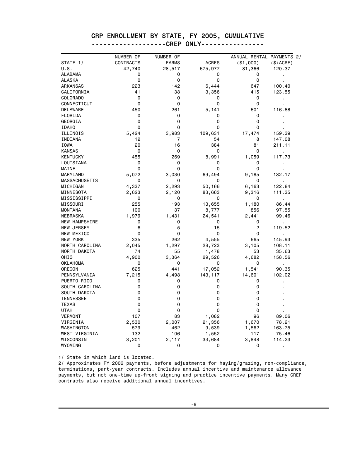# CRP ENROLLMENT BY STATE, FY 2005, CUMULATIVE

| <u> --------------------LHCM</u> | . |  |
|----------------------------------|---|--|
|                                  |   |  |
|                                  |   |  |

|                      | NUMBER OF   | NUMBER OF      |              | ANNUAL RENTAL PAYMENTS 2/ |                |
|----------------------|-------------|----------------|--------------|---------------------------|----------------|
| STATE 1/             | CONTRACTS   | <b>FARMS</b>   | <b>ACRES</b> | ( \$1,000)                | (S/ACRE)       |
| U.S.                 | 42,740      | 28,517         | 675,977      | 81,366                    | 120.37         |
| ALABAMA              | 0           | 0              | 0            | 0                         |                |
| ALASKA               | $\mathbf 0$ | $\mathbf 0$    | 0            | 0                         |                |
| ARKANSAS             | 223         | 142            | 6,444        | 647                       | 100.40         |
| CALIFORNIA           | 41          | 38             | 3,356        | 415                       | 123.55         |
| COLORADO             | 0           | 0              | 0            | 0                         | $\blacksquare$ |
| CONNECTICUT          | 0           | 0              | 0            | 0                         |                |
| DELAWARE             | 450         | 261            | 5,141        | 601                       | 116.88         |
| FLORIDA              | 0           | 0              | 0            | 0                         |                |
| GEORGIA              | 0           | 0              | 0            | 0                         |                |
| <b>IDAHO</b>         | $\mathbf 0$ | 0              | 0            | 0                         |                |
| ILLINOIS             | 5,424       | 3,983          | 109,631      | 17,474                    | 159.39         |
| INDIANA              | 12          | $\overline{7}$ | 54           | 8                         | 147.08         |
| IOWA                 | 20          | 16             | 384          | 81                        | 211.11         |
| <b>KANSAS</b>        | 0           | 0              | 0            | 0                         | $\mathbf{r}$   |
| <b>KENTUCKY</b>      | 455         | 269            | 8,991        | 1,059                     | 117.73         |
| LOUISIANA            | 0           | 0              | 0            | 0                         |                |
| MAINE                | 0           | 0              | 0            | 0                         |                |
| MARYLAND             | 5,072       | 3,030          | 69,494       | 9,185                     | 132.17         |
| <b>MASSACHUSETTS</b> | 0           | 0              | 0            | 0                         |                |
| MICHIGAN             | 4,337       | 2,293          | 50,166       | 6,163                     | 122.84         |
| MINNESOTA            | 2,623       | 2,120          | 83,663       | 9,316                     | 111.35         |
| MISSISSIPPI          | 0           | 0              | 0            | 0                         | $\blacksquare$ |
| MISSOURI             | 255         | 193            | 13,655       | 1,180                     | 86.44          |
| <b>MONTANA</b>       | 100         | 37             | 8,777        | 856                       | 97.55          |
| NEBRASKA             | 1,979       | 1,431          | 24,541       | 2,441                     | 99.46          |
| NEW HAMPSHIRE        | 0           | 0              | 0            | 0                         | ×,             |
| <b>NEW JERSEY</b>    | 6           | 5              | 15           | $\overline{c}$            | 119.52         |
| NEW MEXICO           | 0           | 0              | 0            | 0                         | $\blacksquare$ |
| NEW YORK             | 335         | 262            | 4,555        | 665                       | 145.93         |
| NORTH CAROLINA       | 2,045       | 1,297          | 28,723       | 3,105                     | 108.11         |
| NORTH DAKOTA         | 74          | 55             | 1,478        | 53                        | 35.63          |
| OHIO                 | 4,900       | 3,364          | 29,526       | 4,682                     | 158.56         |
| <b>OKLAHOMA</b>      | 0           | 0              | 0            | 0                         |                |
| OREGON               | 625         | 441            | 17,052       | 1,541                     | 90.35          |
| PENNSYLVANIA         | 7,215       | 4,498          | 143,117      | 14,601                    | 102.02         |
| PUERTO RICO          | 0           | 0              | 0            | 0                         |                |
| SOUTH CAROLINA       | $\mathbf 0$ | 0              | 0            | 0                         |                |
| SOUTH DAKOTA         | $\mathbf 0$ | 0              | 0            | 0                         |                |
| <b>TENNESSEE</b>     | 0           | 0              | 0            | 0                         |                |
| <b>TEXAS</b>         | 0           | 0              | 0            | 0                         |                |
| <b>UTAH</b>          | $\mathbf 0$ | 0              | 0            | 0                         |                |
| <b>VERMONT</b>       | 107         | 83             | 1,082        | 96                        | 89.06          |
| VIRGINIA             | 2,530       | 2,007          | 21,356       | 1,670                     | 78.21          |
| WASHINGTON           | 579         | 462            | 9,539        | 1,562                     | 163.75         |
| WEST VIRGINIA        | 132         | 106            | 1,552        | 117                       | 75.46          |
| WISCONSIN            | 3,201       | 2,117          | 33,684       | 3,848                     | 114.23         |
| WYOMING              | 0           | 0              | 0            | 0                         |                |

1/ State in which land is located.

2/ Approximates FY 2006 payments, before adjustments for haying/grazing, non-compliance, terminations, part-year contracts. Includes annual incentive and maintenance allowance payments, but not one-time up-front signing and practice incentive payments. Many CREP contracts also receive additional annual incentives.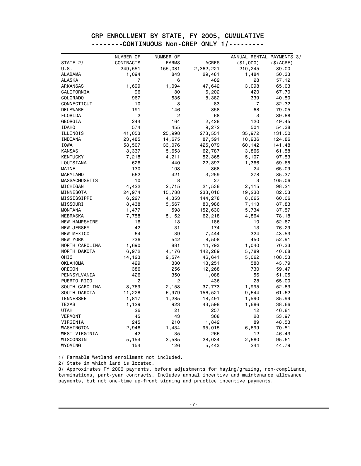| CRP ENROLLMENT BY STATE, FY 2005, CUMULATIVE |  |
|----------------------------------------------|--|
| --------CONTINUOUS Non-CREP ONLY 1/--------- |  |
|                                              |  |

|                      | NUMBER OF      | NUMBER OF      |              | ANNUAL RENTAL PAYMENTS 3/ |          |
|----------------------|----------------|----------------|--------------|---------------------------|----------|
| STATE 2/             | CONTRACTS      | <b>FARMS</b>   | <b>ACRES</b> | $($ \$1,000 $)$           | (S/ACRE) |
| U.S.                 | 249,551        | 155,081        | 2,362,221    | 210,245                   | 89.00    |
| ALABAMA              | 1,094          | 843            | 29,481       | 1,484                     | 50.33    |
| <b>ALASKA</b>        | $\overline{7}$ | 6              | 482          | 28                        | 57.12    |
| ARKANSAS             | 1,699          | 1,094          | 47,642       | 3,098                     | 65.03    |
| CALIFORNIA           | 96             | 80             | 6,202        | 420                       | 67.70    |
| COLORADO             | 967            | 535            | 8,382        | 339                       | 40.50    |
| CONNECTICUT          | 10             | 8              | 83           | $\overline{7}$            | 82.32    |
| DELAWARE             | 191            | 146            | 858          | 68                        | 79.05    |
| FLORIDA              | $\overline{2}$ | $\overline{2}$ | 68           | 3                         | 39.88    |
| GEORGIA              | 244            | 164            | 2,428        | 120                       | 49.45    |
| <b>IDAHO</b>         | 574            | 455            | 9,272        | 504                       | 54.38    |
| ILLINOIS             | 41,053         | 25,998         | 273,551      | 35,972                    | 131.50   |
| INDIANA              | 23,485         | 14,675         | 87,591       | 10,936                    | 124.86   |
| IOWA                 | 58,507         | 33,076         | 425,079      | 60,142                    | 141.48   |
| <b>KANSAS</b>        | 8,337          | 5,653          | 62,787       | 3,866                     | 61.58    |
| <b>KENTUCKY</b>      | 7,218          | 4,211          | 52,365       | 5,107                     | 97.53    |
| LOUISIANA            | 626            | 440            | 22,897       | 1,366                     | 59.65    |
| MAINE                | 130            | 103            | 368          | 24                        | 65.09    |
| MARYLAND             | 562            | 421            | 3,259        | 278                       | 85.37    |
| <b>MASSACHUSETTS</b> | 10             | 8              | 27           | 3                         | 105.06   |
| MICHIGAN             | 4,422          | 2,715          | 21,538       | 2,115                     | 98.21    |
| MINNESOTA            | 24,974         | 15,788         | 233,016      | 19,230                    | 82.53    |
| MISSISSIPPI          | 6,227          | 4,353          | 144,278      | 8,665                     | 60.06    |
| MISSOURI             | 8,438          | 5,567          | 80,986       | 7,113                     | 87.83    |
| <b>MONTANA</b>       | 1,477          | 598            | 152,630      | 5,734                     | 37.57    |
| NEBRASKA             | 7,758          | 5,152          | 62,218       | 4,864                     | 78.18    |
| NEW HAMPSHIRE        | 16             | 13             | 186          | 10                        | 52.67    |
| NEW JERSEY           | 42             | 31             | 174          | 13                        | 76.29    |
| NEW MEXICO           | 64             | 39             | 7,444        | 324                       | 43.53    |
| NEW YORK             | 736            | 542            | 8,508        | 450                       | 52.91    |
| NORTH CAROLINA       | 1,690          | 881            | 14,793       | 1,040                     | 70.33    |
| NORTH DAKOTA         | 6,972          | 4,176          | 142,289      | 5,789                     | 40.68    |
| OHIO                 | 14,123         | 9,574          | 46,641       | 5,062                     | 108.53   |
| <b>OKLAHOMA</b>      | 429            | 330            | 13,251       | 580                       | 43.79    |
| OREGON               | 386            | 256            | 12,268       | 730                       | 59.47    |
| PENNSYLVANIA         | 426            | 350            | 1,088        | 56                        | 51.05    |
| PUERTO RICO          | $\overline{c}$ | $\overline{2}$ | 436          | 28                        | 65.00    |
| SOUTH CAROLINA       | 3,769          | 2,153          | 37,773       | 1,995                     | 52.83    |
| SOUTH DAKOTA         | 11,228         | 6,979          | 156,521      | 9,644                     | 61.62    |
| <b>TENNESSEE</b>     | 1,817          | 1,285          | 18,491       | 1,590                     | 85.99    |
| <b>TEXAS</b>         | 1,129          | 923            | 43,598       | 1,686                     | 38.66    |
| <b>UTAH</b>          | 26             | 21             | 257          | 12                        | 46.81    |
| <b>VERMONT</b>       | 45             | 43             | 368          | 20                        | 53.97    |
| VIRGINIA             | 245            | 210            | 1,842        | 89                        | 48.53    |
| WASHINGTON           | 2,946          | 1,434          | 95,015       | 6,699                     | 70.51    |
| WEST VIRGINIA        | 42             | 35             | 266          | 12                        | 46.43    |
| WISCONSIN            | 5,154          | 3,585          | 28,034       | 2,680                     | 95.61    |
| WYOMING              | 154            | 126            | 5,443        | 244                       | 44.79    |

1/ Farmable Wetland enrollment not included.

2/ State in which land is located.

3/ Approximates FY 2006 payments, before adjustments for haying/grazing, non-compliance, terminations, part-year contracts. Includes annual incentive and maintenance allowance payments, but not one-time up-front signing and practice incentive payments.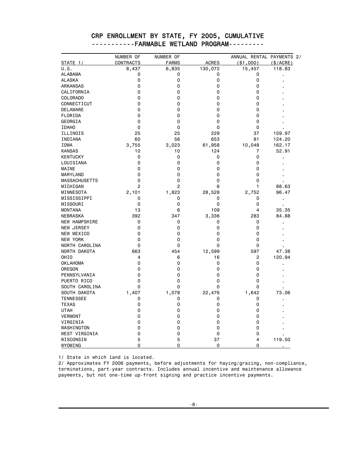|                      | NUMBER OF        | NUMBER OF    |              | ANNUAL RENTAL PAYMENTS 2/ |           |
|----------------------|------------------|--------------|--------------|---------------------------|-----------|
| STATE 1/             | <b>CONTRACTS</b> | <b>FARMS</b> | <b>ACRES</b> | ( \$1,000)                | (\$/ACRE) |
| U.S.                 | 8,437            | 6,835        | 130,072      | 15,457                    | 118.83    |
| <b>ALABAMA</b>       | 0                | 0            | 0            | 0                         |           |
| <b>ALASKA</b>        | 0                | 0            | 0            | 0                         |           |
| ARKANSAS             | 0                | 0            | 0            | 0                         |           |
| CALIFORNIA           | 0                | 0            | 0            | 0                         |           |
| <b>COLORADO</b>      | 0                | 0            | 0            | 0                         |           |
| CONNECTICUT          | 0                | 0            | 0            | 0                         |           |
| DELAWARE             | 0                | 0            | 0            | 0                         |           |
| FLORIDA              | 0                | 0            | 0            | 0                         |           |
| GEORGIA              | 0                | 0            | 0            | 0                         |           |
| <b>IDAHO</b>         | 0                | 0            | 0            | 0                         |           |
| ILLINOIS             | 25               | 25           | 229          | 37                        | 159.97    |
| INDIANA              | 60               | 56           | 653          | 81                        | 124.20    |
| IOWA                 | 3,755            | 3,023        | 61,958       | 10,048                    | 162.17    |
| <b>KANSAS</b>        | 10               | 10           | 124          | 7                         | 52.91     |
| <b>KENTUCKY</b>      | 0                | 0            | 0            | 0                         |           |
| LOUISIANA            | 0                | 0            | 0            | 0                         |           |
| MAINE                | 0                | 0            | 0            | 0                         |           |
| MARYLAND             | 0                | 0            | 0            | 0                         |           |
| <b>MASSACHUSETTS</b> | 0                | 0            | 0            | 0                         |           |
| MICHIGAN             | 2                | 2            | 6            | 1                         | 88.63     |
| MINNESOTA            | 2,101            | 1,823        | 28,528       | 2,752                     | 96.47     |
| MISSISSIPPI          | 0                | 0            | 0            | 0                         |           |
| MISSOURI             | 0                | 0            | 0            | 0                         |           |
| <b>MONTANA</b>       | 13               | 6            | 109          | 4                         | 35.35     |
| <b>NEBRASKA</b>      | 392              | 347          | 3,336        | 283                       | 84.88     |
| NEW HAMPSHIRE        | 0                | 0            | 0            | 0                         |           |
| <b>NEW JERSEY</b>    | 0                | 0            | 0            | 0                         |           |
| NEW MEXICO           | 0                | 0            | 0            | 0                         |           |
| NEW YORK             | 0                | 0            | 0            | 0                         |           |
| NORTH CAROLINA       | 0                | 0            | 0            | 0                         |           |
| NORTH DAKOTA         | 663              | 454          | 12,599       | 597                       | 47.38     |
| OHIO                 | 4                | 6            | 16           | 2                         | 120.94    |
| <b>OKLAHOMA</b>      | 0                | 0            | 0            | 0                         |           |
| OREGON               | 0                | 0            | 0            | 0                         |           |
| PENNSYLVANIA         | 0                | 0            | 0            | 0                         |           |
| PUERTO RICO          | 0                | 0            | 0            | 0                         |           |
| SOUTH CAROLINA       | 0                | 0            | 0            | 0                         |           |
| SOUTH DAKOTA         | 1,407            | 1,078        | 22,476       | 1,642                     | 73.06     |
| <b>TENNESSEE</b>     | 0                | 0            | 0            | 0                         |           |
| <b>TEXAS</b>         | 0                | 0            | 0            | 0                         |           |
| <b>UTAH</b>          | 0                | 0            | 0            | 0                         |           |
| VERMONT              | 0                | 0            | 0            | 0                         |           |
| VIRGINIA             | 0                | 0            | 0            | 0                         |           |
| WASHINGTON           | 0                | 0            | 0            | 0                         |           |
| WEST VIRGINIA        | 0                | 0            | 0            | 0                         |           |
| WISCONSIN            | 5                | 5            | 37           | 4                         | 119.50    |
| WYOMING              | 0                | $\mathbf 0$  | 0            | 0                         |           |

#### CRP ENROLLMENT BY STATE, FY 2005, CUMULATIVE -----------FARMABLE WETLAND PROGRAM---------

1/ State in which land is located.

2/ Approximates FY 2006 payments, before adjustments for haying/grazing, non-compliance, terminations, part-year contracts. Includes annual incentive and maintenance allowance payments, but not one-time up-front signing and practice incentive payments.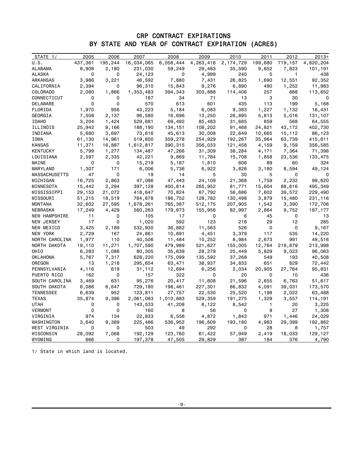#### CRP CONTRACT EXPIRATIONS BY STATE AND YEAR OF CONTRACT EXPIRATION (ACRES)

| STATE $1/$       | 2005    | 2006                    | 2007           | 2008      | 2009      | 2010      | 2011    | 2012         | $2013+$   |
|------------------|---------|-------------------------|----------------|-----------|-----------|-----------|---------|--------------|-----------|
| U.S.             | 437,361 | 195,244                 | 16,034,065     | 6,058,444 | 4,263,416 | 2,174,729 | 199,680 | 719,157      | 4,820,204 |
| ALABAMA          | 8,908   | 2,180                   | 231,030        | 59,249    | 29,483    | 35,590    | 9,652   | 7,823        | 101,191   |
| ALASKA           | 0       | 0                       | 24,123         | 0         | 4,999     | 240       | 5       | $\mathbf{1}$ | 438       |
| ARKANSAS         | 3,986   | 3,221                   | 46,592         | 7,880     | 7,431     | 26,825    | 1,690   | 12,551       | 92,352    |
| CALIFORNIA       | 2,394   | 0                       | 96,310         | 15,843    | 9,276     | 6,890     | 490     | 1,252        | 11,983    |
| COLORADO         | 2,080   | 1,866                   | 1,353,483      | 394,343   | 303,888   | 114,406   | 257     | 888          | 113,652   |
| CONNECTICUT      | 0       | 0                       | 167            | 34        | 71        | 13        | 3       | 30           | n         |
| DELAWARE         | 0       | 0                       | 570            | 613       | 601       | 435       | 113     | 199          | 5,168     |
| FLORIDA          | 1,970   | 956                     | 43,223         | 5,184     | 6,083     | 9,383     | 1,227   | 1,132        | 16,431    |
| GEORGIA          | 7,508   | 2,137                   | 96,580         | 16,696    | 13,250    | 26,895    | 5,813   | 5,016        | 131,107   |
| <b>IDAHO</b>     | 3,204   | 1,424                   | 529,681        | 69,492    | 85,483    | 31,685    | 859     | 568          | 64,555    |
| ILLINOIS         | 25,942  | 9,166                   | 188,190        | 134,151   | 108,202   | 91,468    | 24,821  | 43,172       | 402,730   |
| INDIANA          | 5,680   | 3,697                   | 73,616         | 45,613    | 30,008    | 22,649    | 10,665  | 15,112       | 86,123    |
| IOWA             | 61,130  | 14,961                  | 519,600        | 359,278   | 254,929   | 192,267   | 35,964  | 63,739       | 415,611   |
| KANSAS           | 11,371  | 16,887                  | 1,612,817      | 390,315   | 356,033   | 121,458   | 4,159   | 9,159        | 356,585   |
| KENTUCKY         | 5,799   | 1,277                   | 134,487        | 47,266    | 31,309    | 38,284    | 4,171   | 7,364        | 71,398    |
| LOUISIANA        | 2,597   | 2,335                   | 42,221         | 9,869     | 11,784    | 15,708    | 1,858   | 23,536       | 133,475   |
| MAINE            | 0       | $\overline{\mathbf{0}}$ | 15,219         | 5,187     | 1,810     | 606       | 89      | 60           | 324       |
| MARYLAND         | 1,307   | 171                     | 6,006          | 5,736     | 6,922     | 3,826     | 3,180   | 8,594        | 49,124    |
| MASSACHUSETTS    | 47      | 0                       | 19             | 14        | 5         | 30        | 5       | 0            | 0         |
| MICHIGAN         | 16,725  | 2,863                   | 47,086         | 47,443    | 24,109    | 21,368    | 1,759   | 2,232        | 99,620    |
| MINNESOTA        | 15,442  | 2,294                   | 397,128        | 400,814   | 265,952   | 81,771    | 15,604  | 88,616       | 495,349   |
| MISSISSIPPI      | 29,153  | 21,072                  | 418,647        | 70,824    | 67,792    | 56,686    | 7,602   | 39,572       | 229,490   |
| MISSOURI         | 51,215  | 18,519                  | 784,878        | 186,752   | 128,782   | 130,498   | 3,879   | 15,480       | 231,116   |
| MONTANA          | 32,602  | 27,595                  | 1,678,261      | 765,387   | 512,175   | 207,905   | 1,542   | 3,390        | 172,706   |
| NEBRASKA         | 17,249  | 4,429                   | 560,263        | 179,673   | 155,956   | 82,997    | 2,864   | 9,752        | 187, 177  |
| NEW HAMPSHIRE    | 11      | 0                       | 105            | 17        | 0         | 6         | 45      | 0            | 13        |
| NEW JERSEY       | 17      | 0                       | 1,020          | 592       | 123       | 216       | 29      | 12           | 285       |
| NEW MEXICO       | 3,425   | 2,189                   | 532,930        | 36,882    | 11,563    | 526       | 0       | 0            | 9,167     |
| NEW YORK         | 2,729   | 167                     | 24,861         | 10,891    | 4,451     | 3,379     | 117     | 535          | 14,220    |
| NORTH CAROLINA   | 1,977   | 110                     | 40,506         | 11,484    | 10,252    | 8,984     | 2,673   | 991          | 49,516    |
| NORTH DAKOTA     | 19,110  | 11,271                  | 1,707,590      | 479,989   | 521,627   | 155,005   | 12,764  | 219,879      | 213,998   |
| OHIO             | 6,283   | 1,086                   | 80,305         | 35,639    | 28,279    | 25,449    | 5,829   | 9,023        | 96,063    |
| OKLAHOMA         | 5,767   | 7,317                   | 628,220        | 175,099   | 135,592   | 37,268    | 549     | 193          | 40,508    |
| OREGON           | 13      | 1,218                   | 295,654        | 63,471    | 38,937    | 34,833    | 651     | 829          | 72,442    |
| PENNSYLVANIA     | 4,116   | 619                     | 31,112         | 12,694    | 6,256     | 2,034     | 20,905  | 27,764       | 95,831    |
| PUERTO RICO      | 162     | 0                       | 157            | 322       | 0         | 20        | 0       | 10           | 436       |
| SOUTH CAROLINA   | 3,469   | 631                     | 95,276         | 20,417    | 11,608    | 21,596    | 2,655   | 6,763        | 51,617    |
| SOUTH DAKOTA     | 8,086   | 6,647                   | 729,180        | 198,461   | 227,301   | 86,832    | 4,091   | 39,031       | 173,570   |
| <b>TENNESSEE</b> | 6,639   | 952                     | 123,811        | 27,757    | 22,530    | 25,520    | 1,198   | 2,022        | 63,488    |
| TEXAS            | 35,874  | 9,396                   | 2,061,083      | 1,010,883 | 529,359   | 191,275   | 1,329   | 3,557        | 114,191   |
| UTAH             | 0       | 0                       | 143,533        | 41,208    | 6,122     | 8,542     | 1       | 20           | 3,225     |
| VERMONT          | 0       | 0                       | 160            | 8         | 56        | 0         | 9       | 27           | 1,308     |
| VIRGINIA         | 974     | 134                     | 22,833         | 6,556     | 4,872     | 1,843     | 971     | 1,446        | 24,029    |
| WASHINGTON       | 3,640   | 9,389                   | 225,486        | 536,952   | 196,609   | 193,180   | 4,963   | 29,399       | 192,862   |
| WEST VIRGINIA    | 0       | 0                       | 503            | 49        | 292       | 0         | 28      | 8            | 1,757     |
| WISCONSIN        | 28,092  | 7,068                   | 192,129        | 123,760   | 61,422    | 57,949    | 2,419   | 18,033       | 129,127   |
| WYOMING          | 666     | 0                       | <u>197,378</u> | 47,505    | 29,829    | 387       | 184     | 376          | 4,790     |

1/ State in which land is located.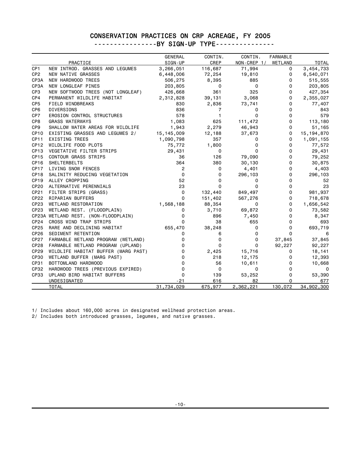### CONSERVATION PRACTICES ON CRP ACREAGE, FY 2005

----------------BY SIGN-UP TYPE----------------

|                  |                                      | <b>GENERAL</b> | CONTIN.      | CONTIN.     | <b>FARMABLE</b> |              |
|------------------|--------------------------------------|----------------|--------------|-------------|-----------------|--------------|
|                  | PRACTICE                             | SIGN-UP        | CREP         | NON-CREP 1/ | WETLAND         | <b>TOTAL</b> |
| CP <sub>1</sub>  | NEW INTROD. GRASSES AND LEGUMES      | 3,266,051      | 116,687      | 71,994      | 0               | 3,454,733    |
| CP <sub>2</sub>  | NEW NATIVE GRASSES                   | 6,448,006      | 72,254       | 19,810      | 0               | 6,540,071    |
| CP3A             | NEW HARDWOOD TREES                   | 506,275        | 8,395        | 885         | 0               | 515,555      |
| CP3A             | NEW LONGLEAF PINES                   | 203,805        | 0            | $\mathsf 0$ | 0               | 203,805      |
| CP3              | NEW SOFTWOOD TREES (NOT LONGLEAF)    | 426,668        | 361          | 325         | 0               | 427,354      |
| CP4              | PERMANENT WILDLIFE HABITAT           | 2,312,828      | 39,131       | 3,068       | 0               | 2,355,027    |
| CP <sub>5</sub>  | FIELD WINDBREAKS                     | 830            | 2,836        | 73,741      | 0               | 77,407       |
| CP <sub>6</sub>  | DIVERSIONS                           | 836            | 7            | 0           | 0               | 843          |
| CP7              | EROSION CONTROL STRUCTURES           | 578            | $\mathbf{1}$ | 0           | 0               | 579          |
| CP8              | <b>GRASS WATERWAYS</b>               | 1,083          | 625          | 111,472     | 0               | 113,180      |
| CP9              | SHALLOW WATER AREAS FOR WILDLIFE     | 1,943          | 2,279        | 46,943      | 0               | 51,165       |
| CP <sub>10</sub> | EXISTING GRASSES AND LEGUMES 2/      | 15, 145, 009   | 12,188       | 37,673      | 0               | 15, 194, 870 |
| <b>CP11</b>      | EXISTING TREES                       | 1,090,798      | 357          | 0           | 0               | 1,091,155    |
| CP <sub>12</sub> | WILDLIFE FOOD PLOTS                  | 75,772         | 1,800        | 0           | 0               | 77,572       |
| CP <sub>13</sub> | VEGETATIVE FILTER STRIPS             | 29,431         | 0            | 0           | 0               | 29,431       |
| CP <sub>15</sub> | <b>CONTOUR GRASS STRIPS</b>          | 36             | 126          | 79,090      | 0               | 79,252       |
| CP16             | SHELTERBELTS                         | 364            | 380          | 30,130      | 0               | 30,875       |
| CP17             | LIVING SNOW FENCES                   | 2              | 0            | 4,401       | 0               | 4,403        |
| CP <sub>18</sub> | SALINITY REDUCING VEGETATION         | 0              | 0            | 296,103     | 0               | 296,103      |
| CP <sub>19</sub> | ALLEY CROPPING                       | 52             | 0            | 0           | 0               | 52           |
| CP20             | ALTERNATIVE PERENNIALS               | 23             | 0            | 0           | 0               | 23           |
| CP21             | FILTER STRIPS (GRASS)                | 0              | 132,440      | 849,497     | 0               | 981,937      |
| CP22             | RIPARIAN BUFFERS                     | 0              | 151,402      | 567,276     | 0               | 718,678      |
| CP <sub>23</sub> | WETLAND RESTORATION                  | 1,568,188      | 88,354       | 0           | 0               | 1,656,542    |
| CP <sub>23</sub> | WETLAND REST. (FLOODPLAIN)           | 0              | 3,710        | 69,872      | 0               | 73,582       |
|                  | CP23A WETLAND REST. (NON-FLOODPLAIN) | 0              | 896          | 7,450       | 0               | 8,347        |
| CP <sub>24</sub> | CROSS WIND TRAP STRIPS               | 0              | 38           | 655         | 0               | 693          |
| CP25             | RARE AND DECLINING HABITAT           | 655,470        | 38,248       | 0           | 0               | 693,719      |
| CP <sub>26</sub> | SEDIMENT RETENTION                   | 0              | 6            | 0           | 0               | 6            |
| CP27             | FARMABLE WETLAND PROGRAM (WETLAND)   | 0              | 0            | 0           | 37,845          | 37,845       |
| CP28             | FARMABLE WETLAND PROGRAM (UPLAND)    | 0              | 0            | 0           | 92,227          | 92,227       |
| CP <sub>29</sub> | WILDLIFE HABITAT BUFFER (MARG PAST)  | 0              | 2,425        | 15,716      | 0               | 18,141       |
| <b>CP30</b>      | WETLAND BUFFER (MARG PAST)           | 0              | 218          | 12,175      | 0               | 12,393       |
| CP31             | BOTTOMLAND HARDWOOD                  | $\Omega$       | 56           | 10,611      | 0               | 10,668       |
| CP32             | HARDWOOD TREES (PREVIOUS EXPIRED)    | 0              | 0            | 0           | $\Omega$        | 0            |
| <b>CP33</b>      | UPLAND BIRD HABITAT BUFFERS          | 0              | 139          | 53,252      | 0               | 53,390       |
|                  | UNDESIGNATED                         | $-21$          | 616          | 82          | 0               | 677          |
|                  | <b>TOTAL</b>                         | 31,734,029     | 675,977      | 2,362,221   | 130,072         | 34,902,300   |
|                  |                                      |                |              |             |                 |              |

1/ Includes about 160,000 acres in designated wellhead protection areas.

2/ Includes both introduced grasses, legumes, and native grasses.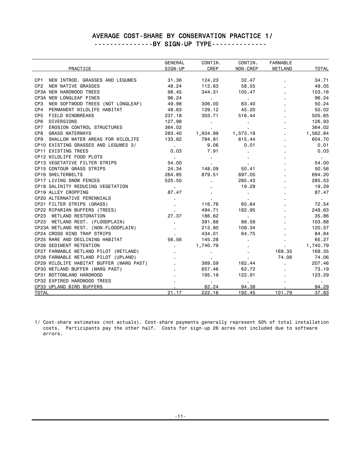#### AVERAGE COST-SHARE BY CONSERVATION PRACTICE 1/ ---------------BY SIGN-UP TYPE--------------

|                                                    | <b>GENERAL</b> | CONTIN.        | CONTIN.         | <b>FARMABLE</b>          |              |
|----------------------------------------------------|----------------|----------------|-----------------|--------------------------|--------------|
| PRACTICE                                           | SIGN-UP        | CREP           | <b>NON-CREP</b> | WETLAND                  | <b>TOTAL</b> |
|                                                    |                |                |                 |                          |              |
| NEW INTROD, GRASSES AND LEGUMES<br>CP <sub>1</sub> | 31.36          | 124.23         | 32.47           |                          | 34.71        |
| NEW NATIVE GRASSES<br>CP <sub>2</sub>              | 48.24          | 112.63         | 58.55           | $\overline{\phantom{a}}$ | 49.05        |
| CP3A NEW HARDWOOD TREES                            | 98.45          | 344.31         | 105.47          |                          | 103.16       |
| CP3A NEW LONGLEAF PINES                            | 96.24          | $\blacksquare$ | $\bullet$       | $\blacksquare$           | 96.24        |
| NEW SOFTWOOD TREES (NOT LONGLEAF)<br>CP3           | 49.98          | 306,00         | 83,40           | $\overline{\phantom{a}}$ | 50.24        |
| PERMANENT WILDLIFE HABITAT<br>CP4                  | 48.63          | 129.12         | 45.20           | $\blacksquare$           | 50.02        |
| CP5<br>FIELD WINDBREAKS                            | 237.18         | 303.71         | 516.44          |                          | 505.65       |
| DIVERSIONS<br>CP6                                  | 127.98         | ٠.             | $\bullet$       | $\blacksquare$           | 126.93       |
| EROSION CONTROL STRUCTURES<br>CP7                  | 364.02         | ٠              |                 | $\blacksquare$           | 364.02       |
| <b>GRASS WATERWAYS</b><br>CP8                      | 283.40         | 1,934.99       | 1,573.18        |                          | 1,562.84     |
| SHALLOW WATER AREAS FOR WILDLIFE<br>CP9            | 133.82         | 784.91         | 615.44          |                          | 604.70       |
| CP10 EXISTING GRASSES AND LEGUMES 3/               | $\mathbf{r}$   | 9.06           | 0.01            |                          | 0.01         |
| <b>CP11 EXISTING TREES</b>                         | 0.03           | 7.91           | $\blacksquare$  |                          | 0.03         |
| CR10 WILDLIFF FOOD BLOTS                           |                |                |                 |                          |              |

| $\bullet$                         | $\blacksquare$           |                           |        | $\sim 100$               |
|-----------------------------------|--------------------------|---------------------------|--------|--------------------------|
| 54.00                             |                          |                           |        | 54.00                    |
| 24.34                             | 148.09                   | 50.41                     |        | 50.56                    |
|                                   | 879.51                   | 697.05                    |        | 694.20                   |
| 525.50                            | $\sim$                   | 285.43                    |        | 285.53                   |
| <b>Contract Contract Contract</b> | $\blacksquare$           | 19.29                     |        | 19.29                    |
| 87.47                             |                          | $\sim$                    |        | 87.47                    |
|                                   |                          | $\sim 100$                |        | <b>Contract Contract</b> |
|                                   | 116.76                   | 65.64                     |        | 72.54                    |
|                                   | 494.71                   | 182.95                    |        | 248.63                   |
| 27.37                             | 186.62                   | <b>Contract Contract</b>  |        | 35.86                    |
|                                   | 391.88                   | 88.59                     |        | 103.88                   |
|                                   | 213.90                   | 109.34                    |        | 120.57                   |
|                                   | 434.01                   | 64.75                     |        | 84.84                    |
| 56.56                             | 145.28                   | $\mathbf{r}$              |        | 65.27                    |
| $\mathbf{r}$                      | 1,740.79                 | $\blacksquare$            |        | 1,740.79                 |
| $\sim$                            | $\blacksquare$           |                           | 169.35 | 169.35                   |
| $\mathbf{r}$                      | $\sim$                   | $\mathbf{r} = \mathbf{r}$ | 74.06  | 74.06                    |
|                                   | 369.59                   | 182.44                    |        | 207.46                   |
|                                   | 657.46                   | 62.72                     |        | 73.19                    |
|                                   | 195.19                   | 122.91                    |        | 123.29                   |
|                                   | <b>Contract Contract</b> | <b>Contractor</b>         |        | <b>Contract Contract</b> |
|                                   | 62.24                    | 94.38                     |        | 94.29                    |
| 21.17                             | 222.16                   | 192.45                    | 101.79 | 37.83                    |
|                                   |                          | 264.85                    |        |                          |

 1/ Cost-share estimates (not actuals). Cost-share payments generally represent 50% of total installation costs. Participants pay the other half. Costs for sign-up 26 acres not included due to software errors.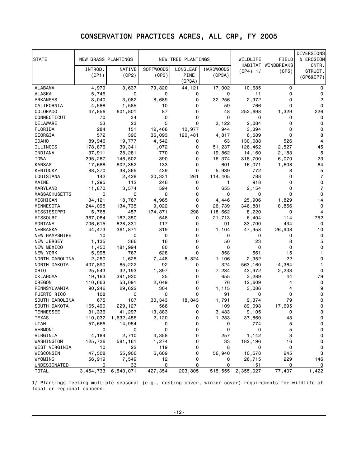### CONSERVATION PRACTICES ACRES, ALL CRP, FY 2005

| <b>STATE</b>               | NEW GRASS PLANTINGS |                   |                  | NEW TREE PLANTINGS |                  | WILDLIFE         | FIELD                | <b>DIVERSIONS</b><br>& EROSION |
|----------------------------|---------------------|-------------------|------------------|--------------------|------------------|------------------|----------------------|--------------------------------|
|                            | INTROD.             | NATIVE            | <b>SOFTWOODS</b> | LONGLEAF           | <b>HARDWOODS</b> |                  | HABITAT   WINDBREAKS | CNTR.                          |
|                            | (CP1)               | (CP2)             | (CP3)            | PINE               | (CP3A)           | (CP4) 1/         | (CP5)                | STRUCT.                        |
|                            |                     |                   |                  | (CP3A)             |                  |                  |                      | (CP6&CP7)                      |
| ALABAMA                    | 4,979               | 3,637             | 79,820           | 44, 121            | 17,002           | 10,685           | 0                    | 0                              |
| ALASKA                     | 5,746               | 0                 | 0                | 0                  | 0                | 11               | 0                    | 0                              |
| ARKANSAS                   | 3,040               | 3,082             | 8,689            | 0                  | 32,256           | 2,972            | 0                    | 2                              |
| CALIFORNIA                 | 4,588               | 1,585             | 10               | 0                  | 59               | 766              | 0                    | 0                              |
| <b>COLORADO</b>            | 47,856              | 601,801           | 87               | 0                  | 48               | 252,698          | 1,329                | 226                            |
| CONNECTICUT                | 70                  | 34                | 0                | 0                  | 0                | 0                | 0                    | 0                              |
| DELAWARE                   | 53                  | 23                | 5                | 0                  | 3,122            | 2,084            | 0                    | 0                              |
| FLORIDA                    | 284                 | 151               | 12,468           | 10,977             | 944              | 3,394            | 0                    | 0                              |
| GEORGIA                    | 572                 | 390               | 36,093           | 120,481            | 4,817            | 6,589            | 0                    | 8                              |
| <b>IDAHO</b>               | 89,946              | 19,777            | 4,542            | 0                  | 63               | 130,088          | 526                  | 4                              |
| ILLINOIS                   | 178,876             | 39,341            | 1,072            | 0                  | 51,237           | 126,462          | 2,527                | 45                             |
| INDIANA                    | 37,911              | 28,281            | 770              | 0                  | 19,862           | 14,160           | 2,183                | 5                              |
| IOWA                       | 295,287             | 146,502           | 390              | 0                  | 16,374           | 318,700          | 6,070                | 23                             |
| <b>KANSAS</b>              | 17,688              | 802,352           | 133              | 0                  | 601              | 16,071           | 1,608                | 64                             |
| <b>KENTUCKY</b>            | 88,370              | 38,365            | 439              | 0                  | 5,939            | 772              | 8                    | 5                              |
| LOUISIANA                  | 142                 | 2,428             | 20,331           | 261                | 114,405          | 788              | 0                    | $\overline{7}$                 |
| MAINE                      | 1,295               | 112               | 246              | 0                  | 1                | 918              | 0                    | 0                              |
| MARYLAND                   | 11,870              | 3,574             | 594              | 0                  | 655              | 2,154            | 0                    | 7                              |
| <b>MASSACHUSETTS</b>       | 0                   | 0                 | 0                | 0                  | 0                | 0                | 0                    | 0                              |
| MICHIGAN                   | 34,121              | 18,767            | 4,965            | $\mathbf 0$        | 4,446            | 25,906           | 1,829                | 14                             |
|                            |                     | 134,735           |                  | 0                  |                  |                  |                      | 0                              |
| MINNESOTA                  | 244,098             | 457               | 9,022<br>174,871 | 298                | 26,739           | 346,881          | 8,856<br>0           | 4                              |
| MISSISSIPPI                | 5,768<br>367,084    | 182,350           |                  | 0                  | 118,662          | 8,220<br>6,404   | 114                  | 752                            |
| MISSOURI<br><b>MONTANA</b> |                     |                   | 548              | 0                  | 21,713<br>91     |                  | 434                  | 0                              |
|                            | 706,615             | 828,331           | 117<br>819       | 0                  |                  | 33,700           |                      | 10                             |
| NEBRASKA<br>NEW HAMPSHIRE  | 44,473<br>10        | 361,871<br>0      | 0                | 0                  | 1,104<br>0       | 47,958<br>0      | 26,908<br>0          | 0                              |
|                            | 1,135               | 366               | 16               | 0                  | 50               | 23               | 8                    | 5                              |
| NEW JERSEY                 | 1,450               | 181,994           | 80               | 0                  | 0                | 0                | 0                    | 0                              |
| NEW MEXICO<br>NEW YORK     |                     | 767               | 628              | 0                  | 858              | 561              | 15                   | 1                              |
| NORTH CAROLINA             | 5,998<br>2,250      | 1,625             | 7,448            | 8,824              | 1,106            | 2,952            | 22                   | 0                              |
|                            | 407,890             | 65,222            | 92               | 0                  | 324              | 563,160          | 4,364                | 1                              |
| NORTH DAKOTA<br>OHIO       | 25,543              |                   | 1,397            | 0                  | 7,234            | 43,972           | 2,233                | 0                              |
| <b>OKLAHOMA</b>            | 19,163              | 32,193            | 25               | 0                  | 655              | 3,289            | 44                   | 79                             |
| OREGON                     |                     | 391,920<br>53,091 |                  | 0                  | 76               |                  | 4                    | 0                              |
| PENNSYLVANIA               | 110,663<br>90,246   | 29,622            | 2,049<br>304     | 0                  | 1,115            | 12,609<br>3,086  | 4                    | 9                              |
| PUERTO RICO                | 108                 | 0                 | 0                | 0                  | 91               | 0                | 0                    | 0                              |
| SOUTH CAROLINA             | 675                 | 107               |                  | 18,843             |                  | 9,374            | 79                   | 0                              |
| SOUTH DAKOTA               | 165,490             | 229,127           | 30,343<br>566    | 0                  | 1,791<br>109     |                  | 17,695               | 0                              |
| TENNESSEE                  | 31,336              | 41,297            | 13,883           | 0                  |                  | 89,098<br>9,105  | 0                    | з                              |
| TEXAS                      | 110,032             | 1,632,456         | 2,120            | 0                  | 3,483<br>1,283   | 37,860           | 43                   | $\mathsf 0$                    |
| <b>UTAH</b>                | 57,666              | 14,954            | 0                | 0                  | 0                | 774              | 5                    | 0                              |
| <b>VERMONT</b>             | 0                   | 0                 | 0                | 0                  | 0                | 0                | 5                    | $\mathsf 0$                    |
| VIRGINIA                   | 4,184               | 2,710             | 4,358            | 0                  | 257              | 1,142            | 3                    | 0                              |
| WASHINGTON                 | 125,726             | 581,161           |                  | 0                  | 33               | 182,196          | 16                   | 0                              |
| WEST VIRGINIA              | 10                  | 22                | 1,274<br>119     | 0                  | 8                | 0                | 0                    | 0                              |
| WISCONSIN                  | 47,508              | 55,906            | 6,609            | 0                  | 56,940           |                  | 245                  | 3                              |
| WYOMING                    | 56,919              | 7,549             | 12               | 0                  | 0                | 10,578<br>26,715 | 229                  | 146                            |
| UNDESIGNATED               | 0                   | 33                | 0                | 0                  | 0                | 151              | 0                    | 0                              |
| <b>TOTAL</b>               | 3,454,733           | 6,540,071         | 427,354          | 203,805            | 515,555          | 2,355,027        | 77,407               | 1,422                          |
|                            |                     |                   |                  |                    |                  |                  |                      |                                |

1/ Plantings meeting multiple seasonal (e.g., nesting cover, winter cover) requirements for wildlife of local or regional concern.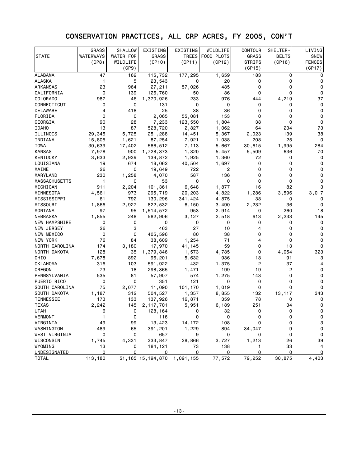# CONSERVATION PRACTICES, ALL CRP ACRES, FY 2005, CON'T

|                      | <b>GRASS</b>        | <b>SHALLOW</b>   | EXISTING             | EXISTING    | WILDLIFE         | <b>CONTOUR</b> | SHELTER-     | LIVING        |
|----------------------|---------------------|------------------|----------------------|-------------|------------------|----------------|--------------|---------------|
| <b>STATE</b>         | <b>WATERWAYS</b>    | <b>WATER FOR</b> | GRASS                |             | TREES FOOD PLOTS | GRASS          | <b>BELTS</b> | SNOW          |
|                      | (CP8)               | WILDLIFE         | (CP10)               | (CP11)      | (CP12)           | <b>STRIPS</b>  | (CP16)       | <b>FENCES</b> |
|                      |                     | (CP9)            |                      |             |                  | (CP15)         |              | (CP17)        |
| ALABAMA              | 47                  | 162              | 115,732              | 177,295     | 1,659            | 183            | 0            | 0             |
| ALASKA               | 1                   | 5                | 23,543               | 0           | 20               | 0              | 0            | 0             |
| ARKANSAS             | 23                  | 964              | 27,211               | 57,026      | 485              | 0              | 0            | 0             |
| CALIFORNIA           | 0                   | 139              | 126,760              | 50          | 86               | $\Omega$       | 0            | 0             |
| COLORADO             | 987                 | 46               | 1,370,926            | 233         | 976              | 444            | 4,219        | 37            |
| CONNECTICUT          | 0                   | 0                | 131                  | $\mathbf 0$ | 0                | 0              | 0            | 0             |
| DELAWARE             | 4                   | 418              | 25                   | 38          | 36               | 0              | 0            | 0             |
| FLORIDA              | 0                   | 0                | 2,065                | 55,081      | 153              | 0              | 0            | 0             |
| GEORGIA              | 90                  | 28               | 7,233                | 123,550     | 1,804            | 38             | 0            | 0             |
| <b>IDAHO</b>         | 13                  | 87               | 528,720              | 2,827       | 1,062            | 64             | 234          | 73            |
| ILLINOIS             | 29,345              | 5,725            | 251,288              | 14,451      | 5,367            | 2,023          | 139          | 38            |
| INDIANA              | 15,805              | 1,621            | 87,254               | 7,921       | 1,038            | 208            | 25           | $\mathbf 0$   |
| IOWA                 | 30,639              | 17,402           | 586,512              | 7,113       | 5,667            | 30,615         | 1,995        | 284           |
| <b>KANSAS</b>        | 7,978               | 900              | 1,728,373            | 1,320       | 5,457            | 5,509          | 636          | 70            |
| KENTUCKY             | 3,633               | 2,939            | 139,872              | 1,925       | 1,360            | 72             | 0            | 0             |
| LOUISIANA            | 19                  | 674              | 18,062               | 40,504      | 1,697            | 0              | 0            | 0             |
| MAINE                | 26                  | 0                | 19,649               | 722         | 2                | 0              | 0            | 0             |
| MARYLAND             | 230                 | 1,258            | 4,070                | 587         | 136              | 0              | 0            | 0             |
| <b>MASSACHUSETTS</b> | 1                   | 0                | 53                   | 0           | 0                | 0              | 0            | 0             |
| MICHIGAN             | 911                 | 2,204            | 101,361              | 6,648       | 1,877            | 16             | 82           | 3             |
| MINNESOTA            | 4,561               | 973              | 295,719              | 20,203      | 4,822            | 1,286          | 3,596        | 3,017         |
| MISSISSIPPI          | 61                  | 792              | 130,296              | 341,424     | 4,875            | 38             | 0            | 0             |
| MISSOURI             | 1,866               | 2,927            | 822,532              | 6,150       | 3,490            | 2,232          | 36           | 0             |
| MONTANA              | 97                  | 95               | 1,514,572            | 953         | 2,914            | 0              | 260          | 18            |
| NEBRASKA             | 1,855               | 248              | 582,906              | 3,127       | 2,518            | 613            | 2,233        | 145           |
| <b>NEW HAMPSHIRE</b> | 0                   | 0                | 0                    | 0           | 0                | 0              | 0            | 0             |
| NEW JERSEY           | 26                  | 3                | 463                  | 27          | 10               | 4              | 0            | 0             |
| NEW MEXICO           | 0                   | 0                | 405,596              | 80          | 38               | 0              | 0            | 0             |
| NEW YORK             | 76                  | 84               | 38,609               | 1,254       | 71               | 4              | 0            | 0             |
| NORTH CAROLINA       | 174                 | 3,180            | 17,970               | 41,145      | 59               | 0              | 13           | 0             |
| NORTH DAKOTA         | 128                 | 35               | 1,379,846            | 1,573       | 4,785            | 0              | 4,054        | 323           |
| OHIO                 | 7,678               | 892              | 96,201               | 5,632       | 936              | 18             | 91           | 3             |
| OKLAHOMA             | 316                 | 103              | 591,922              | 432         | 1,375            | $\overline{c}$ | 37           | 4             |
| OREGON               | 73                  | 18               | 298,365              | 1,471       | 199              | 19             | 2            | 0             |
| PENNSYLVANIA         | 535                 | 81               | 57,907               | 574         | 1,275            | 143            | 0            | 0             |
| PUERTO RICO          | 0                   | 0                | 351                  | 121         | 0                | 0              | 0            | O             |
| SOUTH CAROLINA       | 75                  | 2,077            | 11,090               | 101,170     | 1,019            | 0              | 0            | 0             |
| SOUTH DAKOTA         | 1,187               | 312              | 504,527              | 1,357       | 8,855            | 132            | 13,117       | 343           |
| <b>TENNESSEE</b>     | 173                 | 133              | 137,926              | 16,871      | 359              | 78             | 0            | 0             |
| <b>TEXAS</b>         | 2,242               | 145              | 2, 117, 701          | 5,951       | 6,189            | 251            | 34           | 0             |
| UTAH                 | 6                   | 0                | 128,164              | 0           | 32               | 0              | 0            | 0             |
| VERMONT              | 1                   | 0                | 116                  | 0           | 0                | 0              | 0            | 0             |
| VIRGINIA             | 49                  | 99               | 13,423               | 14,172      | 108              | 0              | 0            | 3             |
| WASHINGTON           | 489                 | 65               | 391,201              | 1,229       | 894              | 34,047         | 9            | 0             |
| WEST VIRGINIA        | $\mathsf{O}\xspace$ | 0                | 657                  | 9           | 0                | 0              | 0            | 0             |
| WISCONSIN            | 1,745               | 4,331            | 333,847              | 28,866      | 3,727            | 1,213          | 26           | 39            |
| WYOMING              | 13                  | 0                | 184,121              | 73          | 138              | 1              | 33           | 4             |
| UNDESIGNATED         | 0                   | 0                | 0                    | 0           | 0                | 0              | 0            | 0             |
| <b>TOTAL</b>         | 113,180             |                  | 51, 165 15, 194, 870 | 1,091,155   | 77,572           | 79,252         | 30,875       | 4,403         |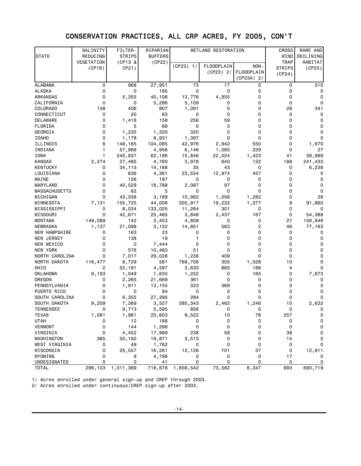### CONSERVATION PRACTICES, ALL CRP ACRES, FY 2005, CON'T

|                      | SALINITY   | FILTER-       | RIPARIAN       |             | WETLAND RESTORATION |                                 | <b>CROSS</b>  | RARE AND  |
|----------------------|------------|---------------|----------------|-------------|---------------------|---------------------------------|---------------|-----------|
| <b>STATE</b>         | REDUCING   | <b>STRIPS</b> | <b>BUFFERS</b> |             |                     |                                 | WIND          | DECLINING |
|                      | VEGETATION | (CP13 &       | (CP22)         |             |                     |                                 | <b>TRAP</b>   | HABITAT   |
|                      | (CP18)     | CP21)         |                | (CP23) 1/   | <b>FLOODPLAIN</b>   | NON-                            | <b>STRIPS</b> | (CP25)    |
|                      |            |               |                |             | $(CP23)$ 2/         | <b>FLOODPLAIN</b><br>(CP23A) 2/ | (CP24)        |           |
| <b>ALABAMA</b>       | 0          | 968           | 27,951         | 73          | 17                  | 0                               | 0             | 510       |
| <b>ALASKA</b>        | 0          | 0             | 185            | 0           | 0                   | 0                               | 0             | 0         |
| ARKANSAS             | 0          | 5,355         | 40,106         | 13,776      | 4,935               | 0                               | 0             | 0         |
| CALIFORNIA           | 0          | 0             | 5,286          | 5,109       | 0                   | $\Omega$                        | 0             | 0         |
| COLORADO             | 138        | 406           | 807            | 1,091       | 0                   | 0                               | 28            | 341       |
| CONNECTICUT          | 0          | 20            | 63             | 0           | 0                   | 0                               | 0             | 0         |
| DELAWARE             | 0          | 1,418         | 158            | 256         | 59                  | $\Omega$                        | 0             | 0         |
| FLORIDA              | 0          | 5             | 68             | 0           | 0                   | 0                               | 0             | 0         |
| GEORGIA              | 0          | 1,235         | 1,320          | 320         | 0                   | 0                               | 0             | 0         |
| <b>IDAHO</b>         | 0          | 1,178         | 6,931          | 1,397       | 0                   | $\Omega$                        | $\Omega$      | 0         |
| ILLINOIS             | 6          | 148,165       | 104,085        | 42,976      | 2,942               | 550                             | 0             | 1,670     |
| INDIANA              | 1          | 57,968        | 4,956          | 6,146       | 1,085               | 229                             | 0             | 27        |
| IOWA                 | 1          | 240,837       | 62,186         | 15,846      | 22,024              | 1,423                           | 41            | 39,999    |
| KANSAS               | 2,274      | 27,485        | 4,760          | 3,978       | 640                 | 122                             | 188           | 241,433   |
| KENTUCKY             | 0          | 34,115        | 14,188         | 35          | 43                  | 0                               | 0             | 6,238     |
| LOUISIANA            | 0          | 636           | 4,361          | 23,534      | 12,974              | 457                             | 0             | 0         |
| MAINE                | 0          | 126           | 197            | 0           | 0                   | 0                               | 0             | 0         |
| MARYLAND             | 0          | 40,529        | 16,788         | 2,087       | 97                  | 0                               | 0             | 0         |
| <b>MASSACHUSETTS</b> | 0          | 62            | 5              | 0           | 0                   | $\Omega$                        | 0             | 0         |
| MICHIGAN             | 0          | 43,338        | 3,169          | 10,982      | 1,056               | 1,282                           | 0             | 28        |
| MINNESOTA            | 7,131      | 155,725       | 44,008         | 305,917     | 19,232              | 1,377                           | 9             | 91,860    |
| MISSISSIPPI          | 0          | 8,034         | 133,025        | 11,264      | 301                 | 0                               | 0             | 0         |
| MISSOURI             | 0          | 42,671        | 25,465         | 3,846       | 2,437               | 167                             | 0             | 54,388    |
| MONTANA              | 149,089    | 142           | 2,453          | 4,609       | 0                   | 0                               | 27            | 156,846   |
| NEBRASKA             | 1,137      | 21,098        | 3,152          | 14,851      | 563                 | 2                               | 46            | 77,163    |
| <b>NEW HAMPSHIRE</b> | 0          | 163           | 23             | 0           | 0                   | 0                               | 0             | 0         |
| NEW JERSEY           | 0          | 138           | 19             |             | 0                   | 0                               | 0             | 0         |
| NEW MEXICO           | 0          | 0             | 7,444          | 0           | 0                   | 0                               | 0             |           |
| NEW YORK             | 0          | 576           | 10,463         | 51          | 0                   | 0                               | 0             | 0         |
| NORTH CAROLINA       | 0          | 7,017         | 29,028         | 1,238       | 409                 | $\Omega$                        | 0             |           |
| NORTH DAKOTA         | 116,477    | 8,729         | 581            | 769,706     | 305                 | 1,028                           | 10            | 0         |
| OHIO                 | 2          | 52,191        | 4,597          | 3,633       | 865                 | 186                             | 4             | 0         |
| OKLAHOMA             | 9,193      | 1,049         | 1,635          | 1,252       | 0                   | 165                             | 0             | 7,673     |
| OREGON               | 0          | 2,265         | 21,669         | 361         | 0                   | 0                               | 0             | 0         |
| PENNSYLVANIA         | 0          | 1,911         | 13,155         | 323         | 369                 | 0                               | 0             | 0         |
| PUERTO RICO          | 0          | 0             | 94             | $\mathbf 0$ | 0                   | 0                               | 0             | 0         |
| SOUTH CAROLINA       | 0          | 6,355         | 27,395         | 284         | 0                   | 0                               | 0             | 0         |
| SOUTH DAKOTA         | 9,209      | 7,369         | 3,527          | 385,343     | 2,462               | 1,246                           | 15            | 2,632     |
| TENNESSEE            |            | 9,713         | 5,585          | 856         |                     |                                 | 0             | 0         |
| TEXAS                | 1,081      | 1,961         | 25,603         | 9,522       | 10                  | 76                              | 257           | 0         |
| <b>UTAH</b>          | 0          | 12            | 168            | 0           | 0                   | 0                               | 0             | 0         |
| VERMONT              | 0          | 144           | 1,298          | 0           | 0                   | 0                               | 0             | 0         |
| VIRGINIA             | 0          | 4,452         | 17,989         | 238         | 58                  | 0                               | 38            | 0         |
| WASHINGTON           | 365        | 50,192        | 19,871         | 3,513       | 0                   | 0                               | 14            | 0         |
| WEST VIRGINIA        | 0          | 49            | 1,762          | 0           | 0                   | 0                               | 0             | 0         |
| WISCONSIN            | 0          | 25,557        | 16,261         | 12,126      | 701                 | 37                              | 0             | 12,911    |
| WYOMING              | 0          | 9             | 4,796          | 0           | 0                   | 0                               | 17            | 0         |
| UNDESIGNATED         | 0          | 0             | 41             | $\mathbf 0$ | $\mathbf 0$         | 0                               | 0             | 0         |
| <b>TOTAL</b>         | 296,103    | 1,011,369     | 718,678        | 1,656,542   | 73,582              | 8,347                           | 693           | 693,719   |

1/ Acres enrolled under general sign-up and CREP through 2003.

2/ Acres enrolled under continuous/CREP sign-up after 2003.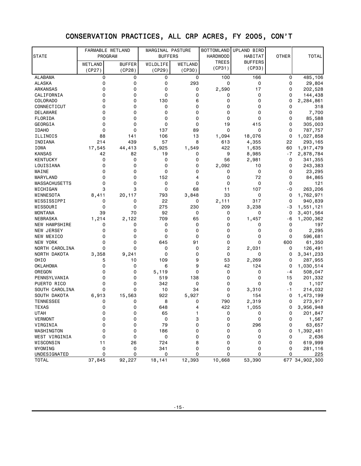# CONSERVATION PRACTICES, ALL CRP ACRES, FY 2005, CON'T

|                          | FARMABLE WETLAND |               | MARGINAL PASTURE |                  | <b>BOTTOMLAND</b> | UPLAND BIRD    |              |                |
|--------------------------|------------------|---------------|------------------|------------------|-------------------|----------------|--------------|----------------|
| STATE                    | PROGRAM          |               | <b>BUFFERS</b>   |                  | <b>HARDWOOD</b>   | HABITAT        | <b>OTHER</b> | <b>TOTAL</b>   |
|                          | WETLAND          | <b>BUFFER</b> | WILDLIFE         | WETLAND          | <b>TREES</b>      | <b>BUFFERS</b> |              |                |
|                          | (CP27)           | (CP28)        | (CP29)           | (CP30)           | (CP31)            | (CP33)         |              |                |
| <b>ALABAMA</b>           | 0                | 0             | 0                | 0                | 100               | 166            | 0            | 485,106        |
| <b>ALASKA</b>            | 0                | 0             | 0                | 293              | 0                 | 0              | 0            | 29,804         |
| ARKANSAS                 | 0                | 0             | 0                | 0                | 2,590             | 17             | 0            | 202,528        |
| CALIFORNIA               | 0                | 0             | 0                | 0                | 0                 | 0              | 0            | 144,438        |
| COLORADO                 | 0                | 0             | 130              | 6                | 0                 | 0              | 0            | 2,284,861      |
| CONNECTICUT              | 0                | 0             | 0                | $\Omega$         | $\mathbf 0$       | $\Omega$       | 0            | 318            |
| DELAWARE                 | 0                | 0             | 0                | 0                | 0                 | 0              | 0            | 7,700          |
| FLORIDA                  | 0                | 0             | 0                | 0                | 0                 | 0              | 0            | 85,588         |
| GEORGIA                  | 0                | $\Omega$      | 0                | 0                | 19                | 415            | 0            | 305,003        |
| <b>IDAHO</b>             | 0                | 0             | 137              | 89               | 0                 | 0              | 0            | 787,757        |
| ILLINOIS                 | 88               | 141           | 106              | 13               | 1,094             | 18,076         | 0            | 1,027,858      |
| INDIANA                  | 214              | 439           | 57               | 8                | 613               | 4,355          | 22           | 293,165        |
| IOWA                     | 17,545           | 44,413        | 5,925            | 1,549            | 422               | 1,635          | 60           | 1,917,479      |
| <b>KANSAS</b>            | 42               | 82            | 19               | 0                | 9                 | 8,985          | $-7$         | 2,878,784      |
| <b>KENTUCKY</b>          | 0                | 0             | $\mathbf 0$      | 0                | 56                | 2,981          | 0            | 341,355        |
| LOUISIANA                | 0                | 0             | 0                | 0                | 2,092             | 10             | 0            | 243,383        |
| MAINE                    | 0                | 0             | 0                | 0                | 0                 | 0              | 0            | 23,295         |
| <b>MARYLAND</b>          | 0                | 0             | 152              | 4                | 0                 | 72             | 0            | 84,865         |
| <b>MASSACHUSETTS</b>     | 0                | 0             | 0                | 0                | 0                 | 0              | 0            | 121            |
| MICHIGAN                 | 3                | 3             | $\mathbf 0$      | 68               | 11                | 107            | - 0          | 263,206        |
| MINNESOTA                | 8,411            | 20,117        | 793              | 3,848            | 33                | 0              | 0            | 1,762,971      |
| MISSISSIPPI              | 0                | 0             | 22               | 0                | 2,111             | 317            | 0            | 940,839        |
| MISSOURI                 | 0                | 0             | 275              | 230              | 209               | 3,238          | - 3          | 1,551,121      |
| <b>MONTANA</b>           | 39               | 70            | 92               | 0                | 0                 | 0              | 0            | 3,401,564      |
| NEBRASKA                 | 1,214            | 2,122         | 709              | 65               | 0                 | 1,457          | - 6          | 1,200,362      |
| <b>NEW HAMPSHIRE</b>     | 0<br>0           | 0<br>0        | $\mathbf 0$<br>0 | $\mathbf 0$<br>0 | 0<br>0            | 0<br>0         | 0<br>0       | 197<br>2,295   |
| NEW JERSEY<br>NEW MEXICO | 0                | 0             | $\mathbf 0$      | $\mathbf 0$      | 0                 | 0              | 0            | 596,681        |
| NEW YORK                 | 0                | 0             | 645              | 91               | 0                 | 0              | 600          | 61,350         |
| NORTH CAROLINA           | 0                | 0             | 0                | 0                | $\overline{c}$    | 2,031          | 0            | 126,491        |
| NORTH DAKOTA             | 3,358            | 9,241         | $\mathbf 0$      | 0                | 0                 | 0              | 0            | 3,341,233      |
| OHIO                     | 5                | 10            | 109              | 9                | 53                | 2,269          | 0            | 287,955        |
| <b>OKLAHOMA</b>          | 0                | 0             | 6                | 9                | 42                | 124            | 0            | 1,030,514      |
| OREGON                   | 0                | 0             | 5,119            | 0                | 0                 | 0              | - 4          | 508,047        |
| PENNSYLVANIA             | 0                | 0             | 519              | 138              | 0                 | 0              | 15           | 201,332        |
| PUERTO RICO              | 0                | 0             | 342              | 0                | 0                 | 0              | 0            | 1,107          |
| SOUTH CAROLINA           | 0                | 0             | 10               | 34               | 0                 | 3,310          | - 1          | 214,032        |
| SOUTH DAKOTA             | 6,913            | 15,563        | 922              | 5,927            | 0                 | 154            | 0            | 1,473,199      |
| <b>TENNESSEE</b>         | 0                | 0             | 8                | 0                | 790               | 2,319          | 0            | 273,917        |
| <b>TEXAS</b>             | 0                | 0             | 648              | 4                | 422               | 1,055          | 0            | 3,956,948      |
| <b>UTAH</b>              | 0                | 0             | 65               | 1                | 0                 | 0              | 0            | 201,847        |
| <b>VERMONT</b>           | 0                | 0             | 0                | 3                | 0                 | 0              | 0            | 1,567          |
| VIRGINIA                 | 0                | 0             | 79               | 0                | 0                 | 296            | 0            | 63,657         |
| WASHINGTON               | 0                | 0             | 186              | 0                | 0                 | 0              | 0            | 1,392,481      |
| WEST VIRGINIA            | 0                | 0             | 0                | 0                | 0                 | 0              | 0            | 2,636          |
| WISCONSIN                | 11               | 26            | 724              | 8                | 0                 | 0              | 0            | 619,999        |
| WYOMING                  | 0                | 0             | 341              | 0                | 0                 | 0              | 0            | 281,116        |
| UNDESIGNATED             | 0                | 0             | 0                | 0                | 0                 | 0              | 0            | 225            |
| <b>TOTAL</b>             | 37,845           | 92,227        | 18,141           | 12,393           | 10,668            | 53,390         |              | 677 34,902,300 |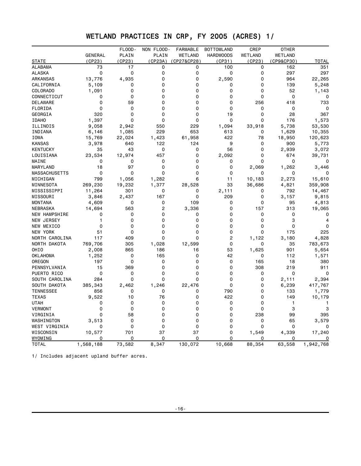### WETLAND PRACTICES IN CRP, FY 2005 (ACRES) 1/

| <b>GENERAL</b><br>PLAIN<br>PLAIN<br>WETLAND<br><b>HARDWOODS</b><br>WETLAND<br>WETLAND<br>STATE<br>(CP23)<br>(CP23)<br>(CP23A)<br>(CP27&CP28)<br>(CP31)<br>(CP23)<br>(CP9&CP30)<br>73<br>17<br>0<br>100<br>0<br>162<br>ALABAMA<br>0<br>0<br>0<br>0<br>0<br>0<br>0<br>297<br>ALASKA<br>ARKANSAS<br>13,776<br>4,935<br>0<br>0<br>2,590<br>0<br>964<br>0<br>0<br>139<br>CALIFORNIA<br>5,109<br>0<br>0<br>0<br>1,091<br>0<br>0<br>0<br>0<br>COLORADO<br>0<br>52<br>0<br>0<br>CONNECTICUT<br>$\Omega$<br>0<br>0<br>$\mathbf 0$<br>0<br>0<br>59<br>0<br>0<br>0<br>256<br>418<br>DELAWARE<br>0<br>0<br>0<br>0<br>$\mathbf 0$<br>FLORIDA<br>0<br>0<br>320<br>0<br>19<br>GEORGIA<br>0<br>0<br>0<br>28<br><b>IDAHO</b><br>1,397<br>0<br>0<br>0<br>0<br>0<br>176<br>ILLINOIS<br>9,058<br>2,942<br>550<br>229<br>1,094<br>33,918<br>5,738<br>53,530<br>1,085<br>INDIANA<br>6,146<br>229<br>653<br>613<br>0<br>1,629<br><b>IOWA</b><br>15,769<br>22,024<br>1,423<br>61,958<br>422<br>78<br>18,950<br>120,623<br><b>KANSAS</b><br>3,978<br>640<br>122<br>124<br>9<br>900<br>0<br>5,773<br><b>KENTUCKY</b><br>35<br>43<br>0<br>0<br>56<br>0<br>2,939<br>23,534<br>457<br>LOUISIANA<br>12,974<br>0<br>2,092<br>0<br>674<br>39,731<br>0<br>MAINE<br>0<br>0<br>0<br>0<br>0<br>0<br>18<br>97<br>$\mathbf 0$<br>0<br>0<br>MARYLAND<br>2,069<br>1,262<br>3,446<br>0<br>0<br>0<br>0<br>0<br><b>MASSACHUSETTS</b><br>0<br>0<br>799<br>1,056<br>1,282<br>6<br>11<br>10,183<br>2,273<br>15,610<br>MICHIGAN<br>269,230<br>19,232<br>1,377<br>MINNESOTA<br>28,528<br>33<br>36,686<br>4,821<br>359,908<br>11,264<br>301<br>0<br>0<br>MISSISSIPPI<br>2,111<br>0<br>792<br>14,467<br>167<br>$\mathbf 0$<br>209<br>MISSOURI<br>3,846<br>2,437<br>0<br>3,157<br>9,815<br>4,609<br>0<br>0<br>109<br>0<br>0<br>95<br><b>MONTANA</b><br>4,813<br>14,694<br>563<br>2<br>0<br>157<br>313<br><b>NEBRASKA</b><br>3,336<br>19,065<br>0<br>0<br>NEW HAMPSHIRE<br>0<br>0<br>0<br>0<br>0<br>0<br>0<br>3<br>NEW JERSEY<br>0<br>0<br>0<br>1<br>0<br>0<br>0<br>0<br>0<br>0<br>$\mathbf 0$<br>NEW MEXICO<br>$\Omega$<br>0<br>0<br>0<br>175<br><b>NEW YORK</b><br>51<br>0<br>409<br>0<br>0<br>2<br>4,828<br>NORTH CAROLINA<br>117<br>1,122<br>3,180<br>NORTH DAKOTA<br>769,706<br>305<br>1,028<br>12,599<br>0<br>783,673<br>0<br>35<br>186<br>53<br>901<br>OHIO<br>2,008<br>865<br>16<br>1,625<br>5,654<br>1,252<br>0<br>0<br>42<br>0<br><b>OKLAHOMA</b><br>165<br>112<br>1,571<br>0<br>OREGON<br>197<br>0<br>0<br>0<br>165<br>18<br>15<br>369<br>0<br>0<br>0<br>308<br>219<br>PENNSYLVANIA<br>0<br>0<br>PUERTO RICO<br>0<br>0<br>0<br>0<br>$\Omega$<br>284<br>0<br>0<br>0<br>0<br>0<br>SOUTH CAROLINA<br>2,111<br>2,394<br>SOUTH DAKOTA<br>385,343<br>2,462<br>1,246<br>22,476<br>0<br>0<br>6,239<br>417,767<br>790<br>0<br><b>TENNESSEE</b><br>856<br>0<br>0<br>0<br>133<br>1,779<br>9,522<br>10<br>76<br>0<br>422<br>0<br>149<br>10,179<br><b>TEXAS</b><br>0<br>0<br><b>UTAH</b><br>0<br>0<br>0<br>0<br>$\mathbf{1}$<br><b>VERMONT</b><br>0<br>0<br>0<br>0<br>0<br>0<br>3<br>0<br>99<br>VIRGINIA<br>0<br>58<br>0<br>0<br>238<br>0<br>0<br>0<br>WASHINGTON<br>3,513<br>0<br>0<br>65<br>3,579<br>$\mathbf 0$<br>0<br>0<br>0<br>0<br>0<br>WEST VIRGINIA<br>0 |  | FLOOD- | NON FLOOD- | <b>FARMABLE</b> | <b>BOTTOMLAND</b> | CREP  | OTHER |             |
|-------------------------------------------------------------------------------------------------------------------------------------------------------------------------------------------------------------------------------------------------------------------------------------------------------------------------------------------------------------------------------------------------------------------------------------------------------------------------------------------------------------------------------------------------------------------------------------------------------------------------------------------------------------------------------------------------------------------------------------------------------------------------------------------------------------------------------------------------------------------------------------------------------------------------------------------------------------------------------------------------------------------------------------------------------------------------------------------------------------------------------------------------------------------------------------------------------------------------------------------------------------------------------------------------------------------------------------------------------------------------------------------------------------------------------------------------------------------------------------------------------------------------------------------------------------------------------------------------------------------------------------------------------------------------------------------------------------------------------------------------------------------------------------------------------------------------------------------------------------------------------------------------------------------------------------------------------------------------------------------------------------------------------------------------------------------------------------------------------------------------------------------------------------------------------------------------------------------------------------------------------------------------------------------------------------------------------------------------------------------------------------------------------------------------------------------------------------------------------------------------------------------------------------------------------------------------------------------------------------------------------------------------------------------------------------------------------------------------------------------------------------------------------------------------------------------------------------------------------------------------------------------------------------------------------------------------------------------------------------------------------------------------------------------------------------------------------------------------------------------------------------------------------------------------------------------------------------|--|--------|------------|-----------------|-------------------|-------|-------|-------------|
|                                                                                                                                                                                                                                                                                                                                                                                                                                                                                                                                                                                                                                                                                                                                                                                                                                                                                                                                                                                                                                                                                                                                                                                                                                                                                                                                                                                                                                                                                                                                                                                                                                                                                                                                                                                                                                                                                                                                                                                                                                                                                                                                                                                                                                                                                                                                                                                                                                                                                                                                                                                                                                                                                                                                                                                                                                                                                                                                                                                                                                                                                                                                                                                                             |  |        |            |                 |                   |       |       |             |
|                                                                                                                                                                                                                                                                                                                                                                                                                                                                                                                                                                                                                                                                                                                                                                                                                                                                                                                                                                                                                                                                                                                                                                                                                                                                                                                                                                                                                                                                                                                                                                                                                                                                                                                                                                                                                                                                                                                                                                                                                                                                                                                                                                                                                                                                                                                                                                                                                                                                                                                                                                                                                                                                                                                                                                                                                                                                                                                                                                                                                                                                                                                                                                                                             |  |        |            |                 |                   |       |       | TOTAL       |
|                                                                                                                                                                                                                                                                                                                                                                                                                                                                                                                                                                                                                                                                                                                                                                                                                                                                                                                                                                                                                                                                                                                                                                                                                                                                                                                                                                                                                                                                                                                                                                                                                                                                                                                                                                                                                                                                                                                                                                                                                                                                                                                                                                                                                                                                                                                                                                                                                                                                                                                                                                                                                                                                                                                                                                                                                                                                                                                                                                                                                                                                                                                                                                                                             |  |        |            |                 |                   |       |       | 351         |
|                                                                                                                                                                                                                                                                                                                                                                                                                                                                                                                                                                                                                                                                                                                                                                                                                                                                                                                                                                                                                                                                                                                                                                                                                                                                                                                                                                                                                                                                                                                                                                                                                                                                                                                                                                                                                                                                                                                                                                                                                                                                                                                                                                                                                                                                                                                                                                                                                                                                                                                                                                                                                                                                                                                                                                                                                                                                                                                                                                                                                                                                                                                                                                                                             |  |        |            |                 |                   |       |       | 297         |
|                                                                                                                                                                                                                                                                                                                                                                                                                                                                                                                                                                                                                                                                                                                                                                                                                                                                                                                                                                                                                                                                                                                                                                                                                                                                                                                                                                                                                                                                                                                                                                                                                                                                                                                                                                                                                                                                                                                                                                                                                                                                                                                                                                                                                                                                                                                                                                                                                                                                                                                                                                                                                                                                                                                                                                                                                                                                                                                                                                                                                                                                                                                                                                                                             |  |        |            |                 |                   |       |       | 22,265      |
|                                                                                                                                                                                                                                                                                                                                                                                                                                                                                                                                                                                                                                                                                                                                                                                                                                                                                                                                                                                                                                                                                                                                                                                                                                                                                                                                                                                                                                                                                                                                                                                                                                                                                                                                                                                                                                                                                                                                                                                                                                                                                                                                                                                                                                                                                                                                                                                                                                                                                                                                                                                                                                                                                                                                                                                                                                                                                                                                                                                                                                                                                                                                                                                                             |  |        |            |                 |                   |       |       | 5,248       |
|                                                                                                                                                                                                                                                                                                                                                                                                                                                                                                                                                                                                                                                                                                                                                                                                                                                                                                                                                                                                                                                                                                                                                                                                                                                                                                                                                                                                                                                                                                                                                                                                                                                                                                                                                                                                                                                                                                                                                                                                                                                                                                                                                                                                                                                                                                                                                                                                                                                                                                                                                                                                                                                                                                                                                                                                                                                                                                                                                                                                                                                                                                                                                                                                             |  |        |            |                 |                   |       |       | 1,143       |
|                                                                                                                                                                                                                                                                                                                                                                                                                                                                                                                                                                                                                                                                                                                                                                                                                                                                                                                                                                                                                                                                                                                                                                                                                                                                                                                                                                                                                                                                                                                                                                                                                                                                                                                                                                                                                                                                                                                                                                                                                                                                                                                                                                                                                                                                                                                                                                                                                                                                                                                                                                                                                                                                                                                                                                                                                                                                                                                                                                                                                                                                                                                                                                                                             |  |        |            |                 |                   |       |       | 0           |
|                                                                                                                                                                                                                                                                                                                                                                                                                                                                                                                                                                                                                                                                                                                                                                                                                                                                                                                                                                                                                                                                                                                                                                                                                                                                                                                                                                                                                                                                                                                                                                                                                                                                                                                                                                                                                                                                                                                                                                                                                                                                                                                                                                                                                                                                                                                                                                                                                                                                                                                                                                                                                                                                                                                                                                                                                                                                                                                                                                                                                                                                                                                                                                                                             |  |        |            |                 |                   |       |       | 733         |
|                                                                                                                                                                                                                                                                                                                                                                                                                                                                                                                                                                                                                                                                                                                                                                                                                                                                                                                                                                                                                                                                                                                                                                                                                                                                                                                                                                                                                                                                                                                                                                                                                                                                                                                                                                                                                                                                                                                                                                                                                                                                                                                                                                                                                                                                                                                                                                                                                                                                                                                                                                                                                                                                                                                                                                                                                                                                                                                                                                                                                                                                                                                                                                                                             |  |        |            |                 |                   |       |       | $\mathbf 0$ |
|                                                                                                                                                                                                                                                                                                                                                                                                                                                                                                                                                                                                                                                                                                                                                                                                                                                                                                                                                                                                                                                                                                                                                                                                                                                                                                                                                                                                                                                                                                                                                                                                                                                                                                                                                                                                                                                                                                                                                                                                                                                                                                                                                                                                                                                                                                                                                                                                                                                                                                                                                                                                                                                                                                                                                                                                                                                                                                                                                                                                                                                                                                                                                                                                             |  |        |            |                 |                   |       |       | 367         |
|                                                                                                                                                                                                                                                                                                                                                                                                                                                                                                                                                                                                                                                                                                                                                                                                                                                                                                                                                                                                                                                                                                                                                                                                                                                                                                                                                                                                                                                                                                                                                                                                                                                                                                                                                                                                                                                                                                                                                                                                                                                                                                                                                                                                                                                                                                                                                                                                                                                                                                                                                                                                                                                                                                                                                                                                                                                                                                                                                                                                                                                                                                                                                                                                             |  |        |            |                 |                   |       |       | 1,573       |
|                                                                                                                                                                                                                                                                                                                                                                                                                                                                                                                                                                                                                                                                                                                                                                                                                                                                                                                                                                                                                                                                                                                                                                                                                                                                                                                                                                                                                                                                                                                                                                                                                                                                                                                                                                                                                                                                                                                                                                                                                                                                                                                                                                                                                                                                                                                                                                                                                                                                                                                                                                                                                                                                                                                                                                                                                                                                                                                                                                                                                                                                                                                                                                                                             |  |        |            |                 |                   |       |       |             |
|                                                                                                                                                                                                                                                                                                                                                                                                                                                                                                                                                                                                                                                                                                                                                                                                                                                                                                                                                                                                                                                                                                                                                                                                                                                                                                                                                                                                                                                                                                                                                                                                                                                                                                                                                                                                                                                                                                                                                                                                                                                                                                                                                                                                                                                                                                                                                                                                                                                                                                                                                                                                                                                                                                                                                                                                                                                                                                                                                                                                                                                                                                                                                                                                             |  |        |            |                 |                   |       |       | 10,355      |
|                                                                                                                                                                                                                                                                                                                                                                                                                                                                                                                                                                                                                                                                                                                                                                                                                                                                                                                                                                                                                                                                                                                                                                                                                                                                                                                                                                                                                                                                                                                                                                                                                                                                                                                                                                                                                                                                                                                                                                                                                                                                                                                                                                                                                                                                                                                                                                                                                                                                                                                                                                                                                                                                                                                                                                                                                                                                                                                                                                                                                                                                                                                                                                                                             |  |        |            |                 |                   |       |       |             |
|                                                                                                                                                                                                                                                                                                                                                                                                                                                                                                                                                                                                                                                                                                                                                                                                                                                                                                                                                                                                                                                                                                                                                                                                                                                                                                                                                                                                                                                                                                                                                                                                                                                                                                                                                                                                                                                                                                                                                                                                                                                                                                                                                                                                                                                                                                                                                                                                                                                                                                                                                                                                                                                                                                                                                                                                                                                                                                                                                                                                                                                                                                                                                                                                             |  |        |            |                 |                   |       |       |             |
|                                                                                                                                                                                                                                                                                                                                                                                                                                                                                                                                                                                                                                                                                                                                                                                                                                                                                                                                                                                                                                                                                                                                                                                                                                                                                                                                                                                                                                                                                                                                                                                                                                                                                                                                                                                                                                                                                                                                                                                                                                                                                                                                                                                                                                                                                                                                                                                                                                                                                                                                                                                                                                                                                                                                                                                                                                                                                                                                                                                                                                                                                                                                                                                                             |  |        |            |                 |                   |       |       | 3,072       |
|                                                                                                                                                                                                                                                                                                                                                                                                                                                                                                                                                                                                                                                                                                                                                                                                                                                                                                                                                                                                                                                                                                                                                                                                                                                                                                                                                                                                                                                                                                                                                                                                                                                                                                                                                                                                                                                                                                                                                                                                                                                                                                                                                                                                                                                                                                                                                                                                                                                                                                                                                                                                                                                                                                                                                                                                                                                                                                                                                                                                                                                                                                                                                                                                             |  |        |            |                 |                   |       |       |             |
|                                                                                                                                                                                                                                                                                                                                                                                                                                                                                                                                                                                                                                                                                                                                                                                                                                                                                                                                                                                                                                                                                                                                                                                                                                                                                                                                                                                                                                                                                                                                                                                                                                                                                                                                                                                                                                                                                                                                                                                                                                                                                                                                                                                                                                                                                                                                                                                                                                                                                                                                                                                                                                                                                                                                                                                                                                                                                                                                                                                                                                                                                                                                                                                                             |  |        |            |                 |                   |       |       | 0           |
|                                                                                                                                                                                                                                                                                                                                                                                                                                                                                                                                                                                                                                                                                                                                                                                                                                                                                                                                                                                                                                                                                                                                                                                                                                                                                                                                                                                                                                                                                                                                                                                                                                                                                                                                                                                                                                                                                                                                                                                                                                                                                                                                                                                                                                                                                                                                                                                                                                                                                                                                                                                                                                                                                                                                                                                                                                                                                                                                                                                                                                                                                                                                                                                                             |  |        |            |                 |                   |       |       |             |
|                                                                                                                                                                                                                                                                                                                                                                                                                                                                                                                                                                                                                                                                                                                                                                                                                                                                                                                                                                                                                                                                                                                                                                                                                                                                                                                                                                                                                                                                                                                                                                                                                                                                                                                                                                                                                                                                                                                                                                                                                                                                                                                                                                                                                                                                                                                                                                                                                                                                                                                                                                                                                                                                                                                                                                                                                                                                                                                                                                                                                                                                                                                                                                                                             |  |        |            |                 |                   |       |       |             |
|                                                                                                                                                                                                                                                                                                                                                                                                                                                                                                                                                                                                                                                                                                                                                                                                                                                                                                                                                                                                                                                                                                                                                                                                                                                                                                                                                                                                                                                                                                                                                                                                                                                                                                                                                                                                                                                                                                                                                                                                                                                                                                                                                                                                                                                                                                                                                                                                                                                                                                                                                                                                                                                                                                                                                                                                                                                                                                                                                                                                                                                                                                                                                                                                             |  |        |            |                 |                   |       |       |             |
|                                                                                                                                                                                                                                                                                                                                                                                                                                                                                                                                                                                                                                                                                                                                                                                                                                                                                                                                                                                                                                                                                                                                                                                                                                                                                                                                                                                                                                                                                                                                                                                                                                                                                                                                                                                                                                                                                                                                                                                                                                                                                                                                                                                                                                                                                                                                                                                                                                                                                                                                                                                                                                                                                                                                                                                                                                                                                                                                                                                                                                                                                                                                                                                                             |  |        |            |                 |                   |       |       |             |
|                                                                                                                                                                                                                                                                                                                                                                                                                                                                                                                                                                                                                                                                                                                                                                                                                                                                                                                                                                                                                                                                                                                                                                                                                                                                                                                                                                                                                                                                                                                                                                                                                                                                                                                                                                                                                                                                                                                                                                                                                                                                                                                                                                                                                                                                                                                                                                                                                                                                                                                                                                                                                                                                                                                                                                                                                                                                                                                                                                                                                                                                                                                                                                                                             |  |        |            |                 |                   |       |       |             |
|                                                                                                                                                                                                                                                                                                                                                                                                                                                                                                                                                                                                                                                                                                                                                                                                                                                                                                                                                                                                                                                                                                                                                                                                                                                                                                                                                                                                                                                                                                                                                                                                                                                                                                                                                                                                                                                                                                                                                                                                                                                                                                                                                                                                                                                                                                                                                                                                                                                                                                                                                                                                                                                                                                                                                                                                                                                                                                                                                                                                                                                                                                                                                                                                             |  |        |            |                 |                   |       |       |             |
|                                                                                                                                                                                                                                                                                                                                                                                                                                                                                                                                                                                                                                                                                                                                                                                                                                                                                                                                                                                                                                                                                                                                                                                                                                                                                                                                                                                                                                                                                                                                                                                                                                                                                                                                                                                                                                                                                                                                                                                                                                                                                                                                                                                                                                                                                                                                                                                                                                                                                                                                                                                                                                                                                                                                                                                                                                                                                                                                                                                                                                                                                                                                                                                                             |  |        |            |                 |                   |       |       |             |
|                                                                                                                                                                                                                                                                                                                                                                                                                                                                                                                                                                                                                                                                                                                                                                                                                                                                                                                                                                                                                                                                                                                                                                                                                                                                                                                                                                                                                                                                                                                                                                                                                                                                                                                                                                                                                                                                                                                                                                                                                                                                                                                                                                                                                                                                                                                                                                                                                                                                                                                                                                                                                                                                                                                                                                                                                                                                                                                                                                                                                                                                                                                                                                                                             |  |        |            |                 |                   |       |       |             |
|                                                                                                                                                                                                                                                                                                                                                                                                                                                                                                                                                                                                                                                                                                                                                                                                                                                                                                                                                                                                                                                                                                                                                                                                                                                                                                                                                                                                                                                                                                                                                                                                                                                                                                                                                                                                                                                                                                                                                                                                                                                                                                                                                                                                                                                                                                                                                                                                                                                                                                                                                                                                                                                                                                                                                                                                                                                                                                                                                                                                                                                                                                                                                                                                             |  |        |            |                 |                   |       |       | 0           |
|                                                                                                                                                                                                                                                                                                                                                                                                                                                                                                                                                                                                                                                                                                                                                                                                                                                                                                                                                                                                                                                                                                                                                                                                                                                                                                                                                                                                                                                                                                                                                                                                                                                                                                                                                                                                                                                                                                                                                                                                                                                                                                                                                                                                                                                                                                                                                                                                                                                                                                                                                                                                                                                                                                                                                                                                                                                                                                                                                                                                                                                                                                                                                                                                             |  |        |            |                 |                   |       |       | 4           |
|                                                                                                                                                                                                                                                                                                                                                                                                                                                                                                                                                                                                                                                                                                                                                                                                                                                                                                                                                                                                                                                                                                                                                                                                                                                                                                                                                                                                                                                                                                                                                                                                                                                                                                                                                                                                                                                                                                                                                                                                                                                                                                                                                                                                                                                                                                                                                                                                                                                                                                                                                                                                                                                                                                                                                                                                                                                                                                                                                                                                                                                                                                                                                                                                             |  |        |            |                 |                   |       |       | 0           |
|                                                                                                                                                                                                                                                                                                                                                                                                                                                                                                                                                                                                                                                                                                                                                                                                                                                                                                                                                                                                                                                                                                                                                                                                                                                                                                                                                                                                                                                                                                                                                                                                                                                                                                                                                                                                                                                                                                                                                                                                                                                                                                                                                                                                                                                                                                                                                                                                                                                                                                                                                                                                                                                                                                                                                                                                                                                                                                                                                                                                                                                                                                                                                                                                             |  |        |            |                 |                   |       |       | 225         |
|                                                                                                                                                                                                                                                                                                                                                                                                                                                                                                                                                                                                                                                                                                                                                                                                                                                                                                                                                                                                                                                                                                                                                                                                                                                                                                                                                                                                                                                                                                                                                                                                                                                                                                                                                                                                                                                                                                                                                                                                                                                                                                                                                                                                                                                                                                                                                                                                                                                                                                                                                                                                                                                                                                                                                                                                                                                                                                                                                                                                                                                                                                                                                                                                             |  |        |            |                 |                   |       |       |             |
|                                                                                                                                                                                                                                                                                                                                                                                                                                                                                                                                                                                                                                                                                                                                                                                                                                                                                                                                                                                                                                                                                                                                                                                                                                                                                                                                                                                                                                                                                                                                                                                                                                                                                                                                                                                                                                                                                                                                                                                                                                                                                                                                                                                                                                                                                                                                                                                                                                                                                                                                                                                                                                                                                                                                                                                                                                                                                                                                                                                                                                                                                                                                                                                                             |  |        |            |                 |                   |       |       |             |
|                                                                                                                                                                                                                                                                                                                                                                                                                                                                                                                                                                                                                                                                                                                                                                                                                                                                                                                                                                                                                                                                                                                                                                                                                                                                                                                                                                                                                                                                                                                                                                                                                                                                                                                                                                                                                                                                                                                                                                                                                                                                                                                                                                                                                                                                                                                                                                                                                                                                                                                                                                                                                                                                                                                                                                                                                                                                                                                                                                                                                                                                                                                                                                                                             |  |        |            |                 |                   |       |       |             |
|                                                                                                                                                                                                                                                                                                                                                                                                                                                                                                                                                                                                                                                                                                                                                                                                                                                                                                                                                                                                                                                                                                                                                                                                                                                                                                                                                                                                                                                                                                                                                                                                                                                                                                                                                                                                                                                                                                                                                                                                                                                                                                                                                                                                                                                                                                                                                                                                                                                                                                                                                                                                                                                                                                                                                                                                                                                                                                                                                                                                                                                                                                                                                                                                             |  |        |            |                 |                   |       |       |             |
|                                                                                                                                                                                                                                                                                                                                                                                                                                                                                                                                                                                                                                                                                                                                                                                                                                                                                                                                                                                                                                                                                                                                                                                                                                                                                                                                                                                                                                                                                                                                                                                                                                                                                                                                                                                                                                                                                                                                                                                                                                                                                                                                                                                                                                                                                                                                                                                                                                                                                                                                                                                                                                                                                                                                                                                                                                                                                                                                                                                                                                                                                                                                                                                                             |  |        |            |                 |                   |       |       | 380         |
|                                                                                                                                                                                                                                                                                                                                                                                                                                                                                                                                                                                                                                                                                                                                                                                                                                                                                                                                                                                                                                                                                                                                                                                                                                                                                                                                                                                                                                                                                                                                                                                                                                                                                                                                                                                                                                                                                                                                                                                                                                                                                                                                                                                                                                                                                                                                                                                                                                                                                                                                                                                                                                                                                                                                                                                                                                                                                                                                                                                                                                                                                                                                                                                                             |  |        |            |                 |                   |       |       | 911         |
|                                                                                                                                                                                                                                                                                                                                                                                                                                                                                                                                                                                                                                                                                                                                                                                                                                                                                                                                                                                                                                                                                                                                                                                                                                                                                                                                                                                                                                                                                                                                                                                                                                                                                                                                                                                                                                                                                                                                                                                                                                                                                                                                                                                                                                                                                                                                                                                                                                                                                                                                                                                                                                                                                                                                                                                                                                                                                                                                                                                                                                                                                                                                                                                                             |  |        |            |                 |                   |       |       | $\mathbf 0$ |
|                                                                                                                                                                                                                                                                                                                                                                                                                                                                                                                                                                                                                                                                                                                                                                                                                                                                                                                                                                                                                                                                                                                                                                                                                                                                                                                                                                                                                                                                                                                                                                                                                                                                                                                                                                                                                                                                                                                                                                                                                                                                                                                                                                                                                                                                                                                                                                                                                                                                                                                                                                                                                                                                                                                                                                                                                                                                                                                                                                                                                                                                                                                                                                                                             |  |        |            |                 |                   |       |       |             |
|                                                                                                                                                                                                                                                                                                                                                                                                                                                                                                                                                                                                                                                                                                                                                                                                                                                                                                                                                                                                                                                                                                                                                                                                                                                                                                                                                                                                                                                                                                                                                                                                                                                                                                                                                                                                                                                                                                                                                                                                                                                                                                                                                                                                                                                                                                                                                                                                                                                                                                                                                                                                                                                                                                                                                                                                                                                                                                                                                                                                                                                                                                                                                                                                             |  |        |            |                 |                   |       |       |             |
|                                                                                                                                                                                                                                                                                                                                                                                                                                                                                                                                                                                                                                                                                                                                                                                                                                                                                                                                                                                                                                                                                                                                                                                                                                                                                                                                                                                                                                                                                                                                                                                                                                                                                                                                                                                                                                                                                                                                                                                                                                                                                                                                                                                                                                                                                                                                                                                                                                                                                                                                                                                                                                                                                                                                                                                                                                                                                                                                                                                                                                                                                                                                                                                                             |  |        |            |                 |                   |       |       |             |
|                                                                                                                                                                                                                                                                                                                                                                                                                                                                                                                                                                                                                                                                                                                                                                                                                                                                                                                                                                                                                                                                                                                                                                                                                                                                                                                                                                                                                                                                                                                                                                                                                                                                                                                                                                                                                                                                                                                                                                                                                                                                                                                                                                                                                                                                                                                                                                                                                                                                                                                                                                                                                                                                                                                                                                                                                                                                                                                                                                                                                                                                                                                                                                                                             |  |        |            |                 |                   |       |       |             |
|                                                                                                                                                                                                                                                                                                                                                                                                                                                                                                                                                                                                                                                                                                                                                                                                                                                                                                                                                                                                                                                                                                                                                                                                                                                                                                                                                                                                                                                                                                                                                                                                                                                                                                                                                                                                                                                                                                                                                                                                                                                                                                                                                                                                                                                                                                                                                                                                                                                                                                                                                                                                                                                                                                                                                                                                                                                                                                                                                                                                                                                                                                                                                                                                             |  |        |            |                 |                   |       |       | 1           |
|                                                                                                                                                                                                                                                                                                                                                                                                                                                                                                                                                                                                                                                                                                                                                                                                                                                                                                                                                                                                                                                                                                                                                                                                                                                                                                                                                                                                                                                                                                                                                                                                                                                                                                                                                                                                                                                                                                                                                                                                                                                                                                                                                                                                                                                                                                                                                                                                                                                                                                                                                                                                                                                                                                                                                                                                                                                                                                                                                                                                                                                                                                                                                                                                             |  |        |            |                 |                   |       |       | 3           |
|                                                                                                                                                                                                                                                                                                                                                                                                                                                                                                                                                                                                                                                                                                                                                                                                                                                                                                                                                                                                                                                                                                                                                                                                                                                                                                                                                                                                                                                                                                                                                                                                                                                                                                                                                                                                                                                                                                                                                                                                                                                                                                                                                                                                                                                                                                                                                                                                                                                                                                                                                                                                                                                                                                                                                                                                                                                                                                                                                                                                                                                                                                                                                                                                             |  |        |            |                 |                   |       |       | 395         |
|                                                                                                                                                                                                                                                                                                                                                                                                                                                                                                                                                                                                                                                                                                                                                                                                                                                                                                                                                                                                                                                                                                                                                                                                                                                                                                                                                                                                                                                                                                                                                                                                                                                                                                                                                                                                                                                                                                                                                                                                                                                                                                                                                                                                                                                                                                                                                                                                                                                                                                                                                                                                                                                                                                                                                                                                                                                                                                                                                                                                                                                                                                                                                                                                             |  |        |            |                 |                   |       |       |             |
|                                                                                                                                                                                                                                                                                                                                                                                                                                                                                                                                                                                                                                                                                                                                                                                                                                                                                                                                                                                                                                                                                                                                                                                                                                                                                                                                                                                                                                                                                                                                                                                                                                                                                                                                                                                                                                                                                                                                                                                                                                                                                                                                                                                                                                                                                                                                                                                                                                                                                                                                                                                                                                                                                                                                                                                                                                                                                                                                                                                                                                                                                                                                                                                                             |  |        |            |                 |                   |       |       | 0           |
| 701<br>37<br>37<br>0<br>WISCONSIN<br>10,577                                                                                                                                                                                                                                                                                                                                                                                                                                                                                                                                                                                                                                                                                                                                                                                                                                                                                                                                                                                                                                                                                                                                                                                                                                                                                                                                                                                                                                                                                                                                                                                                                                                                                                                                                                                                                                                                                                                                                                                                                                                                                                                                                                                                                                                                                                                                                                                                                                                                                                                                                                                                                                                                                                                                                                                                                                                                                                                                                                                                                                                                                                                                                                 |  |        |            |                 |                   | 1,549 | 4,339 | 17,240      |
| WYOMING<br>0<br>0<br>0<br>0<br>0<br>0<br>0                                                                                                                                                                                                                                                                                                                                                                                                                                                                                                                                                                                                                                                                                                                                                                                                                                                                                                                                                                                                                                                                                                                                                                                                                                                                                                                                                                                                                                                                                                                                                                                                                                                                                                                                                                                                                                                                                                                                                                                                                                                                                                                                                                                                                                                                                                                                                                                                                                                                                                                                                                                                                                                                                                                                                                                                                                                                                                                                                                                                                                                                                                                                                                  |  |        |            |                 |                   |       |       | 0           |
| 1,568,188<br>73,582<br>130,072<br>10,668<br>63,558<br><b>TOTAL</b><br>8,347<br>88,354                                                                                                                                                                                                                                                                                                                                                                                                                                                                                                                                                                                                                                                                                                                                                                                                                                                                                                                                                                                                                                                                                                                                                                                                                                                                                                                                                                                                                                                                                                                                                                                                                                                                                                                                                                                                                                                                                                                                                                                                                                                                                                                                                                                                                                                                                                                                                                                                                                                                                                                                                                                                                                                                                                                                                                                                                                                                                                                                                                                                                                                                                                                       |  |        |            |                 |                   |       |       | 1,942,768   |

1/ Includes adjacent upland buffer acres.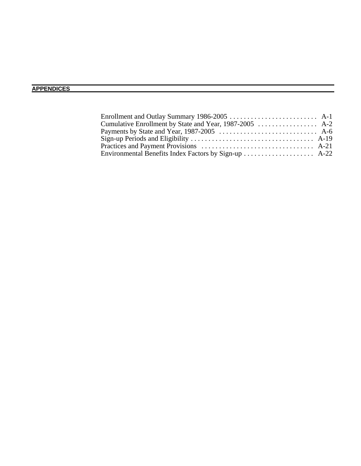### **APPENDICES**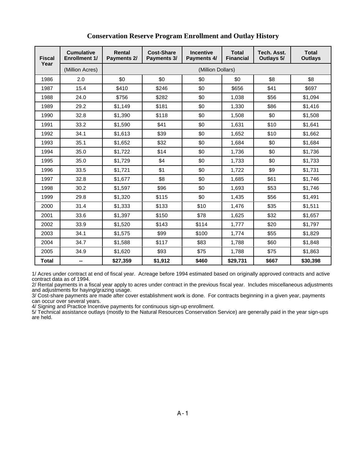| <b>Fiscal</b> | <b>Cumulative</b><br><b>Enrollment 1/</b> | <b>Rental</b><br>Payments 2/ | <b>Cost-Share</b><br>Payments 3/ | <b>Incentive</b><br><b>Payments 4/</b> | <b>Total</b><br><b>Financial</b> | Tech. Asst.<br>Outlays 5/ | <b>Total</b><br><b>Outlays</b> |
|---------------|-------------------------------------------|------------------------------|----------------------------------|----------------------------------------|----------------------------------|---------------------------|--------------------------------|
| Year          | (Million Acres)                           |                              |                                  | (Million Dollars)                      |                                  |                           |                                |
| 1986          | 2.0                                       | \$0                          | \$0                              | \$0                                    | \$0                              | \$8                       | \$8                            |
| 1987          | 15.4                                      | \$410                        | \$246                            | \$0                                    | \$656                            | \$41                      | \$697                          |
| 1988          | 24.0                                      | \$756                        | \$282                            | \$0                                    | 1,038                            | \$56                      | \$1,094                        |
| 1989          | 29.2                                      | \$1,149                      | \$181                            | \$0                                    | 1,330                            | \$86                      | \$1,416                        |
| 1990          | 32.8                                      | \$1,390                      | \$118                            | \$0                                    | 1,508                            | \$0                       | \$1,508                        |
| 1991          | 33.2                                      | \$1,590                      | \$41                             | \$0                                    | 1,631                            | \$10                      | \$1,641                        |
| 1992          | 34.1                                      | \$1,613                      | \$39                             | \$0                                    | 1,652                            | \$10                      | \$1,662                        |
| 1993          | 35.1                                      | \$1,652                      | \$32                             | \$0                                    | 1,684                            | \$0                       | \$1,684                        |
| 1994          | 35.0                                      | \$1,722                      | \$14                             | \$0                                    | 1,736                            | \$0                       | \$1,736                        |
| 1995          | 35.0                                      | \$1,729                      | \$4                              | \$0                                    | 1,733                            | \$0                       | \$1,733                        |
| 1996          | 33.5                                      | \$1,721                      | \$1                              | \$0                                    | 1,722                            | \$9                       | \$1,731                        |
| 1997          | 32.8                                      | \$1,677                      | \$8                              | \$0                                    | 1,685                            | \$61                      | \$1,746                        |
| 1998          | 30.2                                      | \$1,597                      | \$96                             | \$0                                    | 1,693                            | \$53                      | \$1,746                        |
| 1999          | 29.8                                      | \$1,320                      | \$115                            | \$0                                    | 1,435                            | \$56                      | \$1,491                        |
| 2000          | 31.4                                      | \$1,333                      | \$133                            | \$10                                   | 1,476                            | \$35                      | \$1,511                        |
| 2001          | 33.6                                      | \$1,397                      | \$150                            | \$78                                   | 1,625                            | \$32                      | \$1,657                        |
| 2002          | 33.9                                      | \$1,520                      | \$143                            | \$114                                  | 1,777                            | \$20                      | \$1,797                        |
| 2003          | 34.1                                      | \$1,575                      | \$99                             | \$100                                  | 1,774                            | \$55                      | \$1,829                        |
| 2004          | 34.7                                      | \$1,588                      | \$117                            | \$83                                   | 1,788                            | \$60                      | \$1,848                        |
| 2005          | 34.9                                      | \$1,620                      | \$93                             | \$75                                   | 1,788                            | \$75                      | \$1,863                        |
| Total         | --                                        | \$27,359                     | \$1,912                          | \$460                                  | \$29,731                         | \$667                     | \$30,398                       |

#### **Conservation Reserve Program Enrollment and Outlay History**

1/ Acres under contract at end of fiscal year. Acreage before 1994 estimated based on originally approved contracts and active contract data as of 1994.

2/ Rental payments in a fiscal year apply to acres under contract in the previous fiscal year. Includes miscellaneous adjustments and adjustments for haying/grazing usage.

3/ Cost-share payments are made after cover establishment work is done. For contracts beginning in a given year, payments can occur over several years.

4/ Signing and Practice Incentive payments for continuous sign-up enrollment.

5/ Technical assistance outlays (mostly to the Natural Resources Conservation Service) are generally paid in the year sign-ups are held.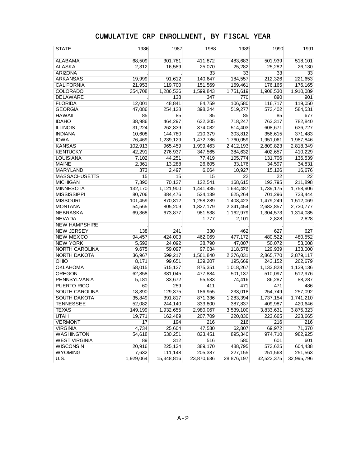| <b>STATE</b>          | 1986      | 1987       | 1988       | 1989       | 1990       | 1991       |
|-----------------------|-----------|------------|------------|------------|------------|------------|
|                       |           |            |            |            |            |            |
| <b>ALABAMA</b>        | 68,509    | 301,781    | 411,872    | 483,683    | 501,939    | 518,101    |
| <b>ALASKA</b>         | 2,312     | 16,589     | 25,070     | 25,282     | 25,282     | 26,130     |
| <b>ARIZONA</b>        |           |            | 33         | 33         | 33         | 33         |
| <b>ARKANSAS</b>       | 19,999    | 91,612     | 140,647    | 184,557    | 212,326    | 221,653    |
| <b>CALIFORNIA</b>     | 21,953    | 119,700    | 151,569    | 169,461    | 176,165    | 176,165    |
| <b>COLORADO</b>       | 354,708   | 1,286,526  | 1,599,843  | 1,751,619  | 1,908,530  | 1,910,089  |
| DELAWARE              |           | 138        | 347        | 770        | 890        | 901        |
| <b>FLORIDA</b>        | 12,001    | 48,841     | 84,759     | 106,580    | 116,717    | 119,050    |
| <b>GEORGIA</b>        | 47,086    | 254,128    | 398,244    | 519,277    | 573,402    | 584,531    |
| <b>HAWAII</b>         | 85        | 85         | 85         | 85         | 85         | 677        |
| <b>IDAHO</b>          | 38,986    | 464,297    | 632,305    | 718,247    | 763,317    | 782,840    |
| <b>ILLINOIS</b>       | 31,224    | 262,839    | 374,082    | 514,403    | 608,671    | 636,727    |
| <b>INDIANA</b>        | 10,608    | 144,780    | 210,379    | 303,812    | 356,615    | 371,483    |
| <b>IOWA</b>           | 76,469    | 1,239,129  | 1,472,786  | 1,760,059  | 1,951,061  | 1,987,846  |
| <b>KANSAS</b>         | 102,913   | 965,459    | 1,999,463  | 2,412,193  | 2,809,823  | 2,818,349  |
| <b>KENTUCKY</b>       | 42,291    | 276,937    | 347,565    | 384,632    | 402,657    | 410,229    |
| <b>LOUISIANA</b>      | 7,102     | 44,251     | 77,419     | 105,774    | 131,706    | 136,539    |
| <b>MAINE</b>          | 2,361     | 13,288     | 26,605     | 33,176     | 34,597     | 34,831     |
| <b>MARYLAND</b>       | 373       | 2,497      | 6,064      | 10,927     | 15,126     | 16,676     |
| <b>MASSACHUSETTS</b>  | 15        | 15         | 15         | 22         | 22         | 22         |
| <b>MICHIGAN</b>       | 7,390     | 70,127     | 122,541    | 168,615    | 192,795    | 211,898    |
| <b>MINNESOTA</b>      | 132,170   | 1,121,900  | 1,441,435  | 1,634,487  | 1,739,175  | 1,758,906  |
| <b>MISSISSIPPI</b>    | 80,706    | 384,476    | 524,139    | 625,264    | 701,296    | 733,444    |
| <b>MISSOURI</b>       | 101,459   | 870,812    | 1,258,289  | 1,408,423  | 1,479,249  | 1,512,069  |
| <b>MONTANA</b>        | 54,565    | 805,209    | 1,827,179  | 2,341,454  | 2,682,857  | 2,730,777  |
| <b>NEBRASKA</b>       | 69,368    | 673,877    | 981,538    | 1,162,979  | 1,304,573  | 1,314,085  |
| <b>NEVADA</b>         |           |            | 1,777      | 2,101      | 2,828      | 2,828      |
| <b>NEW HAMPSHIRE</b>  |           |            |            |            |            |            |
| <b>NEW JERSEY</b>     | 138       | 241        | 330        | 462        | 627        | 627        |
| <b>NEW MEXICO</b>     | 94,457    | 424,003    | 462,069    | 477,172    | 480,522    | 480,552    |
| <b>NEW YORK</b>       | 5,592     | 24,092     | 38,790     | 47,007     | 50,072     | 53,008     |
| <b>NORTH CAROLINA</b> | 9,675     | 59,097     | 97,034     | 118,578    | 129,939    | 133,000    |
| NORTH DAKOTA          | 36,967    | 599,217    | 1,561,840  | 2,276,031  | 2,865,770  | 2,879,117  |
| OHIO                  | 8,171     | 99,651     | 139,207    | 195,669    | 243,152    | 262,679    |
| <b>OKLAHOMA</b>       | 58,015    | 515,127    | 875,351    | 1,018,267  | 1,133,828  | 1,139,136  |
| <b>OREGON</b>         | 62,858    | 381,045    | 477,884    | 501,137    | 510,097    | 512,976    |
| PENNSYLVANIA          | 5,181     | 33,672     | 55,533     | 74,416     | 86,287     | 88,287     |
| PUERTO RICO           | 60        | 259        | 411        | 471        | 471        | 486        |
| SOUTH CAROLINA        | 18,390    | 129,375    | 186,955    | 233,018    | 254,749    | 257,092    |
| <b>SOUTH DAKOTA</b>   | 35,849    | 391,817    | 871,336    | 1,283,394  | 1,737,154  | 1,741,210  |
| <b>TENNESSEE</b>      | 52,082    | 244,140    | 333,800    | 387,837    | 409,987    | 420,646    |
| TEXAS                 | 149,199   | 1,932,655  | 2,980,067  | 3,539,100  | 3,833,631  | 3,875,323  |
| <b>UTAH</b>           | 19,771    | 162,489    | 207,709    | 220,830    | 223,665    | 223,665    |
| <b>VERMONT</b>        | 17        | 194        | 216        | 216        | 216        | 216        |
| <b>VIRGINIA</b>       | 4,734     | 25,604     | 47,530     | 62,807     | 69,972     | 71,370     |
| WASHINGTON            | 54,618    | 530,251    | 823,451    | 895,340    | 974,710    | 982,925    |
| <b>WEST VIRGINIA</b>  | 89        | 312        | 516        | 580        | 601        | 601        |
| <b>WISCONSIN</b>      | 20,916    | 225,134    | 389,170    | 488,795    | 573,625    | 604,438    |
| <b>WYOMING</b>        | 7,632     | 111,148    | 205,387    | 227,155    | 251,563    | 251,563    |
| U.S.                  | 1,929,064 | 15,348,816 | 23,870,636 | 28,876,197 | 32,522,375 | 32,995,796 |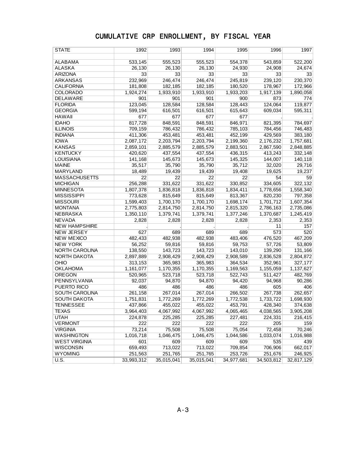| STATE                 | 1992       | 1993       | 1994       | 1995       | 1996       | 1997       |
|-----------------------|------------|------------|------------|------------|------------|------------|
|                       |            |            |            |            |            |            |
| <b>ALABAMA</b>        | 533,145    | 555,523    | 555,523    | 554,378    | 543,859    | 522,200    |
| <b>ALASKA</b>         | 26,130     | 26,130     | 26,130     | 24,930     | 24,908     | 24,674     |
| <b>ARIZONA</b>        | 33         | 33         | 33         | 33         | 33         | 33         |
| <b>ARKANSAS</b>       | 232,969    | 246,474    | 246,474    | 245,819    | 239,120    | 230,370    |
| <b>CALIFORNIA</b>     | 181,808    | 182,185    | 182,185    | 180,520    | 178,967    | 172,966    |
| COLORADO              | 1,924,274  | 1,933,910  | 1,933,910  | 1,933,203  | 1,917,139  | 1,890,058  |
| DELAWARE              | 901        | 901        | 901        | 900        | 873        | 774        |
| <b>FLORIDA</b>        | 123,045    | 128,584    | 128,584    | 128,443    | 124,064    | 119,877    |
| <b>GEORGIA</b>        | 599,194    | 616,501    | 616,501    | 615,643    | 609,034    | 595.311    |
| <b>HAWAII</b>         | 677        | 677        | 677        | 677        |            |            |
| <b>IDAHO</b>          | 817,728    | 848,591    | 848,591    | 846,971    | 821,395    | 784,697    |
| <b>ILLINOIS</b>       | 709,159    | 786,432    | 786,432    | 785,103    | 784,456    | 746,483    |
| <b>INDIANA</b>        | 411,306    | 453,481    | 453,481    | 452,199    | 429,569    | 383,180    |
| <b>IOWA</b>           | 2,087,172  | 2,203,794  | 2,203,794  | 2,199,360  | 2,176,232  | 1,757,681  |
| <b>KANSAS</b>         | 2,859,101  | 2,885,579  | 2,885,579  | 2,883,501  | 2,867,590  | 2,848,885  |
| <b>KENTUCKY</b>       | 420,620    | 437,554    | 437,554    | 436,315    | 413,243    | 332,148    |
| <b>LOUISIANA</b>      | 141,168    | 145,673    | 145,673    | 145,325    | 144,007    | 140,118    |
| <b>MAINE</b>          | 35,517     | 35,790     | 35,790     | 35,712     | 32,020     | 29,716     |
| <b>MARYLAND</b>       | 18,489     | 19,439     | 19,439     | 19,408     | 19,625     | 19,237     |
| <b>MASSACHUSETTS</b>  | 22         | 22         | 22         | 22         | 54         | 59         |
| <b>MICHIGAN</b>       | 256,288    | 331,622    | 331,622    | 330,852    | 334,605    | 322,132    |
| <b>MINNESOTA</b>      | 1,807,378  | 1,836,818  | 1,836,818  | 1,834,411  | 1,778,656  | 1,558,340  |
| <b>MISSISSIPPI</b>    | 773,628    | 815,649    | 815,649    | 813,367    | 820,230    | 797,358    |
| <b>MISSOURI</b>       | 1,599,403  | 1,700,170  | 1,700,170  | 1,698,174  | 1,701,712  | 1,607,354  |
| <b>MONTANA</b>        | 2,775,803  | 2,814,750  | 2,814,750  | 2,815,320  | 2,786,163  | 2,735,086  |
| <b>NEBRASKA</b>       | 1,350,110  | 1,379,741  | 1,379,741  | 1,377,246  | 1,370,687  | 1,245,419  |
| <b>NEVADA</b>         | 2,828      | 2,828      | 2,828      | 2,828      | 2,353      | 2,353      |
| <b>NEW HAMPSHIRE</b>  |            |            |            |            | 11         | 157        |
| <b>NEW JERSEY</b>     | 627        | 689        | 689        | 689        | 573        | 520        |
| <b>NEW MEXICO</b>     | 482,433    | 482,938    | 482,938    | 483,406    | 476,520    | 467,209    |
| <b>NEW YORK</b>       | 56,252     | 59,816     | 59,816     | 59,753     | 57,726     | 53,809     |
| NORTH CAROLINA        | 138,550    | 143,723    | 143,723    | 143,010    | 139,290    | 131,166    |
| NORTH DAKOTA          | 2,897,889  | 2,908,429  | 2,908,429  | 2,908,589  | 2,836,528  | 2,804,872  |
| OHIO                  | 313,153    | 365,983    | 365,983    | 364,534    | 352,961    | 327,177    |
| <b>OKLAHOMA</b>       | 1,161,077  | 1,170,355  | 1,170,355  | 1,169,563  | 1,155,059  | 1,137,627  |
| <b>OREGON</b>         | 520,965    | 523,718    | 523,718    | 522,743    | 511,427    | 482,769    |
| <b>PENNSYLVANIA</b>   | 92,037     | 94,870     | 94,870     | 94,420     | 94,968     | 90,286     |
| PUERTO RICO           | 486        | 486        | 486        | 486        | 605        | 406        |
| <b>SOUTH CAROLINA</b> | 261,158    | 267,014    | 267,014    | 266,502    | 267,738    | 262,657    |
| <b>SOUTH DAKOTA</b>   | 1,751,831  | 1,772,269  | 1,772,269  | 1,772,538  | 1,733,722  | 1,698,930  |
| <b>TENNESSEE</b>      | 437,866    | 455,022    | 455,022    | 453,791    | 428,340    | 374,638    |
| TEXAS                 | 3,964,403  | 4,067,992  | 4,067,992  | 4,065,465  | 4,038,565  | 3,905,208  |
| <b>UTAH</b>           | 224,878    | 225,285    | 225,285    | 227,481    | 224,331    | 216,415    |
| <b>VERMONT</b>        | 222        | 222        | 222        | 222        | 205        | 159        |
| <b>VIRGINIA</b>       | 73,214     | 75,508     | 75,508     | 75,054     | 72,458     | 70,246     |
| <b>WASHINGTON</b>     | 1,016,718  | 1,046,475  | 1,046,475  | 1,044,586  | 1,033,074  | 1,016,988  |
| <b>WEST VIRGINIA</b>  | 601        | 609        | 609        | 609        | 535        | 439        |
| <b>WISCONSIN</b>      | 659,493    | 713,022    | 713,022    | 709,854    | 706,906    | 662,017    |
| <b>WYOMING</b>        | 251,563    | 251,765    | 251,765    | 253,726    | 251,676    | 246,925    |
| U.S.                  | 33,993,312 | 35,015,041 | 35,015,041 | 34,977,681 | 34,503,812 | 32,817,129 |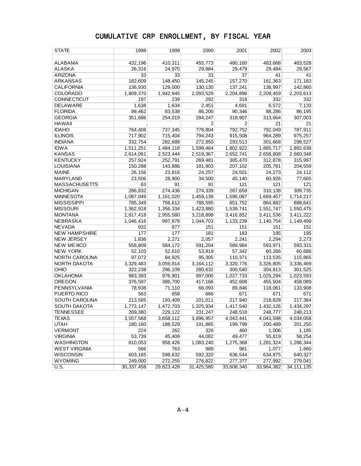| <b>STATE</b>          | 1998       | 1999       | 2000           | 2001           | 2002       | 2003         |
|-----------------------|------------|------------|----------------|----------------|------------|--------------|
|                       |            |            |                |                |            |              |
| <b>ALABAMA</b>        | 432,196    | 410,311    | 455,773        | 480,160        | 483,668    | 483,528      |
| <b>ALASKA</b>         | 26,316     | 24,970     | 29.984         | 29,479         | 29,484     | 29,567       |
| <b>ARIZONA</b>        | 33         | 33         | 33             | 37             | 41         | 41           |
| <b>ARKANSAS</b>       | 182,609    | 148,450    | 145,245        | 157,270        | 161,363    | 171,183      |
| <b>CALIFORNIA</b>     | 136,930    | 129,000    | 130,130        | 137,241        | 138,997    | 142,860      |
| COLORADO              | 1,809,370  | 1,942,945  | 2,093,529      | 2,204,898      | 2,209,459  | 2,203,613    |
| <b>CONNECTICUT</b>    | 197        | 239        | 292            | 318            | 332        | 332          |
| <b>DELAWARE</b>       | 1,638      | 1,634      | 2,451          | 4,691          | 6,572      | 7,133        |
| <b>FLORIDA</b>        | 99,462     | 83,538     | 86,200         | 90,346         | 88,286     | 86,195       |
| <b>GEORGIA</b>        | 351,686    | 254,019    | 284,247        | 318,907        | 313,664    | 307,003      |
| <b>HAWAII</b>         |            |            | $\overline{2}$ | $\overline{2}$ | 21         | 21           |
| <b>IDAHO</b>          | 764,408    | 737,345    | 778,804        | 792,752        | 792,049    | 787,911      |
| <b>ILLINOIS</b>       | 717,902    | 715,404    | 794,243        | 915,508        | 964,289    | 975,257      |
| <b>INDIANA</b>        | 332,754    | 282,688    | 272,850        | 293,513        | 301,668    | 298,527      |
| <b>IOWA</b>           | 1,511,251  | 1,484,118  | 1,599,464      | 1,802,922      | 1,865,717  | 1,882,638    |
| <b>KANSAS</b>         | 2,614,061  | 2,523,444  | 2,519,367      | 2,652,741      | 2,658,808  | 2,660,348    |
| <b>KENTUCKY</b>       | 257,924    | 252,791    | 269,481        | 305,470        | 312,878    | 315,997      |
| <b>LOUISIANA</b>      | 150,288    | 143,886    | 181,903        | 207,102        | 205,781    | 204,559      |
| <b>MAINE</b>          | 26,156     | 23,816     | 24,257         | 24,501         | 24,273     | 24,112       |
| MARYLAND              | 23,506     | 28,900     | 34,500         | 45,140         | 60,926     | 77,665       |
| <b>MASSACHUSETTS</b>  | 63         | 91         | 91             | 121            | 121        | 121          |
| <b>MICHIGAN</b>       | 286,832    | 274,436    | 274,339        | 287,659        | 310,138    | 309,735      |
| <b>MINNESOTA</b>      | 1,087,049  | 1,161,020  | 1,459,139      | 1,596,087      | 1,669,457  | 1,714,217    |
| <b>MISSISSIPPI</b>    | 785,349    | 756,612    | 788,595        | 851,752        | 864,882    | 888,641      |
| <b>MISSOURI</b>       | 1,362,918  | 1,356,334  | 1,423,880      | 1,539,741      | 1,551,747  | 1,550,475    |
| <b>MONTANA</b>        | 2,817,418  | 2,955,580  | 3,218,899      | 3,416,852      | 3,411,536  | 3,411,222    |
| <b>NEBRASKA</b>       | 1,046,416  | 997,878    | 1,044,703      | 1,133,239      | 1,140,754  | 1,149,499    |
| <b>NEVADA</b>         | 932        | 877        | 151            | 151            | 151        | 151          |
| <b>NEW HAMPSHIRE</b>  | 177        | 177        | 181            | 183            | 195        | 195          |
| <b>NEW JERSEY</b>     | 1,836      | 2,271      | 2,057          | 2,241          | 2,294      | 2,273        |
| <b>NEW MEXICO</b>     | 558,809    | 584,172    | 591,204        | 589,984        | 593,971    | 593,315      |
| <b>NEW YORK</b>       | 52,103     | 52,610     | 53,819         | 57,342         | 60,266     | 60,688       |
| NORTH CAROLINA        | 97,072     | 84,925     | 95,305         | 110,371        | 113,535    | 115,865      |
| NORTH DAKOTA          | 3,329,483  | 3,059,814  | 3,164,112      | 3,320,776      | 3,326,805  | 3,336,469    |
| OHIO                  | 322,238    | 296,109    | 280,632        | 300,540        | 304,813    | 301,525      |
| <b>OKLAHOMA</b>       | 983,393    | 976,901    | 997,000        | 1,027,733      | 1,025,294  | 1,023,593    |
| <b>OREGON</b>         | 376,597    | 386,700    | 417,166        | 452,608        | 455,504    | 458,089      |
| PENNSYLVANIA          | 78,936     | 71,110     | 66,093         | 89,846         | 118,061    | 133,908      |
| PUERTO RICO           | 563        | 658        | 666            | 671            | 671        | 671          |
| <b>SOUTH CAROLINA</b> | 213,585    | 193,409    | 201,011        | 217,940        | 218,828    | 217,364      |
| <b>SOUTH DAKOTA</b>   | 1,773,147  | 1,472,703  | 1,325,934      | 1,417,540      | 1,432,126  | 1,434,297    |
| TENNESSEE             | 269,380    | 229,122    | 231,247        | 248,518        | 248,777    | 248,213      |
| <b>TEXAS</b>          | 3,557,568  | 3,658,112  | 3,896,957      | 4,043,441      | 4,043,598  | 4,034,058    |
| <b>UTAH</b>           | 180,160    | 188,529    | 191,865        | 199,799        | 200,489    | 201,250      |
| <b>VERMONT</b>        | 224        | 262        | 326            | 460            | 1,006      | 1,185        |
| <b>VIRGINIA</b>       | 53,739     | 45,409     | 44,082         | 49,477         | 55,819     | 58,254       |
| <b>WASHINGTON</b>     | 810,053    | 958,426    | 1,083,240      | 1,275,368      | 1,281,324  | 1,286,344    |
| <b>WEST VIRGINIA</b>  | 566        | 763        | 989            | 981            | 1,077      | 1,660        |
| <b>WISCONSIN</b>      | 603,165    | 598,632    | 592,320        | 636,544        | 634,875    | 640,327      |
| <b>WYOMING</b>        | 249,000    | 272,255    | 276,822        | 277,377        | 277,992    | 279,041      |
| U.S.                  | 30,337,458 | 29,823,428 | 31,425,580     | 33,608,340     | 33,964,382 | 34, 111, 135 |
|                       |            |            |                |                |            |              |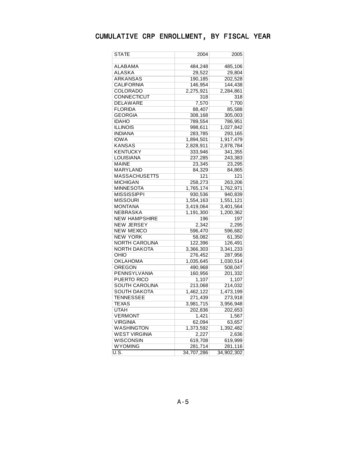| STATE                 | 2004       | 2005       |
|-----------------------|------------|------------|
|                       |            |            |
| ALABAMA               | 484,248    | 485,106    |
| ALASKA                | 29,522     | 29,804     |
| ARKANSAS              | 190,185    | 202,528    |
| CALIFORNIA            | 146,954    | 144,438    |
| COLORADO              | 2,275,921  | 2,284,861  |
| CONNECTICUT           | 318        | 318        |
| DELAWARE              | 7,570      | 7,700      |
| <b>FLORIDA</b>        | 88,407     | 85,588     |
| <b>GEORGIA</b>        | 308,168    | 305,003    |
| <b>IDAHO</b>          | 789,554    | 786,951    |
| <b>ILLINOIS</b>       | 998,611    | 1,027,842  |
| <b>INDIANA</b>        | 283,785    | 293,165    |
| <b>IOWA</b>           | 1,894,501  | 1,917,479  |
| <b>KANSAS</b>         | 2,828,911  | 2,878,784  |
| KENTUCKY              | 333,946    | 341,355    |
| LOUISIANA             | 237,285    | 243,383    |
| <b>MAINE</b>          | 23,345     | 23,295     |
| MARYLAND              | 84,329     | 84,865     |
| <b>MASSACHUSETTS</b>  | 121        | 121        |
| <b>MICHIGAN</b>       | 258,273    | 263,206    |
| <b>MINNESOTA</b>      | 1,765,174  | 1,762,971  |
| <b>MISSISSIPPI</b>    | 930,536    | 940,839    |
| <b>MISSOURI</b>       | 1,554,163  | 1,551,121  |
| <b>MONTANA</b>        | 3,419,064  | 3,401,564  |
| <b>NEBRASKA</b>       | 1,191,300  | 1,200,362  |
| <b>NEW HAMPSHIRE</b>  | 196        | 197        |
| <b>NEW JERSEY</b>     | 2,342      | 2,295      |
| <b>NEW MEXICO</b>     | 596,470    | 596,682    |
| <b>NEW YORK</b>       | 58,082     | 61,350     |
| <b>NORTH CAROLINA</b> | 122,396    | 126,491    |
| <b>NORTH DAKOTA</b>   | 3,366,303  | 3,341,233  |
| OHIO                  | 276,452    | 287,956    |
| OKLAHOMA              | 1,035,645  | 1,030,514  |
| OREGON                | 490,968    | 508,047    |
| PENNSYLVANIA          | 160,956    | 201,332    |
| PUERTO RICO           | 1,107      | 1,107      |
| SOUTH CAROLINA        | 213,068    | 214,032    |
| SOUTH DAKOTA          | 1,462,122  | 1,473,199  |
| <b>TENNESSEE</b>      | 271,439    | 273,918    |
| <b>TEXAS</b>          | 3,981,715  | 3,956,948  |
| <b>UTAH</b>           | 202,836    | 202,653    |
| <b>VERMONT</b>        | 1,421      | 1,567      |
| <b>VIRGINIA</b>       | 62,094     | 63,657     |
| WASHINGTON            | 1,373,592  | 1,392,482  |
| <b>WEST VIRGINIA</b>  | 2,227      | 2,636      |
| <b>WISCONSIN</b>      | 619,708    | 619,999    |
| <b>WYOMING</b>        | 281,714    | 281,116    |
| U.S.                  | 34,707,286 | 34,902,302 |
|                       |            |            |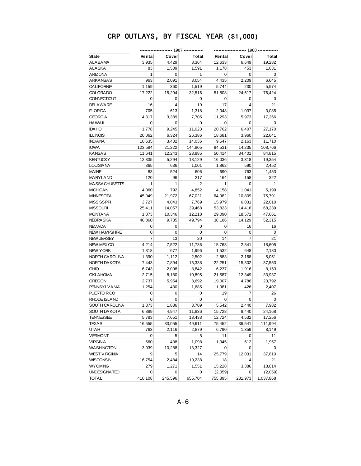| State                | Rental  | Cover          | Total        | Rental  | Cover          | Total        |  |  |
|----------------------|---------|----------------|--------------|---------|----------------|--------------|--|--|
| ALABAMA              | 3,935   | 4,429          | 8,364        | 12,633  | 6,649          | 19,282       |  |  |
| ALASKA               | 83      | 1,509          | 1,591        | 1,178   | 453            | 1,631        |  |  |
| ARIZONA              | 1       | 0              | $\mathbf{1}$ | 0       | $\mathbf 0$    | 0            |  |  |
| ARKANSAS             | 963     | 2,091          | 3,054        | 4,435   | 2,209          | 6,645        |  |  |
| <b>CALIFORNIA</b>    | 1,159   | 360            | 1,519        | 5,744   | 230            | 5,974        |  |  |
| <b>COLORADO</b>      | 17,222  | 15,294         | 32,516       | 51,808  | 24,617         | 76,424       |  |  |
| CONNECTICUT          | 0       | 0              | 0            | 0       | 0              | 0            |  |  |
| <b>DELAWARE</b>      | 16      | $\overline{4}$ | 19           | 17      | $\overline{4}$ | 21           |  |  |
| <b>FLORIDA</b>       | 705     | 613            | 1,318        | 2,048   | 1,037          | 3,085        |  |  |
| <b>GEORGIA</b>       | 4,317   | 3,389          | 7,705        | 11,293  | 5,973          | 17,266       |  |  |
| <b>HAWAII</b>        | 0       | $\mathbf 0$    | 0            | 0       | 0              | 0            |  |  |
| <b>IDAHO</b>         | 1,778   | 9,245          | 11,023       | 20,762  | 6,407          | 27,170       |  |  |
| <b>ILLINOIS</b>      | 20,062  | 6,324          | 26,386       | 18,681  | 3,960          | 22,641       |  |  |
| <b>INDIANA</b>       | 10,635  | 3,402          | 14,036       | 9,547   | 2,163          | 11,710       |  |  |
| <b>IOWA</b>          | 123,584 | 21,222         | 144,805      | 94,531  | 14,235         | 108,766      |  |  |
| <b>KANSAS</b>        | 11,641  | 12,243         | 23,885       | 50,414  | 34,401         | 84,815       |  |  |
| <b>KENTUCKY</b>      | 12,835  | 5,294          | 18,129       | 16,036  | 3,318          | 19,354       |  |  |
| <b>LOUISIANA</b>     | 365     | 636            | 1,001        | 1,862   | 590            | 2,452        |  |  |
| <b>MAINE</b>         | 83      | 524            | 606          | 690     | 763            | 1,453        |  |  |
| MARYLAND             | 120     | 96             | 217          | 164     | 158            | 322          |  |  |
| <b>MASSACHUSETTS</b> | 1       | $\mathbf{1}$   | 2            | 1       | 0              | $\mathbf{1}$ |  |  |
| <b>MICHIGAN</b>      | 4,060   | 792            | 4,852        | 4,158   | 1,041          | 5,199        |  |  |
| <b>MINNESOTA</b>     | 45,049  | 21,972         | 67,021       | 64,982  | 10,809         | 75,791       |  |  |
| <b>MISSISSIPPI</b>   | 3,727   | 4,043          | 7,769        | 15,979  | 6,031          | 22,010       |  |  |
| <b>MISSOURI</b>      | 25,411  | 14,057         | 39,468       | 53,823  | 14,416         | 68,239       |  |  |
| <b>MONTANA</b>       | 1,873   | 10,346         | 12,218       | 29,090  | 18,571         | 47,661       |  |  |
| NEBRASKA             | 40,060  | 9,735          | 49,794       | 38,186  | 14,129         | 52,315       |  |  |
| <b>NEV ADA</b>       | 0       | 0              | 0            | 0       | 16             | 16           |  |  |
| <b>NEW HAMPSHIRE</b> | 0       | $\mathbf 0$    | 0            | 0       | 0              | 0            |  |  |
| <b>NEW JERSEY</b>    | 7       | 13             | 20           | 14      | 7              | 21           |  |  |
| <b>NEW MEXICO</b>    | 4,214   | 7,522          | 11,736       | 15,763  | 2,841          | 18,605       |  |  |
| <b>NEW YORK</b>      | 1,318   | 677            | 1,996        | 1,532   | 648            | 2,180        |  |  |
| NORTH CAROLINA       | 1,390   | 1,112          | 2,502        | 2,883   | 2,168          | 5,051        |  |  |
| NORTH DAKOTA         | 7,443   | 7,894          | 15,338       | 22,251  | 15,302         | 37,553       |  |  |
| OHIO                 | 6,743   | 2,098          | 8,842        | 6,237   | 1,916          | 8,153        |  |  |
| <b>OKLAHOMA</b>      | 2,715   | 8,180          | 10,895       | 21,587  | 12,349         | 33,937       |  |  |
| <b>OREGON</b>        | 2,737   | 5,954          | 8,692        | 19,007  | 4,786          | 23,792       |  |  |
| <b>PENNSYLVANIA</b>  | 1,254   | 430            | 1,685        | 1,981   | 426            | 2,407        |  |  |
| PUERTO RICO          | 0       | 0              | 0            | 19      | 7              | 26           |  |  |
| RHODE ISLAND         | 0       | $\mathbf 0$    | 0            | 0       | 0              | 0            |  |  |
| SOUTH CAROLINA       | 1,873   | 1,836          | 3,709        | 5,542   | 2,440          | 7,982        |  |  |
| SOUTH DAKOTA         | 6,889   | 4,947          | 11,836       | 15,728  | 8,440          | 24,168       |  |  |
| TENNESSEE            | 5,783   | 7,651          | 13,433       | 12,724  | 4,532          | 17,256       |  |  |
| <b>TEXAS</b>         | 16,555  | 33,055         | 49,611       | 75,452  | 36,541         | 111,994      |  |  |
| UTAH                 | 763     | 2,116          | 2,879        | 6,790   | 1,359          | 8,149        |  |  |
| <b>VERMONT</b>       | 0       | 5              | 5            | 11      | 0              | 11           |  |  |
| <b>VIRGINIA</b>      | 660     | 438            | 1,098        | 1,345   | 612            | 1,957        |  |  |
| WASHINGTON           | 3,039   | 10,288         | 13,327       | 0       | 0              | 0            |  |  |
| <b>WEST VIRGINIA</b> | 9       | 5              | 14           | 25,779  | 12,031         | 37,810       |  |  |
| WISCONSIN            | 16,754  | 2,484          | 19,238       | 18      | 4              | 21           |  |  |
| <b>WYOMING</b>       | 279     | 1,271          | 1,551        | 15,228  | 3,386          | 18,614       |  |  |
| UNDESIGNATED         | 0       | 0              | 0            | (2,059) | 0              | (2,059)      |  |  |
| TOTAL                | 410,108 | 245,596        | 655,704      | 755,895 | 281,973        | 1,037,868    |  |  |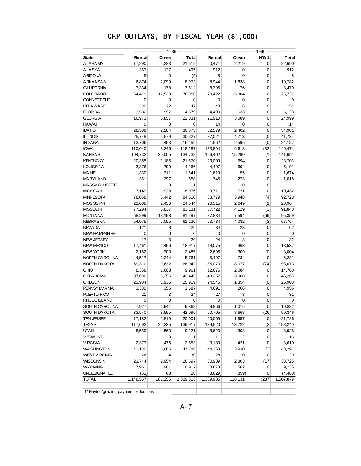|                                       |                        |              |                 | ---- 1990 ------- |                       |               |                  |  |
|---------------------------------------|------------------------|--------------|-----------------|-------------------|-----------------------|---------------|------------------|--|
| <b>State</b>                          | Rental                 | Cover        | Total           | Rental            | Cover                 | <b>H/G 1/</b> | Total            |  |
| ALABAMA                               | 17,290                 | 4,223        | 21,512          | 20,471            | 2,219                 | 0             | 22,690           |  |
| ALASKA                                | 367                    | 127          | 495             | 912               | 0                     | 0             | 912              |  |
| <b>ARIZONA</b>                        | (5)                    | $\mathbf 0$  | (5)             | 8                 | 0                     | 0             | 8                |  |
| <b>ARKANSAS</b>                       | 6,874                  | 2,099        | 8,973           | 8,944             | 1,838                 | 0             | 10,782           |  |
| <b>CALIFORNIA</b>                     | 7,334                  | 178          | 7,512           | 8,395             | 76                    | 0             | 8,470            |  |
| <b>COLORADO</b>                       | 64,419                 | 12,539       | 76,958          | 70,422            | 5,304                 | 0             | 75,727           |  |
| <b>CONNECTICUT</b>                    | 0                      | 0            | 0               | 0                 | 0                     | 0             | 0                |  |
| <b>DELAWARE</b>                       | 20                     | 22           | 42              | 48                | 6                     | 0             | 54               |  |
| <b>FLORIDA</b>                        | 3,582                  | 997          | 4,579           | 4,490             | 633                   | 0             | 5,123            |  |
| <b>GEORGIA</b>                        | 16,973                 | 5,857        | 22,831          | 21,910            | 3,089                 | 0             | 24,999           |  |
| <b>HAWAII</b>                         | 0                      | 0            | 0               | 14                | 0                     | 0             | 14               |  |
| <b>IDAHO</b>                          | 28,589                 | 2,284        | 30,873          | 32,579            | 2,402                 | 0             | 34,981           |  |
| <b>ILLINOIS</b>                       | 25,748                 | 4,579        | 30,327          | 37,021            | 4,713                 | (0)           | 41,734           |  |
| <b>INDIANA</b>                        | 13,706                 | 2,453        | 16,159          | 21,562            | 2,596                 | (0)           | 24,157           |  |
| <b>IOWA</b>                           | 110,040                | 8,246        | 118,287         | 133,894           | 6,613                 | (33)          | 140,474          |  |
| <b>KANSAS</b>                         | 104,732                | 30,005       | 134,738         | 126,402           | 15,290                | (1)           | 141,691          |  |
| <b>KENTUCKY</b>                       | 20,385                 | 1,185        | 21,570          | 23,009            | 694                   | 0             | 23,703           |  |
| <b>LOUISIANA</b>                      | 3,376                  | 790          | 4,166           | 4,497             | 694                   | 0             | 5,191            |  |
| <b>MAINE</b>                          | 1,330                  | 311          | 1,641           | 1,619             | 55                    | 0             | 1,674            |  |
| MARYLAND                              | 361                    | 297          | 658             | 745               | 273                   | 0             | 1,018            |  |
| <b>MASSACHUSETTS</b>                  | $\mathbf{1}$           | $\mathbf 0$  | $\mathbf{1}$    | 1                 | 0                     | 0             | $\mathbf{1}$     |  |
| <b>MICHIGAN</b>                       | 7,149                  | 928          | 8,076           | 9,711             | 721                   | 0             | 10,432           |  |
| <b>MINNESOTA</b>                      | 78,068                 | 6,442        | 84,510          | 88,779            | 3,948                 | (4)           | 92,723           |  |
| <b>MISSISSIPPI</b>                    | 22,088                 | 2,456        | 24,544          | 26,315            | 2,649                 | (1)           | 28,964           |  |
| <b>MISSOURI</b>                       | 77,294                 | 5,837        | 83,131          | 87,722            | 4,129                 | (3)           | 91,848           |  |
| <b>MONTANA</b>                        | 68,299                 | 13,198       | 81,497          | 87,834            | 7,594                 | (69)          | 95,359           |  |
| NEBRASKA                              | 54,075                 | 7,055        | 61,130          | 63,734            | 4,032                 | (3)           | 67,764           |  |
| <b>NEVADA</b>                         | 121                    | 8            | 129             | 34                | 28                    | 0             | 62               |  |
| <b>NEW HAMPSHIRE</b>                  | 0                      | 0            | 0               | $\mathbf 0$       | 0                     | 0             | 0                |  |
| <b>NEW JERSEY</b>                     | 17                     | 3            | 20              | 24                | 8                     | 0             | 32               |  |
| <b>NEW MEXICO</b>                     | 17,461                 | 1,456        | 18,917          | 18,075            | 463                   | 0             | 18,537           |  |
| <b>NEW YORK</b>                       | 2,182                  | 303          | 2,485           | 2,695             | 309                   | (0)           | 3,004            |  |
| NORTH CAROLINA                        | 4,517                  | 1,244        | 5,761           | 5,497             | 734                   | 0             | 6,231            |  |
| NORTH DAKOTA                          | 59,310                 | 9,632        | 68,942          | 85,070            | 8,077                 | (74)          | 93,073           |  |
| OHIO                                  | 8,358                  | 1,603        | 9,961           | 12,676            | 2,084                 | 0             | 14,760           |  |
| <b>OKLAHOMA</b>                       | 37,090                 | 5,356        | 42,445          | 43,257            | 3,008                 | 0             | 46,265           |  |
| OREGON                                | 23,984                 |              |                 |                   | 1,354                 |               |                  |  |
| PENNSYLVANIA                          | 3,330                  | 1,935<br>356 | 25,919          | 24,546            | 266                   | (0)<br>0      | 25,900           |  |
| PUERTO RICO                           | 21                     | 3            | 3,687<br>24     | 4,691<br>27       | 3                     | 0             | 4,956            |  |
| RHODE ISLAND                          | 0                      | 0            | $\mathbf 0$     | 0                 | 0                     | 0             | 31<br>0          |  |
|                                       | 7,927                  |              |                 |                   |                       | 0             |                  |  |
| SOUTH CAROLINA<br>SOUTH DAKOTA        | 33,540                 | 1,941        | 9,868<br>42,095 | 9,866<br>50,705   | 1,016<br>8,668        | (26)          | 10,882<br>59,346 |  |
|                                       |                        | 8,555        |                 |                   |                       |               |                  |  |
| <b>TENNESSEE</b>                      | 17,182                 | 2,819        | 20,001          | 20,069<br>139,520 | 1,657                 | 0             | 21,726           |  |
| TEXAS                                 | 117,692                | 22,225       | 139,917         |                   | 13,722                | (2)           | 153,240          |  |
| <b>UTAH</b>                           | 8,559                  | 563          | 9,121           | 8,620             | 308<br>$\overline{2}$ | 0             | 8,928            |  |
| <b>VERMONT</b>                        | 11                     | 0            | 11              | 11                |                       | 0             | 13               |  |
| <b>VIRGINIA</b>                       | 2,377                  | 476          | 2,853           | 3,189             | 421                   | 0             | 3,610            |  |
| <b>WASHINGTON</b>                     | 41,120                 | 6,665        | 47,786          | 44,363            | 3,930                 | (3)           | 48,291           |  |
| <b>WEST VIRGINIA</b>                  | 26                     | 4            | 30              | 28                | 0                     | 0             | 29               |  |
| WISCONSIN                             | 23,744                 | 2,954        | 26,697          | 30,939            | 2,803                 | (17)          | 33,725           |  |
| <b>WY OMING</b>                       | 7,951                  | 961          | 8,912           | 8,673             | 562                   | 0             | 9,235            |  |
| UNDESIGNATED                          | (61)                   | 88           | 28              | (3,629)           | (859)                 | 0             | (4, 488)         |  |
| <b>TOTAL</b>                          | $\overline{1,}148,557$ | 181,255      | 1,329,813       | 1,389,985         | 118,131               | (237)         | 1,507,879        |  |
|                                       |                        |              |                 |                   |                       |               |                  |  |
| 1/ Haying/grazing payment reductions. |                        |              |                 |                   |                       |               |                  |  |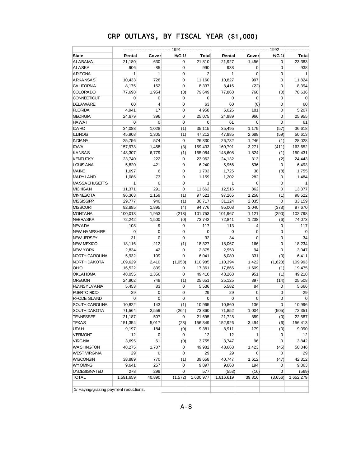| <b>State</b>                          | Rental       | Cover        | <b>H/G 1/</b> | Total          | Rental       | <b>Cover</b>   | <b>H/G 1/</b> | Total       |  |
|---------------------------------------|--------------|--------------|---------------|----------------|--------------|----------------|---------------|-------------|--|
| ALABAMA                               | 21,180       | 630          | 0             | 21,810         | 21,927       | 1,456          | 0             | 23,383      |  |
| <b>ALASKA</b>                         | 906          | 85           | 0             | 990            | 938          | 0              | 0             | 938         |  |
| <b>ARIZONA</b>                        | $\mathbf{1}$ | $\mathbf{1}$ | 0             | $\overline{2}$ | $\mathbf{1}$ | $\mathbf 0$    | 0             | 1           |  |
| <b>ARKANSAS</b>                       | 10,433       | 726          | 0             | 11,160         | 10,827       | 997            | 0             | 11,824      |  |
| <b>CALIFORNIA</b>                     | 8,175        | 162          | 0             | 8,337          | 8,416        | (22)           | 0             | 8,394       |  |
| <b>COLORADO</b>                       | 77,698       | 1,954        | (3)           | 79,649         | 77,868       | 768            | (0)           | 78,636      |  |
| <b>CONNECTICUT</b>                    | $\mathbf 0$  | 0            | 0             | 0              | 0            | $\mathbf 0$    | 0             | 0           |  |
| <b>DELAWARE</b>                       | 60           | 4            | 0             | 63             | 60           | (0)            | 0             | 60          |  |
| <b>FLORIDA</b>                        | 4,941        | 17           | 0             | 4,958          | 5,026        | 181            | 0             | 5,207       |  |
| <b>GEORGIA</b>                        | 24,679       | 396          | 0             | 25,075         | 24,989       | 966            | 0             | 25,955      |  |
| <b>HAWAII</b>                         | 0            | $\mathbf 0$  | 0             | 0              | 61           | $\mathbf 0$    | 0             | 61          |  |
| <b>IDAHO</b>                          | 34,088       | 1,028        | (1)           | 35,115         | 35,495       | 1,179          | (57)          | 36,618      |  |
| <b>ILLINOIS</b>                       | 45,908       | 1,305        | (1)           | 47,212         | 47,985       | 2,688          | (59)          | 50,613      |  |
| <b>INDIANA</b>                        | 25,756       | 574          | 0             | 26,330         | 26,782       | 1,246          | (1)           | 28,028      |  |
| <b>IOWA</b>                           | 157,978      | 1,458        | (3)           | 159,433        | 160,791      | 3,271          | (411)         | 163,652     |  |
| <b>KANSAS</b>                         | 148,307      | 6,779        | (1)           | 155,084        | 148,608      | 1,824          | (1)           | 150,431     |  |
| <b>KENTUCKY</b>                       | 23,740       | 222          | 0             | 23,962         | 24,132       | 313            | (2)           | 24,443      |  |
| <b>LOUISIANA</b>                      | 5,820        | 421          | 0             | 6,240          | 5,956        | 536            | 0             | 6,493       |  |
| <b>MAINE</b>                          | 1,697        | 6            | 0             | 1,703          | 1,725        | 38             | (8)           | 1,755       |  |
| <b>MARYLAND</b>                       | 1,086        | 73           | 0             | 1,159          | 1,202        | 282            | 0             | 1,484       |  |
| <b>MASSACHUSETTS</b>                  | $\mathbf{1}$ | $\mathbf 0$  | 0             | 1              | $\mathbf{1}$ | $\mathbf 0$    | 0             | 1           |  |
| <b>MICHIGAN</b>                       | 11,371       | 291          | 0             | 11,662         | 12,516       | 862            | 0             | 13,377      |  |
| <b>MINNESOTA</b>                      | 96,363       | 1,159        | (1)           | 97,521         | 97,265       | 1,258          | (1)           | 98,522      |  |
| <b>MISSISSIPPI</b>                    | 29,777       | 940          | (1)           | 30,717         | 31,124       | 2,035          | 0             | 33,159      |  |
| <b>MISSOURI</b>                       | 92,885       | 1,895        | (4)           | 94,776         | 95,008       | 3,040          | (378)         | 97,670      |  |
| <b>MONTANA</b>                        | 100,013      | 1,953        | (213)         | 101,753        | 101,967      | 1,121          | (290)         | 102,798     |  |
| <b>NEBRASKA</b>                       | 72,242       | 1,500        | (0)           | 73,742         | 72,841       | 1,238          | (6)           | 74,073      |  |
| <b>NEV ADA</b>                        | 108          | 9            | 0             | 117            | 113          | $\overline{4}$ | 0             | 117         |  |
| <b>NEW HAMPSHIRE</b>                  | 0            | $\mathbf 0$  | 0             | $\mathbf 0$    | 0            | $\mathbf 0$    | 0             | $\mathbf 0$ |  |
| <b>NEW JERSEY</b>                     | 31           | 0            | 0             | 32             | 34           | 0              | 0             | 34          |  |
| <b>NEW MEXICO</b>                     | 18,116       | 212          | (1)           | 18,327         | 18,067       | 166            | 0             | 18,234      |  |
| <b>NEW YORK</b>                       | 2,834        | 42           | 0             | 2,875          | 2,953        | 94             | 0             | 3,047       |  |
| NORTH CAROLINA                        | 5,932        | 109          | 0             | 6,041          | 6,080        | 331            | (0)           | 6,411       |  |
| NORTH DAKOTA                          | 109,629      | 2,410        | (1,053)       | 110,985        | 110,394      | 1,422          | (1,823)       | 109,993     |  |
| <b>OHIO</b>                           | 16,522       | 839          | 0             | 17,361         | 17,866       | 1,609          | (1)           | 19,475      |  |
| <b>OKLAHOMA</b>                       | 48,055       | 1,356        | 0             | 49,410         | 48,268       | 951            | (1)           | 49,218      |  |
| <b>OREGON</b>                         | 24,902       | 749          | (1)           | 25,651         | 25,125       | 397            | (14)          | 25,508      |  |
| <b>PENNSYLVANIA</b>                   | 5,453        | 83           | 0             | 5,536          | 5,582        | 84             | 0             | 5,666       |  |
| PUERTO RICO                           | 29           | $\mathbf 0$  | 0             | 29             | 29           | $\mathbf 0$    | 0             | 29          |  |
| <b>RHODE ISLAND</b>                   | $\mathbf 0$  | 0            | 0             | 0              | $\mathbf 0$  | 0              | 0             | $\mathbf 0$ |  |
| <b>SOUTH CAROLINA</b>                 | 10,822       | 143          | (1)           | 10,965         | 10,860       | 136            | 0             | 10,996      |  |
| SOUTH DAKOTA                          | 71,564       | 2,559        | (264)         | 73,860         | 71,852       | 1,004          | (505)         | 72,351      |  |
| <b>TENNESSEE</b>                      | 21,187       | 507          | 0             | 21,695         | 21,728       | 859            | (0)           | 22,587      |  |
| <b>TEXAS</b>                          | 151,354      | 5,017        | (23)          | 156,349        | 152,926      | 3,494          | (6)           | 156,413     |  |
| <b>UTAH</b>                           | 9,197        | 184          | (0)           | 9,381          | 8,911        | 179            | (0)           | 9,090       |  |
| <b>VERMONT</b>                        | 12           | 0            | 0             | 12             | 12           | 1              | 0             | 12          |  |
| <b>VIRGINIA</b>                       | 3,695        | 61           | (0)           | 3,755          | 3,747        | 96             | 0             | 3,842       |  |
| <b>WASHINGTON</b>                     | 48,275       | 1,707        | 0             | 49,982         | 48,668       | 1,423          | (45)          | 50,046      |  |
| <b>WEST VIRGINIA</b>                  | 29           | 0            | 0             | 29             | 29           | $\mathbf 0$    | 0             | 29          |  |
| <b>WISCONSIN</b>                      | 38,889       | 770          | (1)           | 39,658         | 40,747       | 1,612          | (47)          | 42,312      |  |
| <b>WYOMING</b>                        | 9,641        | 257          | 0             | 9,897          | 9,668        | 194            | 0             | 9,863       |  |
| UNDESIGNATED                          | 278          | 299          | 0             | 577            | (553)        | (16)           | 0             | (569)       |  |
| <b>TOTAL</b>                          | 1,591,659    | 40,890       | (1, 572)      | 1,630,977      | 1,616,619    | 39,316         | (3,656)       | 1,652,279   |  |
|                                       |              |              |               |                |              |                |               |             |  |
| 1/ Haying/grazing payment reductions. |              |              |               |                |              |                |               |             |  |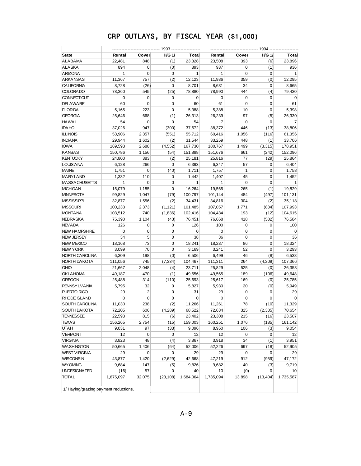| <b>State</b>                          | Rental       | Cover          | <b>H/G 1/</b> | Total        | Rental       | Cover       | <b>H/G 1/</b> | Total        |  |
|---------------------------------------|--------------|----------------|---------------|--------------|--------------|-------------|---------------|--------------|--|
| ALABAMA                               | 22,481       | 848            | (1)           | 23,328       | 23,508       | 393         | (6)           | 23,896       |  |
| <b>ALASKA</b>                         | 894          | 0              | (0)           | 893          | 937          | 0           | (1)           | 936          |  |
| <b>ARIZONA</b>                        | $\mathbf{1}$ | $\mathbf 0$    | 0             | 1            | $\mathbf{1}$ | 0           | 0             | $\mathbf{1}$ |  |
| ARKANSAS                              | 11,367       | 757            | (2)           | 12,123       | 11,936       | 359         | (0)           | 12,295       |  |
| <b>CALIFORNIA</b>                     | 8,728        | (26)           | 0             | 8,701        | 8,631        | 34          | 0             | 8,665        |  |
| <b>COLORADO</b>                       | 78,360       | 545            | (25)          | 78,880       | 78,990       | 444         | (4)           | 79,430       |  |
| <b>CONNECTICUT</b>                    | 0            | 0              | 0             | 0            | 0            | 0           | 0             | 0            |  |
| <b>DELAWARE</b>                       | 60           | 0              | 0             | 60           | 61           | 0           | 0             | 61           |  |
| <b>FLORIDA</b>                        | 5,165        | 223            | 0             | 5,388        | 5,388        | 10          | 0             | 5,398        |  |
| <b>GEORGIA</b>                        | 25,646       | 668            | (1)           | 26,313       | 26,239       | 97          | (5)           | 26,330       |  |
| <b>HAWAII</b>                         | 54           | 0              | 0             | 54           | 7            | 0           | 0             | 7            |  |
| <b>IDAHO</b>                          | 37,026       | 947            | (300)         | 37,672       | 38,372       | 446         | (13)          | 38,806       |  |
| <b>ILLINOIS</b>                       | 53,906       | 2,357          | (551)         | 55,712       | 60,416       | 1,056       | (116)         | 61,356       |  |
| <b>INDIANA</b>                        | 29,944       | 1,602          | (2)           | 31,544       | 33,259       | 448         | (1)           | 33,706       |  |
| <b>IOWA</b>                           | 169,593      | 2,688          | (4, 552)      | 167,730      | 180,767      | 1,499       | (3,315)       | 178,951      |  |
| <b>KANSAS</b>                         | 150,786      | 1,156          | (54)          | 151,888      | 151,676      | 661         | (242)         | 152,096      |  |
| <b>KENTUCKY</b>                       | 24,800       | 383            | (2)           | 25,181       | 25,816       | 77          | (29)          | 25,864       |  |
| <b>LOUISIANA</b>                      | 6,128        | 266            | 0             | 6,393        | 6,347        | 57          | 0             | 6,404        |  |
| <b>MAINE</b>                          | 1,751        | $\mathbf 0$    | (40)          | 1,711        | 1,757        | 1           | 0             | 1,758        |  |
| MARYLAND                              | 1,332        | 110            | 0             | 1,442        | 1,407        | 45          | 0             | 1,452        |  |
| <b>MASSACHUSETTS</b>                  | $\mathbf{1}$ | 0              | 0             | $\mathbf{1}$ | $\mathbf{1}$ | $\mathbf 0$ | 0             | $\mathbf{1}$ |  |
| <b>MICHIGAN</b>                       | 15,079       | 1,185          | 0             | 16,264       | 19,565       | 265         | (1)           | 19,829       |  |
| <b>MINNESOTA</b>                      | 99,829       | 1,047          | (79)          | 100,797      | 101,144      | 484         | (497)         | 101,131      |  |
| <b>MISSISSIPPI</b>                    | 32,877       | 1,556          | (2)           | 34,431       | 34,816       | 304         | (2)           | 35,118       |  |
| <b>MISSOURI</b>                       | 100,233      | 2,373          | (1, 121)      | 101,485      | 107,057      | 1,771       | (834)         | 107,993      |  |
| <b>MONTANA</b>                        | 103,512      | 740            | (1,836)       | 102,416      | 104,434      | 193         | (12)          | 104,615      |  |
| <b>NEBRA SKA</b>                      | 75,390       | 1,104          | (43)          | 76,451       | 76,668       | 418         | (502)         | 76,584       |  |
| <b>NEVADA</b>                         | 126          | 0              | 0             | 126          | 100          | 0           | 0             | 100          |  |
| <b>NEW HAMPSHIRE</b>                  | 0            | 0              | 0             | 0            | $\mathbf 0$  | 0           | 0             | $\mathbf 0$  |  |
| <b>NEW JERSEY</b>                     | 34           | 5              | 0             | 38           | 36           | 0           | 0             | 36           |  |
| <b>NEW MEXICO</b>                     | 18,168       | 73             | 0             | 18,241       | 18,237       | 86          | 0             | 18,324       |  |
| <b>NEW YORK</b>                       | 3,099        | 70             | 0             | 3,169        | 3,241        | 52          | 0             | 3,293        |  |
| NORTH CAROLINA                        | 6,309        | 198            | (0)           | 6,506        | 6,499        | 46          | (8)           | 6,538        |  |
| NORTH DAKOTA                          | 111,056      | 745            | (7, 334)      | 104,467      | 111,311      | 264         | (4,209)       | 107,366      |  |
| <b>OHIO</b>                           | 21,667       | 2,048          | (4)           | 23,711       | 25,829       | 525         | (0)           | 26,353       |  |
| <b>OKLAHOMA</b>                       | 49,187       | 470            | (1)           | 49,656       | 49,565       | 189         | (106)         | 49,648       |  |
| <b>OREGON</b>                         | 25,488       | 314            | (110)         | 25,693       | 25,617       | 169         | (0)           | 25,785       |  |
| <b>PENNSYLVANIA</b>                   | 5,795        | 32             | 0             | 5,827        | 5,930        | 20          | (0)           | 5,949        |  |
| PUERTO RICO                           | 29           | $\overline{2}$ | 0             | 31           | 29           | 0           | 0             | 29           |  |
| RHODE ISLAND                          | $\mathbf 0$  | 0              | 0             | 0            | $\mathbf 0$  | 0           | 0             | $\mathbf 0$  |  |
| SOUTH CAROLINA                        | 11,030       | 238            | (2)           | 11,266       | 11,261       | 78          | (10)          | 11,329       |  |
| SOUTH DAKOTA                          | 72,205       | 606            | (4, 289)      | 68,522       | 72,634       | 325         | (2, 305)      | 70,654       |  |
| TENNESSEE                             | 22,593       | 815            | (6)           | 23,402       | 23,308       | 215         | (16)          | 23,507       |  |
| TEXAS                                 | 156,265      | 2,754          | (15)          | 159,003      | 160,251      | 1,076       | (185)         | 161,142      |  |
| <b>UTAH</b>                           | 9,031        | 97             | (33)          | 9,096        | 8,950        | 106         | (3)           | 9,054        |  |
| <b>VERMONT</b>                        | 12           | $\pmb{0}$      | 0             | 12           | 12           | 0           | 0             | 12           |  |
| <b>VIRGINIA</b>                       | 3,823        | 48             | (4)           | 3,867        | 3,918        | 34          | (1)           | 3,951        |  |
| <b>WASHINGTON</b>                     | 50,665       | 1,406          | (64)          | 52,006       | 52,226       | 697         | (18)          | 52,905       |  |
| <b>WEST VIRGINIA</b>                  | 29           | 0              | 0             | 29           | 29           | 0           | 0             | 29           |  |
| <b>WISCONSIN</b>                      | 43,877       | 1,420          | (2,629)       | 42,668       | 47,219       | 912         | (959)         | 47,172       |  |
| <b>WY OMING</b>                       | 9,684        | 147            | (5)           | 9,826        | 9,682        | 40          | (3)           | 9,719        |  |
| UNDESIGNATED                          | (16)         | 57             | 0             | 40           | 10           | (0)         | 0             | 10           |  |
| <b>TOTAL</b>                          | 1,675,097    | 32,075         | (23, 108)     | 1,684,064    | 1,735,094    | 13,898      | (13, 404)     | 1,735,587    |  |
|                                       |              |                |               |              |              |             |               |              |  |
| 1/ Haying/grazing payment reductions. |              |                |               |              |              |             |               |              |  |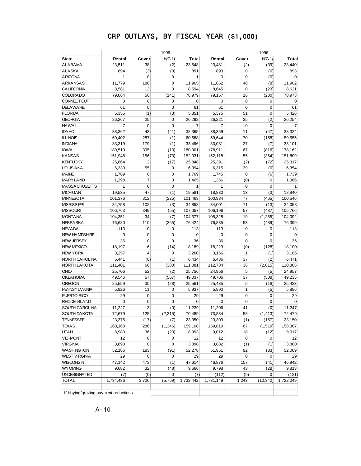| Rental<br>23,511<br>894<br>1 | Cover<br>38<br>(3) | <b>H/G 1/</b><br>(2) | Total<br>23,548                       | Rental<br>23,481 | Cover<br>(2) | <b>H/G 1/</b><br>(39) | Total        |
|------------------------------|--------------------|----------------------|---------------------------------------|------------------|--------------|-----------------------|--------------|
|                              |                    |                      |                                       |                  |              |                       |              |
|                              |                    |                      |                                       |                  |              |                       | 23,440       |
|                              |                    | (0)                  | 891                                   | 893              | 0            | (0)                   | 893          |
|                              | $\mathbf 0$        | $\mathbf 0$          | $\mathbf{1}$                          | $\mathbf 0$      | 0            | (0)                   | $\mathbf 0$  |
| 11,779                       | 186                | 0                    | 11,965                                | 11,862           | 48           | (8)                   | 11,902       |
| 8,581                        | 13                 | 0                    | 8,594                                 | 8,645            | $\mathbf 0$  | (23)                  | 8,621        |
| 79,064                       | 56                 | (141)                | 78,979                                | 79,157           | 16           | (200)                 | 78,973       |
| 0                            | 0                  | 0                    | 0                                     | 0                | $\mathbf 0$  | 0                     | 0            |
| 61                           | $\mathbf 0$        | 0                    | 61                                    | 61               | 0            | 0                     | 61           |
| 5,355                        | (1)                | (3)                  | 5,351                                 | 5,375            | 51           | 0                     | 5,426        |
| 26,267                       | 25                 | 0                    | 26,292                                | 26,221           | 35           | (2)                   | 26,254       |
| 7                            | 0                  | $\mathbf 0$          | 7                                     | 7                | $\mathbf 0$  | 0                     | 7            |
| 38,362                       | 43                 | (41)                 | 38,365                                | 38,359           | 11           | (47)                  | 38,324       |
| 60,402                       | 287                | (1)                  | 60,688                                | 59,644           | 70           | (158)                 | 59,555       |
| 33,319                       | 179                | (1)                  | 33,496                                | 33,081           | 27           | (7)                   | 33,101       |
| 180,519                      | 395                | (13)                 | 180,901                               | 178,911          | 67           | (816)                 | 178,162      |
| 151,948                      | 156                | (73)                 | 152,031                               | 152,118          | 55           | (364)                 | 151,809      |
| 25,864                       | $\overline{2}$     | (17)                 | 25,848                                | 25,391           | (2)          | (72)                  | 25,317       |
| 6,339                        | 55                 | 0                    | 6,394                                 | 6,315            | 39           | (0)                   | 6,354        |
| 1,769                        | $\mathbf 0$        | 0                    | 1,769                                 | 1,745            | 0            | (6)                   | 1,739        |
| 1,398                        | $\overline{7}$     | 0                    | 1,405                                 | 1,366            | (0)          | 0                     | 1,366        |
| 1                            | 0                  | 0                    | $\mathbf{1}$                          | $\mathbf{1}$     | $\mathbf 0$  | 0                     | $\mathbf{1}$ |
| 19,535                       | 47                 | (1)                  | 19,581                                | 18,830           | 13           | (3)                   | 18,840       |
| 101,376                      | 312                | (225)                | 101,463                               | 100,934          | 77           | (465)                 | 100,546      |
| 34,758                       | 102                | (3)                  | 34,858                                | 34,001           | 71           | (13)                  | 34,058       |
| 106,763                      | 349                | (55)                 | 107,057                               | 106,196          | 57           | (487)                 | 105,766      |
| 104,351                      | 34                 | (7)                  | 104,377                               | 105,328          | 19           | (1,255)               | 104,092      |
| 76,680                       | 110                | (365)                | 76,424                                | 76,835           | 53           | (489)                 | 76,399       |
| 113                          | 0                  | 0                    | 113                                   | 113              | 0            | 0                     | 113          |
| 0                            | 0                  | 0                    | $\mathbf 0$                           | 0                | 0            | 0                     | $\mathbf 0$  |
| 36                           | 0                  | 0                    | 36                                    | 36               | $\mathbf 0$  | 0                     | 36           |
| 18,197                       | 6                  | (14)                 | 18,189                                | 18,229           | (0)          | (128)                 | 18,100       |
| 3,257                        | $\overline{4}$     | 0                    | 3,260                                 | 3,166            | 1            | (1)                   | 3,166        |
| 6,441                        | (6)                | (1)                  | 6,434                                 | 6,436            | 37           | (2)                   | 6,471        |
| 111,401                      | 60                 | (380)                | 111,081                               | 112,784          | 36           | (2,015)               | 110,805      |
| 25,706                       | 52                 | (2)                  | 25,756                                | 24,956           | 5            | (5)                   | 24,957       |
| 49,546                       | 57                 | (567)                | 49,037                                | 49,706           | 37           | (508)                 | 49,235       |
| 25,559                       | 30                 | (28)                 | 25,561                                | 25,435           | 5            | (18)                  | 25,423       |
| 5,926                        | 11                 | 0                    | 5,937                                 | 5,890            | $\mathbf{1}$ | (5)                   | 5,886        |
| 29                           | 0                  | 0                    | 29                                    | 29               | 0            | 0                     | 29           |
| $\mathbf 0$                  | 0                  | 0                    | 0                                     | 0                | 0            | 0                     | $\Omega$     |
| 11,227                       | 3                  | (0)                  | 11,229                                | 11,206           | 41           | (0)                   | 11,247       |
| 72,679                       | 125                | (2, 315)             | 70,489                                | 73,834           | 58           | (1, 413)              | 72,479       |
| 23,375                       | (17)               | (7)                  | 23,350                                | 23,309           | (1)          | (157)                 | 23,150       |
| 160,168                      | 286                | (1, 346)             | 159,108                               | 159,819          | 67           | (1, 519)              | 158,367      |
| 8,980                        | 36                 | (23)                 | 8,993                                 | 9,012            | 18           | (12)                  | 9,017        |
| 12                           | 0                  | 0                    | 12                                    | 12               | $\pmb{0}$    | 0                     | 12           |
| 3,898                        | 0                  | 0                    | 3,898                                 | 3,882            | (1)          | (1)                   | 3,880        |
| 52,186                       | 183                | (91)                 | 52,278                                | 51,951           | 92           | (33)                  | 52,009       |
| 29                           | 0                  | 0                    | 29                                    | 29               | $\mathbf 0$  | 0                     | 29           |
| 47,142                       | 473                | (1)                  | 47,614                                | 46,876           | 107          | (41)                  | 46,942       |
| 9,682                        | 32                 | (48)                 | 9,666                                 | 9,798            | 43           | (28)                  | 9,813        |
| (7)                          | (0)                | 0                    | (7)                                   | (112)            | (9)          | 0                     | (121)        |
| 1,734,486                    | 3,726              | (5,769)              | 1,732,442                             | 1,731,149        | 1,243        | (10, 342)             | 1,722,049    |
|                              |                    |                      | 1/ Haying/grazing payment reductions. |                  |              |                       |              |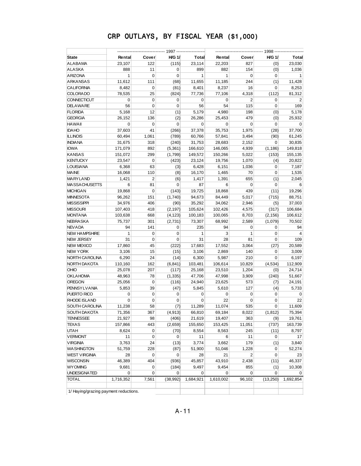|                                       |              |                |               |              |              |                | ---------- 1998 --- |                |  |
|---------------------------------------|--------------|----------------|---------------|--------------|--------------|----------------|---------------------|----------------|--|
| <b>State</b>                          | Rental       | Cover          | <b>H/G 1/</b> | <b>Total</b> | Rental       | Cover          | <b>H/G 1/</b>       | Total          |  |
| ALABAMA                               | 23,107       | 122            | (115)         | 23,114       | 22,203       | 827            | (0)                 | 23,030         |  |
| ALASKA                                | 888          | 11             | 0             | 899          | 882          | 154            | (0)                 | 1,036          |  |
| <b>ARIZONA</b>                        | $\mathbf{1}$ | $\mathbf 0$    | $\mathbf 0$   | $\mathbf{1}$ | $\mathbf{1}$ | $\mathbf 0$    | $\mathbf 0$         | $\mathbf{1}$   |  |
| <b>ARKANSAS</b>                       | 11,612       | 111            | (68)          | 11,655       | 11,185       | 244            | (1)                 | 11,428         |  |
| <b>CALIFORNIA</b>                     | 8,482        | 0              | (81)          | 8,401        | 8,237        | 16             | $\mathbf 0$         | 8,253          |  |
| <b>COLORADO</b>                       | 78,535       | 25             | (824)         | 77,736       | 77,106       | 4,318          | (112)               | 81,312         |  |
| <b>CONNECTICUT</b>                    | $\mathbf 0$  | $\mathbf 0$    | 0             | 0            | $\mathbf 0$  | $\overline{2}$ | 0                   | 2              |  |
| <b>DELAWARE</b>                       | 56           | $\mathbf 0$    | $\mathbf 0$   | 56           | 54           | 115            | 0                   | 169            |  |
| <b>FLORIDA</b>                        | 5,168        | 12             | (1)           | 5,179        | 4,980        | 198            | (0)                 | 5,178          |  |
| <b>GEORGIA</b>                        | 26,152       | 136            | (2)           | 26,286       | 25,453       | 479            | (0)                 | 25,932         |  |
| <b>HAWAII</b>                         | $\mathbf 0$  | $\mathbf 0$    | $\mathbf 0$   | 0            | 0            | $\mathbf 0$    | 0                   | 0              |  |
| <b>IDAHO</b>                          | 37,603       | 41             | (266)         | 37,378       | 35,753       | 1,975          | (28)                | 37,700         |  |
| <b>ILLINOIS</b>                       | 60,494       | 1,061          | (789)         | 60,766       | 57,841       | 3,494          | (90)                | 61,245         |  |
| <b>INDIANA</b>                        | 31,675       | 318            | (240)         | 31,753       | 28,683       | 2,152          | 0                   | 30,835         |  |
| <b>IOWA</b>                           | 171,079      | 892            | (5,361)       | 166,610      | 146,065      | 4,939          | (1, 186)            | 149,818        |  |
| <b>KANSAS</b>                         | 151,072      | 299            | (1,799)       | 149,572      | 150,266      | 5,022          | (153)               | 155,135        |  |
| <b>KENTUCKY</b>                       | 23,547       | $\mathbf 0$    | (423)         | 23,124       | 19,756       | 1,070          | (4)                 | 20,822         |  |
| <b>LOUISIANA</b>                      | 6,368        | 63             | (3)           | 6,428        | 6,151        | 1,036          | 0                   | 7,187          |  |
| <b>MAINE</b>                          | 16,068       | 110            | (8)           | 16,170       | 1,465        | 70             | 0                   | 1,535          |  |
| <b>MARYLAND</b>                       | 1,421        | $\overline{2}$ | (6)           | 1,417        | 1,391        | 655            | (1)                 | 2,045          |  |
| <b>MASSACHUSETTS</b>                  | 6            | 81             | $\mathbf 0$   | 87           | 6            | $\mathbf 0$    | $\mathbf 0$         | 6              |  |
| <b>MICHIGAN</b>                       | 19,868       | $\mathbf 0$    | (143)         | 19,725       | 18,868       | 439            | (11)                | 19,296         |  |
| <b>MINNESOTA</b>                      | 96,262       | 151            | (1,740)       | 94,673       | 84,449       | 5,017          | (715)               | 88,751         |  |
| <b>MISSISSIPPI</b>                    | 34,976       | 406            | (90)          | 35,292       | 34,062       | 2,946          | (5)                 | 37,003         |  |
| <b>MISSOURI</b>                       | 107,403      | 418            | (2, 197)      | 105,624      | 102,426      | 4,575          | (317)               | 106,684        |  |
| <b>MONTANA</b>                        | 103,638      | 668            | (4, 123)      | 100,183      | 100,065      | 8,703          | (2, 156)            | 106,612        |  |
| <b>NEBRASKA</b>                       | 75,737       | 301            | (2,731)       | 73,307       | 68,992       | 2,589          | (1,079)             | 70,502         |  |
| <b>NEVADA</b>                         | 94           | 141            | 0             | 235          | 94           | 0              | 0                   | 94             |  |
| <b>NEW HAMPSHIRE</b>                  | $\mathbf{1}$ | $\mathbf 0$    | 0             | 1            | 3            | $\mathbf{1}$   | 0                   | $\overline{4}$ |  |
| <b>NEW JERSEY</b>                     | 31           | 0              | $\mathbf 0$   | 31           | 28           | 81             | 0                   | 109            |  |
| <b>NEW MEXICO</b>                     | 17,860       | 45             | (222)         | 17,683       | 17,552       | 3,064          | (27)                | 20,589         |  |
| <b>NEW YORK</b>                       | 3,106        | 15             | (15)          | 3,106        | 2,869        | 140            | 0                   | 3,009          |  |
| NORTH CAROLINA                        | 6,290        | 24             | (14)          | 6,300        | 5,987        | 210            | 0                   | 6,197          |  |
| NORTH DAKOTA                          | 110,160      | 162            | (6, 841)      | 103,481      | 106,614      | 10,829         | (4,534)             | 112,909        |  |
| OHIO                                  | 25,078       | 207            | (117)         | 25,168       | 23,510       | 1,204          | (0)                 | 24,714         |  |
| <b>OKLAHOMA</b>                       | 48,963       | 78             | (1,335)       | 47,706       | 47,998       | 3,909          | (240)               | 51,667         |  |
| <b>OREGON</b>                         | 25,056       | 0              | (116)         | 24,940       | 23,625       | 573            | (7)                 | 24,191         |  |
| <b>PENNSYLVANIA</b>                   | 5,853        | 39             | (47)          | 5,845        | 5,610        | 127            | (4)                 | 5,733          |  |
| PUERTO RICO                           | $\mathbf 0$  | $\mathbf 0$    | $\mathbf 0$   | 0            | $\mathbf 0$  | $\mathbf 0$    | $\mathbf 0$         | 0              |  |
| <b>RHODE ISLAND</b>                   | $\mathbf 0$  | 0              | $\mathbf 0$   | 0            | 22           | $\mathbf 0$    | 0                   | 22             |  |
| SOUTH CAROLINA                        | 11,238       | 58             | (7)           | 11,289       | 11,074       | 535            | $\pmb{0}$           | 11,609         |  |
| SOUTH DAKOTA                          | 71,356       | 367            | (4,913)       | 66,810       | 69,184       | 8,022          | (1, 812)            | 75,394         |  |
| <b>TENNESSEE</b>                      | 21,927       | 98             | (406)         | 21,619       | 19,407       | 363            | (9)                 | 19,761         |  |
| <b>TEXAS</b>                          | 157,866      | 443            | (2,659)       | 155,650      | 153,425      | 11,051         | (737)               | 163,739        |  |
| <b>UTAH</b>                           | 8,624        | 0              | (70)          | 8,554        | 8,563        | 245            | (11)                | 8,797          |  |
| <b>VERMONT</b>                        | 11           | $\mathbf 0$    | 0             | 11           | 6            | 11             | 0                   | 17             |  |
| <b>VIRGINIA</b>                       | 3,763        | 24             | (13)          | 3,774        | 3,662        | 179            | (1)                 | 3,840          |  |
| <b>WASHINGTON</b>                     | 51,759       | 228            | (87)          | 51,900       | 51,046       | 1,228          | 0                   | 52,274         |  |
| <b>WEST VIRGINIA</b>                  | 28           | $\mathbf 0$    | 0             | 28           | 21           | $\overline{2}$ | 0                   | 23             |  |
| <b>WISCONSIN</b>                      | 46,389       | 404            | (936)         | 45,857       | 43,910       | 2,438          | (11)                | 46,337         |  |
| <b>WY OMING</b>                       | 9,681        | 0              | (184)         | 9,497        | 9,454        | 855            | (1)                 | 10,308         |  |
| UNDESIGNATED                          | 0            | 0              | 0             | 0            | 0            | 0              | 0                   | 0              |  |
| <b>TOTAL</b>                          | 1,716,352    | 7,561          | (38, 992)     | 1,684,921    | 1,610,002    | 96,102         | (13, 250)           | 1,692,854      |  |
|                                       |              |                |               |              |              |                |                     |                |  |
| 1/ Haying/grazing payment reductions. |              |                |               |              |              |                |                     |                |  |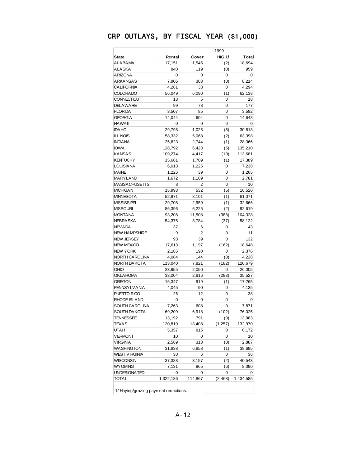|                      | -- 1999 ---- |         |               |           |  |
|----------------------|--------------|---------|---------------|-----------|--|
| <b>State</b>         | Rental       | Cover   | <b>H/G 1/</b> | Total     |  |
| ALABAMA              | 17,151       | 1,545   | (2)           | 18,694    |  |
| ALASKA               | 840          | 119     | (0)           | 959       |  |
| <b>ARIZONA</b>       | 0            | 0       | 0             | 0         |  |
| ARKANSAS             | 7,906        | 308     | (0)           | 8,214     |  |
| <b>CALIFORNIA</b>    | 4,261        | 33      | 0             | 4,294     |  |
| <b>COLORADO</b>      | 56,049       | 6,090   | (1)           | 62,138    |  |
| CONNECTICUT          | 13           | 5       | 0             | 18        |  |
| <b>DELAWARE</b>      | 99           | 78      | 0             | 177       |  |
| <b>FLORIDA</b>       | 3,507        | 85      | 0             | 3,592     |  |
| <b>GEORGIA</b>       | 14,044       | 604     | 0             | 14,648    |  |
| <b>HAWAII</b>        | 0            | 0       | 0             | 0         |  |
| <b>IDAHO</b>         | 29,798       | 1,025   | (5)           | 30,818    |  |
| <b>ILLINOIS</b>      | 58,332       | 5,068   | (2)           | 63,398    |  |
| <b>INDIA NA</b>      | 25,623       | 2,744   | (1)           | 28,366    |  |
| <b>IOWA</b>          | 128,792      | 6,423   | (5)           | 135,210   |  |
| <b>KANSAS</b>        | 109,274      | 4,417   | (10)          | 113,681   |  |
| <b>KENTUCKY</b>      | 15,681       | 1,709   | (1)           | 17,389    |  |
| <b>LOUISIANA</b>     | 6,013        | 1,225   | 0             |           |  |
| <b>MAINE</b>         |              |         |               | 7,238     |  |
| MARYLAND             | 1,226        | 39      | 0             | 1,265     |  |
|                      | 1,672        | 1,109   | 0             | 2,781     |  |
| MASSACHUSETTS        | 8            | 2       | 0             | 10        |  |
| <b>MICHIGAN</b>      | 15,993       | 532     | (5)           | 16,520    |  |
| <b>MINNESOTA</b>     | 52,971       | 8,101   | (1)           | 61,071    |  |
| MISSISSIPPI          | 29,708       | 2,959   | (1)           | 32,666    |  |
| <b>MISSOURI</b>      | 86,396       | 6,225   | (2)           | 92,619    |  |
| <b>MONTANA</b>       | 93,208       | 11,508  | (388)         | 104,328   |  |
| <b>NEBRASKA</b>      | 54,375       | 3,784   | (37)          | 58,122    |  |
| NEVADA               | 37           | 6       | 0             | 43        |  |
| <b>NEW HAMPSHIRE</b> | 9            | 2       | 0             | 11        |  |
| NEW JERSEY           | 93           | 39      | 0             | 132       |  |
| <b>NEW MEXICO</b>    | 17,613       | 1,197   | (162)         | 18,648    |  |
| <b>NEW YORK</b>      | 2,186        | 190     | 0             | 2,376     |  |
| NORTH CAROLINA       | 4,084        | 144     | (0)           | 4,228     |  |
| NORTH DAKOTA         | 113,040      | 7,821   | (182)         | 120,679   |  |
| OHIO                 | 23,955       | 2,050   | 0             | 26,005    |  |
| <b>OKLAHOMA</b>      | 33,004       | 2,816   | (293)         | 35,527    |  |
| <b>OREGON</b>        | 16,347       | 919     | (1)           | 17,265    |  |
| <b>PENNSYLVANIA</b>  | 4,045        | 90      | 0             | 4,135     |  |
| PUERTO RICO          | 26           | 12      | 0             | 38        |  |
| <b>RHODE ISLAND</b>  | 0            | 0       | 0             | 0         |  |
| SOUTH CAROLINA       | 7,263        | 608     | 0             | 7,871     |  |
| SOUTH DAKOTA         | 69,209       | 6,918   | (102)         | 76,025    |  |
| TENNESSEE            | 13,192       | 791     | (0)           | 13,983    |  |
| TEXAS                | 120,819      | 13,408  | (1, 257)      | 132,970   |  |
| UTAH                 | 5,357        | 815     | 0             | 6,172     |  |
| <b>VERMONT</b>       | 10           | 0       | 0             | 10        |  |
| <b>VIRGINIA</b>      | 2,569        | 318     | (0)           | 2,887     |  |
| WASHINGTON           | 31,838       | 6,858   | (1)           | 38,695    |  |
| WEST V IRGINIA       | 30           | 6       | 0             | 36        |  |
| WISCONSIN            | 37,388       | 3,157   | (2)           | 40,543    |  |
| <b>WYOMING</b>       | 7,131        | 965     | (6)           | 8,090     |  |
| UNDESIGNATED         | 0            | 0       | 0             | 0         |  |
| TOTAL                | 1,322,186    | 114,867 | (2, 468)      | 1,434,585 |  |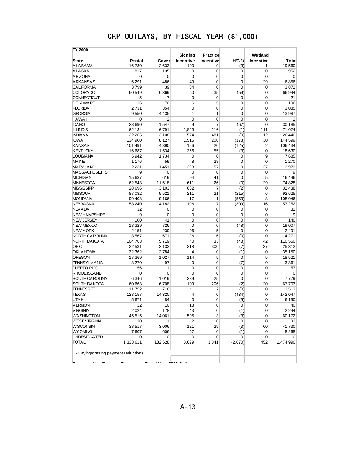| <b>FY 2000</b>                        |             |                |              |                 |               |             |                |
|---------------------------------------|-------------|----------------|--------------|-----------------|---------------|-------------|----------------|
|                                       |             |                | Signing      | <b>Practice</b> |               | Wetland     |                |
| <b>State</b>                          | Rental      | Cover          | Incentive    | Incentive       | <b>H/G 1/</b> | Incentive   | Total          |
| <b>ALABAMA</b>                        | 16,730      | 2,633          | 190          | 9               | (3)           | 1           | 19,560         |
| <b>ALASKA</b>                         | 817         | 135            | $\mathbf 0$  | 0               | 0             | $\mathbf 0$ | 952            |
| <b>ARIZONA</b>                        | $\mathbf 0$ | 0              | $\mathbf 0$  | 0               | $\mathbf 0$   | 0           | $\mathbf 0$    |
| <b>ARKANSAS</b>                       | 6,291       | 486            | 49           | 0               | $\mathbf 0$   | 29          | 6,856          |
| <b>CALIFORNIA</b>                     | 3,799       | 39             | 34           | 0               | $\mathbf 0$   | 0           | 3,872          |
| <b>COLORADO</b>                       | 60,549      | 6,369          | 50           | 35              | (59)          | 0           | 66,944         |
| <b>CONNECTICUT</b>                    | 15          | 7              | $\mathbf 0$  | 0               | $\mathbf 0$   | 0           | 21             |
| <b>DELAWARE</b>                       | 116         | 70             | 6            | 5               | $\mathbf 0$   | 0           | 196            |
| <b>FLORIDA</b>                        | 2,731       | 354            | $\mathbf 0$  | $\mathbf 0$     | $\mathbf 0$   | 0           | 3,085          |
| <b>GEORGIA</b>                        | 9,550       | 4,435          | $\mathbf{1}$ | 1               | 0             | 0           | 13,987         |
| <b>HAWAII</b>                         | $\mathbf 0$ | $\overline{2}$ | $\mathbf 0$  | $\mathbf 0$     | $\mathbf 0$   | 0           | $\overline{2}$ |
| <b>IDAHO</b>                          | 28,690      | 1,547          | 9            | 7               | (67)          | 0           | 30,185         |
| <b>ILLINOIS</b>                       | 62,134      | 6,791          | 1,823        | 216             | (1)           | 111         | 71,074         |
| <b>INDIANA</b>                        | 22,265      | 3,108          | 574          | 481             | (0)           | 12          | 26,440         |
| <b>IOWA</b>                           | 134,900     | 8,127          | 1,515        | 200             | (173)         | 30          | 144,599        |
| <b>KANSAS</b>                         | 101,491     | 4,890          | 156          | 20              | (125)         | 2           | 106,434        |
| <b>KENTUCKY</b>                       | 16,687      | 1,534          | 356          | 55              | (3)           | 0           | 18,630         |
| <b>LOUISIANA</b>                      | 5,942       | 1,734          | 0            | 0               | 0             | 9           | 7,685          |
| <b>MAINE</b>                          | 1,176       | 59             | 8            | 28              | $\mathbf 0$   | 0           | 1,270          |
| <b>MARYLAND</b>                       | 2,231       | 1,451          | 208          | 57              | $\mathbf 0$   | 27          | 3,973          |
| <b>MASSACHUSETTS</b>                  | 9           | 0              | 0            | 0               | $\mathbf 0$   | 0           | 9              |
| <b>MICHIGAN</b>                       | 15,687      | 619            | 94           | 41              | $\mathbf 0$   | 5           | 16,446         |
| <b>MINNESOTA</b>                      | 62,543      | 11,618         | 611          | 26              | (0)           | 29          | 74,828         |
| <b>MISSISSIPPI</b>                    | 28,696      | 3,103          | 632          | 7               | (2)           | 0           | 32,438         |
| <b>MISSOURI</b>                       | 87,082      | 5,521          | 211          | 21              | (215)         | 6           | 92,625         |
| <b>MONTANA</b>                        | 99,408      | 9,166          | 17           | 1               | (553)         | 8           | 108,046        |
| <b>NEBRA SKA</b>                      | 53,240      | 4,182          | 106          | 17              | (309)         | 16          | 57.252         |
| <b>NEV ADA</b>                        | 32          | 0              | 0            | 0               | $\mathbf 0$   | 0           | 32             |
| <b>NEW HAMPSHIRE</b>                  | 9           | 0              | 0            | 0               | $\mathbf 0$   | 0           | 9              |
| <b>NEW JERSEY</b>                     | 100         | 41             | 0            | 0               | $\mathbf 0$   | 0           | 140            |
| <b>NEW MEXICO</b>                     | 18,329      | 726            | 0            | 0               | (48)          | 0           | 19,007         |
| <b>NEW YORK</b>                       | 2,151       | 239            | 96           | 5               | 0             | 0           | 2,491          |
| NORTH CAROLINA                        | 3,567       | 671            | 26           | 6               | (0)           | 0           | 4,271          |
| NORTH DAKOTA                          | 104,763     | 5,719          | 40           | 33              | (48)          | 42          | 110,550        |
| <b>OHIO</b>                           | 22,531      | 2,133          | 318          | 300             | (7)           | 37          | 25,312         |
| <b>OKLAHOMA</b>                       | 32,362      | 2,784          | 4            | 0               | (1)           | $\mathbf 0$ | 35,150         |
| <b>OREGON</b>                         | 17,369      | 1,027          | 114          | 5               | 0             | 5           | 18,521         |
| <b>PENNSYLVANIA</b>                   | 3,270       | 97             | 0            | 0               | (7)           | 0           | 3,361          |
| PUERTO RICO                           | 56          | 1              | 0            | 0               | 0             | 0           | 57             |
| <b>RHODE ISLAND</b>                   | $\mathbf 0$ | 0              | 0            | 0               | $\mathbf 0$   | 0           | 0              |
| SOUTH CAROLINA                        | 6,346       | 1,019          | 389          | 25              | $\mathbf 0$   | 0           | 7,779          |
| <b>SOUTH DAKOTA</b>                   | 60,663      | 6,708          | 109          | 206             | (2)           | 20          | 67.703         |
| <b>TENNESSEE</b>                      | 11,752      | 718            | 41           | 2               | (0)           | 0           | 12,513         |
| <b>TEXAS</b>                          | 128,157     | 14,320         | 4            | 0               | (434)         | 0           | 142,047        |
| <b>UTAH</b>                           | 5,671       | 484            | 0            | 0               | (5)           | 0           | 6,150          |
| <b>VERMONT</b>                        | 12          | 10             | 18           | 0               | 0             | 0           | 40             |
| <b>VIRGINIA</b>                       | 2,024       | 178            | 43           | 0               | (1)           | 0           | 2,244          |
| <b>WASHINGTON</b>                     | 45,515      | 14,061         | 595          | 3               | (3)           | 0           | 60,172         |
| <b>WEST VIRGINIA</b>                  | 30          | $\mathbf{1}$   | 2            | 0               | 0             | 0           | 32             |
| <b>WISCONSIN</b>                      | 38,517      | 3,006          | 121          | 29              | (3)           | 60          | 41,730         |
| <b>WYOMING</b>                        | 7,607       | 606            | 57           | 0               | (1)           | 0           | 8,268          |
| UNDESIGNATED                          | 0           | 0              | 0            | 0               | 0             | 0           | 0              |
| <b>TOTAL</b>                          | 1,333,611   | 132,528        | 8,629        | 1,841           | (2,070)       | 452         | 1,474,990      |
|                                       |             |                |              |                 |               |             |                |
| 1/ Haying/grazing payment reductions. |             |                |              |                 |               |             |                |
|                                       |             |                |              |                 |               |             |                |
|                                       |             | .              |              |                 |               |             |                |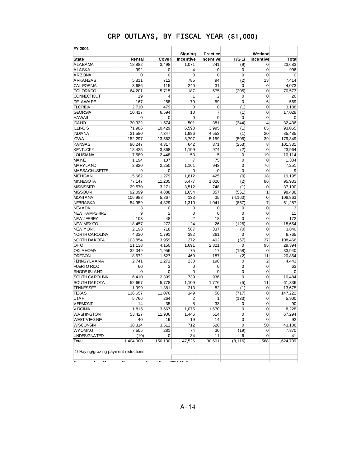| FY 2001                                                               |                          |                      |                |                |               |                |              |
|-----------------------------------------------------------------------|--------------------------|----------------------|----------------|----------------|---------------|----------------|--------------|
|                                                                       |                          |                      | Signing        | Practice       |               | Wetland        |              |
| <b>State</b>                                                          | Rental                   | Cover                | Incentive      | Incentive      | <b>H/G 1/</b> | Incentive      | Total        |
| <b>ALABAMA</b>                                                        | 18,882                   | 3,498                | 1,071          | 241            | (9)           | 0              | 23.683       |
| <b>ALASKA</b>                                                         | 992                      | 0                    | 4              | 0              | 0             | 0              | 996          |
| <b>ARIZONA</b>                                                        | 0                        | 0                    | 0              | $\mathbf 0$    | 0             | $\mathbf 0$    | $\mathbf 0$  |
| <b>ARKANSAS</b>                                                       | 5,811                    | 712                  | 785            | 94             | (2)           | 13             | 7,414        |
| <b>CALIFORNIA</b>                                                     | 3,686                    | 115                  | 240            | 31             | 0             | 0              | 4.073        |
| <b>COLORADO</b>                                                       | 64,201                   | 5,715                | 187            | 675            | (205)         | 0              | 70,573       |
| <b>CONNECTICUT</b>                                                    | 19                       | 4                    | 1              | $\overline{2}$ | 0             | 0              | 26           |
| <b>DELAWARE</b>                                                       | 167                      | 258                  | 79             | 59             | 0             | 6              | 569          |
| <b>FLORIDA</b>                                                        | 2,710                    | 479                  | 0              | $\mathbf 0$    | (1)           | $\mathbf 0$    | 3,188        |
| <b>GEORGIA</b>                                                        | 10,417                   | 6,594                | 10             | $\overline{7}$ | (1)           | 0              | 17,028       |
| <b>HAWAII</b>                                                         | 0                        | 0                    | 0              | $\mathbf 0$    | 0             | 0              | $\mathbf 0$  |
| <b>IDAHO</b>                                                          | 30.322                   | 1,574                | 501            | 381            | (344)         | 4              | 32,436       |
| <b>ILLINOIS</b>                                                       | 71,986                   | 10,429               | 6,590          | 3,995          | (1)           | 65             | 93,065       |
| <b>INDIANA</b>                                                        | 21,580                   | 7,347                | 1,986          | 4,553          | (1)           | 20             | 35,485       |
| <b>IOWA</b>                                                           | 152,297                  | 13,562               | 8,797          | 5,159          | (505)         | 39             | 179,349      |
| <b>KANSAS</b>                                                         | 96,247                   | 4,317                | 642            | 371            | (253)         | 8              | 101,331      |
| <b>KENTUCKY</b>                                                       | 18,425                   | 3,368                | 1,199          | 974            | (2)           | $\mathbf 0$    | 23,964       |
| <b>LOUISIANA</b>                                                      | 7,589                    | 2,448                | 53             | 5              | 0             | 19             | 10,114       |
| <b>MAINE</b>                                                          | 1,194                    | 107                  | 7              | 75             | $\mathbf 0$   | $\mathbf 0$    | 1,384        |
| <b>MARYLAND</b>                                                       | 2,820                    | 2,250                | 1,161          | 943            | 0             | 76             | 7,251        |
| <b>MASSACHUSETTS</b>                                                  | 9                        | 0                    | 0              | $\mathbf 0$    | 0             | $\mathbf 0$    | 9            |
| <b>MICHIGAN</b>                                                       | 15,662                   | 1,279                | 1,812          | 425            | (0)           | 18             | 19,195       |
| <b>MINNESOTA</b>                                                      | 77,147                   | 11,205               | 6,477          | 1,020          | (2)           | 86             | 95,933       |
| <b>MISSISSIPPI</b>                                                    | 29,570                   | 3,271                | 3,512          | 748            | (1)           | $\mathbf 0$    | 37,100       |
| <b>MISSOURI</b>                                                       | 92,099                   | 4,888                | 1,654          | 357            | (561)         | 1              | 98,438       |
| <b>MONTANA</b>                                                        | 106,988                  | 5,867                | 133            | 35             | (4, 160)      | 0              | 108,863      |
| <b>NEBRASKA</b>                                                       | 54,959                   | 4,829                | 1,310          | 1,041          | (857)         | $\overline{7}$ | 61,287       |
| <b>NEVADA</b>                                                         | 3                        | 0                    | 0              | $\mathbf 0$    | 0             | 0              | 3            |
| <b>NEW HAMPSHIRE</b>                                                  | 9                        | $\overline{2}$       | 0              | $\mathbf 0$    | 0             | $\mathbf 0$    | 11           |
| <b>NEW JERSEY</b>                                                     | 103                      | 48                   | $\overline{2}$ | 18             | 0             | 0              | 172          |
| <b>NEW MEXICO</b>                                                     | 18,457                   | 272                  | 24             | 26             | (126)         | $\mathbf 0$    | 18,654       |
| <b>NEW YORK</b>                                                       | 2,198                    | 718                  | 587            | 337            | (0)           | 0              | 3,840        |
| NORTH CAROLINA                                                        | 4,330                    | 1,791                | 382            | 261            | 0             | $\mathbf 0$    | 6,765        |
| <b>NORTH DAKOTA</b>                                                   | 103,854                  | 3,959                | 272            | 402            | (57)          | 37             | 108,466      |
| OHIO                                                                  | 21,138                   | 4,150                | 1,691          | 2,321          | 0             | 95             | 29,394       |
| <b>OKLAHOMA</b>                                                       | 32,049                   | 1,956                | 75             | 17             | (158)         | 0              | 33,940       |
| <b>OREGON</b>                                                         | 18,672                   | 1,527                | 469            | 187            | (2)           | 11             | 20,864       |
| <b>PENNSYLVANIA</b>                                                   | 2,741                    | 1,271                | 230            | 198            | 0             | $\overline{2}$ | 4,443        |
| PUERTO RICO                                                           | 60                       | 3                    | 0              | $\mathbf 0$    | 0             | 0              | 63           |
| <b>RHODE ISLAND</b>                                                   | $\mathbf 0$              | 0                    | 0              | $\mathbf 0$    | 0             | 0              | $\mathbf 0$  |
| <b>SOUTH CAROLINA</b>                                                 | 6,410                    | 2,399                | 739            | 936            | 0             | 0              | 10,484       |
| <b>SOUTH DAKOTA</b>                                                   | 52.667                   | 5,778                | 1,109          | 1,776          | (5)           | 11             | 61,336       |
| <b>TENNESSEE</b>                                                      | 11,999                   | 1,381                | 213            | 82             | (1)           | 0              | 13,675       |
| <b>TEXAS</b>                                                          | 136,657                  | 11,076               | 149            | 56             | (717)         | 0              | 147,222      |
| <b>UTAH</b>                                                           | 5,766                    | 264                  | $\overline{2}$ | 1              | (133)         | 0              | 5,900        |
| <b>VERMONT</b>                                                        | 14                       | 35                   | 8              | 33             | 0             | 0              | 90           |
| <b>VIRGINIA</b>                                                       | 1,815                    | 3,667                | 1,075          | 1,670          | 0             | $\pmb{0}$      | 8,228        |
|                                                                       |                          | 11,906               |                |                |               |                |              |
| <b>WASHINGTON</b><br><b>WEST VIRGINIA</b>                             | 53,427<br>40             | 19                   | 1,446<br>19    | 514<br>14      | 0<br>0        | 0<br>0         | 67,294<br>92 |
| <b>WISCONSIN</b>                                                      | 38,314                   | 3,512                | 712            | 520            | 0             |                | 43,108       |
|                                                                       |                          |                      | 74             | 30             |               | 50             |              |
| <b>WY OMING</b>                                                       | 7,505                    | 281                  |                |                | (19)          | 0              | 7,870        |
| UNDESIGNATED                                                          | (10)                     | 0                    | 34             | 11             | 6             | 0              | 41           |
| Total                                                                 | 1,404,000                | 150,130              | 47,526         | 30,601         | (8, 116)      | 568            | 1,624,709    |
| 1/ Haying/grazing payment reductions.<br>≂<br>$\overline{\cdot}$<br>- | $\overline{\phantom{0}}$ | $\ddot{\phantom{0}}$ | 0.00121        |                |               |                |              |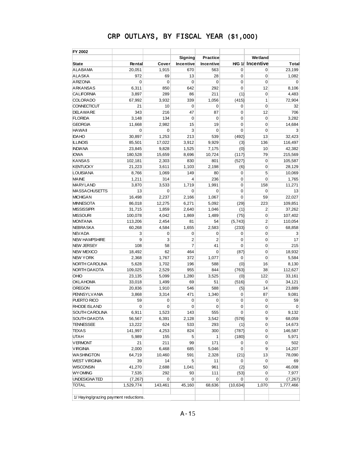| FY 2002                               |             |             |                |                 |                |                         |             |
|---------------------------------------|-------------|-------------|----------------|-----------------|----------------|-------------------------|-------------|
|                                       |             |             | Signing        | <b>Practice</b> |                | Wetland                 |             |
| <b>State</b>                          | Rental      | Cover       | Incentive      | Incentive       |                | <b>H/G 1/ Incentive</b> | Total       |
| <b>ALABAMA</b>                        | 20,051      | 1,915       | 670            | 563             | $\mathbf 0$    | 0                       | 23,199      |
| <b>ALASKA</b>                         | 972         | 69          | 13             | 28              | 0              | $\mathbf 0$             | 1,082       |
| <b>ARIZONA</b>                        | 0           | $\mathbf 0$ | $\mathbf 0$    | $\overline{0}$  | $\overline{0}$ | $\overline{0}$          | $\mathbf 0$ |
| <b>ARKANSAS</b>                       | 6,311       | 850         | 642            | 292             | 0              | 12                      | 8.106       |
| <b>CALIFORNIA</b>                     | 3,897       | 289         | 86             | 211             | (1)            | $\mathbf 0$             | 4,483       |
| <b>COLORADO</b>                       | 67,992      | 3,932       | 339            | 1,056           | (415)          | $\mathbf{1}$            | 72,904      |
| <b>CONNECTICUT</b>                    | 21          | 10          | 0              | 0               | 0              | $\overline{0}$          | 32          |
| <b>DELAWARE</b>                       | 343         | 216         | 47             | 87              | $\mathbf 0$    | 12                      | 706         |
| <b>FLORIDA</b>                        | 3,148       | 134         | $\mathbf 0$    | 0               | 0              | $\mathbf 0$             | 3.282       |
| <b>GEORGIA</b>                        | 11,668      | 2,982       | 15             | 19              | $\overline{0}$ | $\overline{0}$          | 14,684      |
| <b>HAWAII</b>                         | $\mathbf 0$ | 0           | 3              | 0               | 0              | $\mathbf 0$             | 3           |
| <b>IDAHO</b>                          | 30,897      | 1,253       | 213            | 539             | (492)          | 13                      | 32,423      |
| <b>ILLINOIS</b>                       | 85,501      | 17,022      | 3,912          | 9,929           | (3)            | 136                     | 116,497     |
| <b>INDIANA</b>                        | 23,845      | 9,828       | 1,525          | 7,175           | (0)            | 10                      | 42,382      |
| <b>IOWA</b>                           | 180,528     | 15,659      | 8,696          | 10,724          | (117)          | 79                      | 215,569     |
| <b>KANSAS</b>                         | 102,181     | 2,303       | 830            | 801             | (527)          | $\mathbf 0$             | 105,587     |
| <b>KENTUCKY</b>                       | 21,223      |             |                | 2,198           |                | $\mathbf 0$             | 28,129      |
| <b>LOUISIANA</b>                      |             | 3,611       | 1,103          |                 | (6)            |                         |             |
|                                       | 8,766       | 1,069       | 149            | 80              | 0              | 5                       | 10,069      |
| <b>MAINE</b>                          | 1,211       | 314         | 4              | 236             | 0              | $\mathbf 0$             | 1,765       |
| <b>MARYLAND</b>                       | 3,870       | 3,533       | 1,719          | 1,991           | 0              | 158                     | 11,271      |
| <b>MASSACHUSETTS</b>                  | 13          | $\mathbf 0$ | $\Omega$       | 0               | $\mathbf 0$    | $\overline{0}$          | 13          |
| <b>MICHIGAN</b>                       | 16,498      | 2,237       | 2.166          | 1,067           | 0              | 59                      | 22.027      |
| <b>MINNESOTA</b>                      | 86,018      | 12,275      | 6,271          | 5,092           | (29)           | 223                     | 109,851     |
| <b>MISSISSIPPI</b>                    | 31,715      | 1,859       | 2,640          | 1,046           | (1)            | $\overline{2}$          | 37,262      |
| <b>MISSOURI</b>                       | 100,078     | 4,042       | 1,869          | 1,489           | (75)           | $\mathbf 0$             | 107,402     |
| <b>MONTANA</b>                        | 113,206     | 2,454       | 81             | 54              | (5,743)        | $\overline{2}$          | 110,054     |
| <b>NEBRA SKA</b>                      | 60,268      | 4,584       | 1,655          | 2,583           | (233)          | $\mathbf 0$             | 68,858      |
| <b>NEVADA</b>                         | 3           | $\mathbf 0$ | 0              | 0               | 0              | $\mathbf 0$             | 3           |
| <b>NEW HAMPSHIRE</b>                  | 9           | 3           | $\overline{2}$ | $\overline{2}$  | 0              | $\mathbf 0$             | 17          |
| <b>NEW JERSEY</b>                     | 108         | 58          | 7              | 41              | 0              | $\mathbf 0$             | 215         |
| <b>NEW MEXICO</b>                     | 18,492      | 62          | 464            | 0               | (87)           | $\overline{0}$          | 18,932      |
| <b>NEW YORK</b>                       | 2,368       | 1,767       | 372            | 1,077           | 0              | $\mathbf 0$             | 5,584       |
| NORTH CAROLINA                        | 5,628       | 1,702       | 196            | 588             | (0)            | 16                      | 8,130       |
| NORTH DAKOTA                          | 109,025     | 2,529       | 955            | 844             | (763)          | 38                      | 112,627     |
| OHIO                                  | 23,135      | 5,099       | 1.280          | 3,525           | (0)            | 122                     | 33,161      |
| <b>OKLAHOMA</b>                       | 33,018      | 1,499       | 69             | 51              | (516)          | $\mathbf 0$             | 34,121      |
| <b>OREGON</b>                         | 20,836      | 1,910       | 546            | 588             | (5)            | 14                      | 23,889      |
| <b>PENNSYLVANIA</b>                   | 3,868       | 3,314       | 471            | 1,340           | 0              | 87                      | 9,081       |
| PUERTO RICO                           | 59          | 0           | 0              | 0               | 0              | $\mathbf 0$             | 59          |
| <b>RHODE ISLAND</b>                   | $\mathbf 0$ | 0           | 0              | 0               | 0              | $\mathbf 0$             | $\mathbf 0$ |
| SOUTH CAROLINA                        | 6,911       | 1,523       | 143            | 555             | 0              | 0                       | 9,132       |
| SOUTH DAKOTA                          | 56,567      | 6,391       | 2,128          | 3,542           | (578)          | 9                       | 68,059      |
| <b>TENNESSEE</b>                      | 13,222      | 624         | 533            | 293             | (1)            | 0                       | 14,673      |
| <b>TEXAS</b>                          | 141,997     | 4,253       | 824            | 300             | (787)          | 0                       | 146,587     |
| <b>UTAH</b>                           | 5,989       | 155         | 5              | 1               | (180)          | 0                       | 5,971       |
| <b>VERMONT</b>                        | 21          | 211         | 99             | 171             | 0              | $\mathbf 0$             | 502         |
| <b>VIRGINIA</b>                       | 2,000       | 6,468       | 685            | 5,046           | 0              | 9                       | 14,207      |
| <b>WASHINGTON</b>                     | 64,719      | 10,460      | 591            | 2,328           | (21)           | 13                      | 78,090      |
|                                       | 39          | 14          | 5              |                 |                | $\mathbf 0$             |             |
| <b>WEST VIRGINIA</b>                  |             |             |                | 11              | 0              |                         | 69          |
| <b>WISCONSIN</b>                      | 41,270      | 2,688       | 1,041          | 961             | (2)            | 50                      | 46,008      |
| <b>WY OMING</b>                       | 7,535       | 292         | 93             | 111             | (53)           | 0                       | 7,977       |
| UNDESIGNATED                          | (7, 267)    | 0           | $\mathbf 0$    | 0               | 0              | 0                       | (7, 267)    |
| <b>TOTAL</b>                          | 1,529,774   | 143,461     | 45,160         | 68,636          | (10, 634)      | 1,070                   | 1,777,466   |
| 1/ Haying/grazing payment reductions. |             |             |                |                 |                |                         |             |

A-15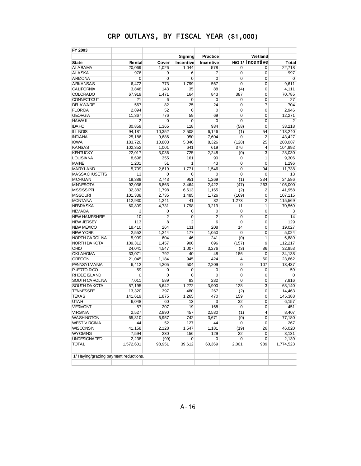| FY 2003                               |                |                | <b>Signing</b> | <b>Practice</b> |                | Wetland                |                |
|---------------------------------------|----------------|----------------|----------------|-----------------|----------------|------------------------|----------------|
| <b>State</b>                          | Rental         | Cover          | Incentive      | Incentive       |                | <b>HG 1/ Incentive</b> | Total          |
| <b>ALABAMA</b>                        | 20,069         | 1.026          | 1,044          | 578             | 0              | 0                      | 22,718         |
| <b>ALASKA</b>                         | 976            | 9              | 6              | 7               | 0              | $\mathbf 0$            | 997            |
| <b>ARIZONA</b>                        | 0              | 0              | 0              | 0               | 0              | 0                      | $\mathbf 0$    |
| <b>ARKANSAS</b>                       | 6,472          | 773            | 1,799          | 567             | $\overline{0}$ | $\overline{0}$         | 9,611          |
| <b>CALIFORNIA</b>                     | 3,848          | 143            | 35             | 88              | (4)            | 0                      | 4.111          |
| <b>COLORADO</b>                       | 67,919         | 1,471          | 164            | 843             | 387            | $\overline{0}$         | 70,785         |
| <b>CONNECTICUT</b>                    | 21             | 6              | 0              | 0               | 0              | $\mathbf 0$            | 27             |
| <b>DELAWARE</b>                       | 567            | 82             | 25             | 24              | 0              | 7                      | 704            |
| <b>FLORIDA</b>                        | 2,894          | 52             | $\mathbf 0$    | $\mathbf 0$     | 0              | $\mathbf 0$            | 2,946          |
| <b>GEORGIA</b>                        | 11,367         | 776            | 59             | 69              | 0              | $\mathbf 0$            | 12,271         |
| <b>HAWAII</b>                         | $\overline{2}$ | 0              | $\mathbf 0$    | 0               | 0              | $\mathbf 0$            | $\overline{2}$ |
| <b>IDAHO</b>                          | 30.859         | 1,365          | 118            | 934             | (58)           | $\mathbf 0$            | 33,218         |
| <b>ILLINOIS</b>                       | 94,181         | 10,352         | 2,508          | 6,146           | (1)            | 54                     | 113,240        |
| <b>INDIANA</b>                        | 25,186         | 9,686          | 950            | 7,604           | 0              | 2                      | 43,427         |
| <b>IOWA</b>                           | 183,720        | 10,803         | 5,340          | 8,326           | (128)          | 25                     | 208,087        |
| <b>KANSAS</b>                         | 102,352        | 1,001          | 641            | 619             | 376            | 4                      | 104,992        |
| <b>KENTUCKY</b>                       | 22,017         | 3,036          | 725            | 2,248           | (0)            | 3                      | 28,030         |
| <b>LOUISIANA</b>                      | 8,698          | 355            | 161            | 90              | 0              | $\overline{1}$         | 9,306          |
| <b>MAINE</b>                          | 1,201          | 51             | 1              | 43              | 0              | $\mathbf 0$            | 1,296          |
| <b>MARYLAND</b>                       | 5,709          | 2.619          | 1,771          | 1,546           | 0              | 94                     | 11,738         |
| <b>MASSACHUSETTS</b>                  | 13             | 0              | 0              | 0               | 0              | $\mathbf 0$            | 13             |
| <b>MICHIGAN</b>                       | 19,389         | 2,743          | 951            | 1.269           | (1)            | 234                    | 24,586         |
| <b>MINNESOTA</b>                      | 92,036         | 6,863          | 3,464          | 2,422           | (47)           | 263                    | 105,000        |
| <b>MISSISSIPPI</b>                    | 32,382         | 1,798          | 6,613          | 1,165           | (2)            | 2                      | 41,958         |
| <b>MISSOURI</b>                       | 101,338        | 2,735          | 1,485          | 1,726           | (169)          | $\mathbf 0$            | 107,115        |
| <b>MONTANA</b>                        | 112,930        | 1,241          | 41             | 82              | 1,273          | 2                      | 115,569        |
| <b>NEBRASKA</b>                       | 60.809         | 4,731          | 1,798          | 3,219           | 11             | $\overline{1}$         | 70,569         |
| <b>NEVADA</b>                         | 3              | 0              | 0              | 0               | 0              | $\mathbf 0$            | 3              |
| <b>NEW HAMPSHIRE</b>                  | 10             | $\overline{2}$ | $\overline{0}$ | $\overline{2}$  | $\overline{0}$ | $\overline{0}$         | 14             |
| <b>NEW JERSEY</b>                     | 113            | 8              | $\overline{2}$ | 6               | 0              | $\mathbf 0$            | 129            |
| <b>NEW MEXICO</b>                     | 18,410         | 264            | 131            | 208             | 14             | $\mathbf 0$            | 19,027         |
| <b>NEW YORK</b>                       | 2,552          | 1,244          | 177            | 1,050           | 0              | $\mathbf 0$            | 5,024          |
| NORTH CAROLINA                        | 5,999          | 604            | 46             | 241             | (0)            | $\overline{1}$         | 6,889          |
| NORTH DAKOTA                          | 109,312        | 1,457          | 900            | 696             | (157)          | 9                      | 112,217        |
| <b>OHIO</b>                           | 24,041         | 4,547          | 1,007          | 3,276           | (3)            | 86                     | 32,953         |
| <b>OKLAHOMA</b>                       | 33,071         | 792            | 40             | 48              | 186            | 0                      | 34,138         |
| <b>OREGON</b>                         | 21,045         | 1,184          | 945            | 424             | 4              | 60                     | 23,662         |
| <b>PENNSYLVANIA</b>                   | 6,412          | 4,205          | 504            | 2,209           | 0              | 107                    | 13,437         |
| PUERTO RICO                           | 59             | 0              | 0              | 0               | 0              | $\overline{0}$         | 59             |
| <b>RHODE ISLAND</b>                   | $\mathbf 0$    | 0              | 0              | 0               | 0              | 0                      | 0              |
| <b>SOUTH CAROLINA</b>                 | 7.011          | 589            | 83             | 232             | 0              | $\mathbf 0$            | 7,916          |
| <b>SOUTH DAKOTA</b>                   | 57,195         | 5,642          | 1,272          | 3.900           | 128            | 3                      | 68,140         |
| <b>TENNESSEE</b>                      | 13,320         | 397            | 480            | 267             | (2)            | $\mathbf 0$            | 14,463         |
| <b>TEXAS</b>                          | 141,619        | 1,875          | 1,265          | 470             | 159            | 0                      | 145,388        |
| <b>UTAH</b>                           | 6,048          | 60             | 13             | 3               | 32             | 0                      | 6,157          |
| <b>VERMONT</b>                        | 57             | 207            | 19             | 168             | 0              | 0                      | 451            |
| <b>VIRGINIA</b>                       | 2,527          | 2,890          | 457            | 2,530           | (1)            | 4                      | 8,407          |
| <b>WASHINGTON</b>                     | 65,810         | 6,957          | 742            | 3,671           | (0)            | $\mathbf{0}$           | 77,180         |
| <b>WEST VIRGINIA</b>                  | 44             | 52             | 127            | 44              | $\overline{0}$ | 0                      | 267            |
| <b>WISCONSIN</b>                      | 41,158         | 2,128          | 1,547          | 1,181           | (19)           | 26                     | 46,020         |
| <b>WYOMING</b>                        | 7,594          | 230            | 156            | 129             | 22             | $\overline{0}$         | 8,131          |
| <b>UNDESIGNATED</b>                   | 2,238          | (99)           | 0              | 0               | 0              | $\overline{0}$         | 2,139          |
| <b>TOTAL</b>                          | 1,572,601      | 98,951         | 39,612         | 60,369          | 2,001          | 989                    | 1,774,523      |
| 1/ Haying/grazing payment reductions. |                |                |                |                 |                |                        |                |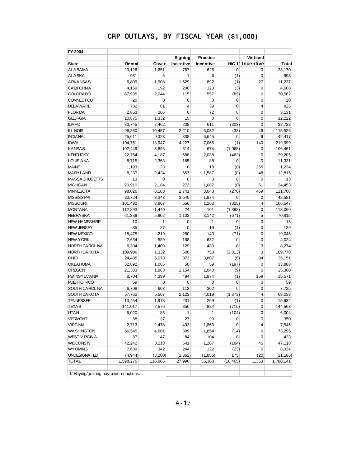| FY 2004                               |           |             |           |                 |             |                         |           |
|---------------------------------------|-----------|-------------|-----------|-----------------|-------------|-------------------------|-----------|
|                                       |           |             | Signing   | <b>Practice</b> |             | Wetland                 |           |
| <b>State</b>                          | Rental    | Cover       | Incentive | Incentive       |             | <b>H/G 1/ Incentive</b> | Total     |
| <b>ALABAMA</b>                        | 20,126    | 1,651       | 767       | 626             | $\mathbf 0$ | 0                       | 23,170    |
| <b>ALASKA</b>                         | 981       | 6           | 1         | 6               | (1)         | 0                       | 993       |
| <b>ARKANSAS</b>                       | 6,809     | 1,908       | 1,629     | 892             | (1)         | 27                      | 11,237    |
| <b>CALIFORNIA</b>                     | 4,159     | 192         | 200       | 120             | (3)         | $\mathbf 0$             | 4,668     |
| <b>COLORADO</b>                       | 67,935    | 2,044       | 115       | 557             | (89)        | 0                       | 70,562    |
| <b>CONNECTICUT</b>                    | 20        | $\mathbf 0$ | 0         | $\mathbf 0$     | 0           | 0                       | 20        |
| <b>DELAWARE</b>                       | 702       | 81          | 4         | 39              | 0           | 4                       | 825       |
| <b>FLORIDA</b>                        | 2,853     | 206         | 0         | 72              | 0           | 0                       | 3,131     |
| <b>GEORGIA</b>                        | 10,875    | 1,332       | 15        | $\mathbf 0$     | 0           | 0                       | 12,222    |
| <b>IDAHO</b>                          | 30,745    | 2,462       | 208       | 611             | (303)       | 0                       | 33,723    |
| <b>ILLINOIS</b>                       | 96,860    | 10,457      | 2,210     | 6,032           | (33)        | 46                      | 115,526   |
| <b>INDIANA</b>                        | 25,611    | 9,323       | 838       | 6,645           | $\mathbf 0$ | 9                       | 42,417    |
| <b>IOWA</b>                           | 194,761   | 13,947      | 4,227     | 7,065           | (1)         | 140                     | 219,999   |
| <b>KANSAS</b>                         | 102,449   | 3,893       | 514       | 674             | (1,068)     | 0                       | 106,461   |
| <b>KENTUCKY</b>                       | 22,754    | 4,187       | 688       | 2,038           | (462)       | 0                       | 29,205    |
| <b>LOUISIANA</b>                      | 8,715     | 2,363       | 165       | 88              | 0           | 0                       | 11,331    |
| <b>MAINE</b>                          | 1,193     | 23          | 0         | 18              | (0)         | 255                     | 1,234     |
| <b>MARYLAND</b>                       | 8,237     | 2,424       | 567       | 1,587           | (0)         | 48                      | 12,815    |
| <b>MASSACHUSETTS</b>                  | 13        | 0           | 0         | 0               | $\mathbf 0$ | 0                       | 13        |
| <b>MICHIGAN</b>                       | 20,910    | 2,184       | 273       | 1,087           | (0)         | 61                      | 24,453    |
| <b>MINNESOTA</b>                      | 98,026    | 8,168       | 2,741     | 3,048           | (276)       | 469                     | 111,708   |
| <b>MISSISSIPPI</b>                    | 33,724    | 3,343       | 3.540     | 1,974           | $\mathbf 0$ | $\overline{2}$          | 42,581    |
| <b>MISSOURI</b>                       | 101,482   | 3,967       | 656       | 1,268           | (825)       | 4                       | 106,547   |
| <b>MONTANA</b>                        | 112,893   | 1,440       | 24        | 101             | (1, 398)    | 0                       | 113,060   |
| <b>NEBRASKA</b>                       | 61,339    | 5,902       | 1,103     | 3,142           | (671)       | 5                       | 70,815    |
| <b>NEW HAMPSHIRE</b>                  | 10        | 1           | 0         | 1               | 0           | 0                       | 13        |
| <b>NEW JERSEY</b>                     | 85        | 27          | 0         | 19              | (1)         | 0                       | 129       |
| <b>NEW MEXICO</b>                     | 18,475    | 219         | 280       | 143             | (71)        | 0                       | 19,046    |
| <b>NEW YORK</b>                       | 2,634     | 589         | 168       | 632             | $\mathbf 0$ | 0                       | 4,024     |
| <b>NORTH CAROLINA</b>                 | 6,304     | 1,409       | 129       | 433             | $\mathbf 0$ | 3                       | 8,274     |
| NORTH DAKOTA                          | 109,906   | 1,332       | 600       | 753             | (2, 813)    | 3                       | 109,778   |
| OHIO                                  | 24,405    | 6,073       | 873       | 3,807           | (6)         | 94                      | 35,151    |
| <b>OKLAHOMA</b>                       | 32,892    | 1,085       | 50        | 59              | (197)       | 0                       | 33,888    |
| <b>OREGON</b>                         | 21,303    | 1,863       | 1,154     | 1,048           | (9)         | 0                       | 25,360    |
| <b>PENNSYLVANIA</b>                   | 8,704     | 4,399       | 494       | 1,974           | (1)         | 159                     | 15,571    |
| PUERTO RICO                           | 59        | 0           | 0         | $\mathbf 0$     | $\mathbf 0$ | 0                       | 59        |
| <b>SOUTH CAROLINA</b>                 | 6,708     | 603         | 112       | 302             | $\mathbf 0$ | 0                       | 7,725     |
| <b>SOUTH DAKOTA</b>                   | 57,762    | 5,507       | 2,123     | 4,019           | (1, 373)    | 4                       | 68,038    |
| <b>TENNESSEE</b>                      | 13,454    | 1,978       | 231       | 269             | (1)         | 0                       | 15,932    |
| <b>TEXAS</b>                          | 141,017   | 2,576       | 856       | 824             | (710)       | 0                       | 144,563   |
| υтан                                  | 6,020     | 85          | 1         | 1               | (104)       | 0                       | 6,004     |
| <b>VERMONT</b>                        | 88        | 137         | 27        | 99              | 0           | 0                       | 350       |
| <b>VIRGINIA</b>                       | 2,713     | 2,478       | 492       | 1,863           | 0           | 4                       | 7,546     |
| <b>WASHINGTON</b>                     | 66,545    | 4,601       | 309       | 1,854           | (14)        | 0                       | 73,295    |
| <b>WEST VIRGINIA</b>                  | 87        | 147         | 84        | 104             | 0           | 0                       | 423       |
| <b>WISCONSIN</b>                      | 42,242    | 3,213       | 641       | 1,207           | (184)       | 45                      | 47,118    |
| <b>WY OMING</b>                       | 7,639     | 342         | 244       | 122             | (23)        | 0                       | 8,324     |
| UNDESIGNATED                          | (4, 944)  | (3,200)     | (1, 362)  | (1, 855)        | 175         | (20)                    | (11, 186) |
| <b>TOTAL</b>                          | 1,598,276 | 116,966     | 27,996    | 55,368          | (10, 465)   | 1,363                   | 1,788,141 |
| 1/ Haying/grazing payment reductions. |           |             |           |                 |             |                         |           |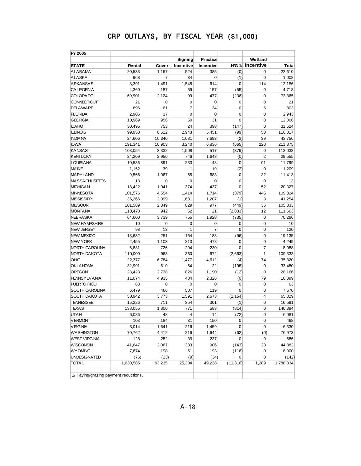| FY 2005                               |           |             | Signing          | <b>Practice</b> |             | Wetland                 |           |
|---------------------------------------|-----------|-------------|------------------|-----------------|-------------|-------------------------|-----------|
| <b>STATE</b>                          | Rental    | Cover       | <b>Incentive</b> | Incentive       |             | <b>H/G 1/ Incentive</b> | Total     |
| <b>ALABAMA</b>                        | 20,533    | 1,167       | 524              | 385             | (0)         | 0                       | 22,610    |
| <b>ALASKA</b>                         | 968       | 7           | 34               | 0               | (1)         | 0                       | 1,008     |
| <b>ARKANSAS</b>                       | 8,391     | 1,491       | 1,545            | 614             | 0           | 114                     | 12,156    |
| <b>CALIFORNIA</b>                     | 4,360     | 187         | 69               | 157             | (55)        | 0                       | 4,718     |
| <b>COLORADO</b>                       | 69,901    | 2,124       | 99               | 477             | (236)       | 0                       | 72,365    |
| CONNECTICUT                           | 21        | $\mathbf 0$ | 0                | $\mathbf 0$     | 0           | 0                       | 21        |
| <b>DELAWARE</b>                       | 696       | 61          | $\overline{7}$   | 34              | $\mathbf 0$ | 5                       | 803       |
| <b>FLORIDA</b>                        | 2,906     | 37          | 0                | $\mathbf 0$     | $\mathbf 0$ | $\mathbf 0$             | 2,943     |
| <b>GEORGIA</b>                        | 10,969    | 956         | 50               | 31              | $\mathbf 0$ | $\mathbf 0$             |           |
| <b>IDAHO</b>                          |           | 753         | 24               | 398             |             | $\mathbf 0$             | 12,006    |
|                                       | 30,495    | 8,522       |                  | 5.451           | (147)       |                         | 31,524    |
| <b>ILLINOIS</b><br><b>INDIANA</b>     | 99,950    |             | 2,943            |                 | (99)        | 50<br>39                | 116,817   |
|                                       | 24,606    | 10,340      | 1,081            | 7,693           | (2)         |                         | 43,756    |
| <b>IOWA</b>                           | 191,341   | 10,903      | 3,240            | 6,836           | (665)       | 220                     | 211,875   |
| <b>KANSAS</b>                         | 108,054   | 3,332       | 1,508            | 517             | (379)       | 0                       | 113,033   |
| <b>KENTUCKY</b>                       | 24,209    | 2,950       | 746              | 1,648           | (0)         | $\overline{2}$          | 29,555    |
| <b>LOUISIANA</b>                      | 10,536    | 891         | 233              | 48              | 0           | 91                      | 11,799    |
| <b>MAINE</b>                          | 1,152     | 39          | 1                | 19              | (2)         | $\mathbf 0$             | 1,209     |
| MARYLAND                              | 9,566     | 1,067       | 65               | 683             | $\mathbf 0$ | 32                      | 11,413    |
| <b>MASSACHUSETTS</b>                  | 13        | $\mathbf 0$ | 0                | 0               | 0           | 0                       | 13        |
| <b>MICHIGAN</b>                       | 18,422    | 1,041       | 374              | 437             | $\mathbf 0$ | 52                      | 20,327    |
| <b>MINNESOTA</b>                      | 101,576   | 4,554       | 1,414            | 1,714           | (379)       | 445                     | 109,324   |
| <b>MISSISSIPPI</b>                    | 36.266    | 2,099       | 1.681            | 1,207           | (1)         | 3                       | 41,254    |
| <b>MISSOURI</b>                       | 101,589   | 2,349       | 829              | 977             | (449)       | 36                      | 105,333   |
| <b>MONTANA</b>                        | 113,470   | 942         | 52               | 21              | (2,833)     | 12                      | 111,663   |
| <b>NEBRA SKA</b>                      | 64,600    | 3,739       | 755              | 1,928           | (735)       | $\mathbf 0$             | 70,286    |
| <b>NEW HAMPSHIRE</b>                  | 10        | $\mathbf 0$ | 0                | 0               | 0           | 0                       | 10        |
| <b>NEW JERSEY</b>                     | 98        | 13          | 1                | 7               | 0           | 0                       | 120       |
| <b>NEW MEXICO</b>                     | 18,632    | 251         | 164              | 183             | (96)        | 0                       | 19,135    |
| <b>NEW YORK</b>                       | 2,455     | 1,103       | 213              | 478             | 0           | 0                       | 4,249     |
| NORTH CAROLINA                        | 6,831     | 726         | 294              | 230             | $\mathbf 0$ | 7                       | 8,088     |
| NORTH DAKOTA                          | 110,000   | 963         | 360              | 672             | (2,663)     | 1                       | 109,333   |
| OHIO                                  | 22,377    | 6,784       | 1,477            | 4,612           | (4)         | 74                      | 35,320    |
| <b>OKLAHOMA</b>                       | 32,991    | 610         | 54               | 22              | (198)       | 0                       | 33,480    |
| OREGON                                | 23,423    | 2,738       | 826              | 1,190           | (12)        | 0                       | 28,166    |
| <b>PENNSYLVANIA</b>                   | 11,074    | 4,935       | 484              | 2,326           | (0)         | 79                      | 18,899    |
| PUERTO RICO                           | 63        | $\mathbf 0$ | $\mathbf 0$      | $\mathbf 0$     | $\mathbf 0$ | 0                       | 63        |
| SOUTH CAROLINA                        | 6,479     | 466         | 507              | 119             | $\mathbf 0$ | 0                       | 7,570     |
| <b>SOUTH DAKOTA</b>                   | 58,942    | 3,773       | 1,591            | 2,673           | (1, 154)    | $\overline{4}$          | 65,829    |
| <b>TENNESSEE</b>                      | 15,226    | 711         | 354              | 301             | (1)         | 0                       | 16,591    |
| <b>TEXAS</b>                          | 138,055   | 1,800       | 771              | 583             | (814)       | 0                       | 140,394   |
| UTAH                                  | 6,086     | 48          | 4                | 14              | (72)        | 0                       | 6,081     |
| <b>VERMONT</b>                        | 103       | 184         | 31               | 150             | 0           | 0                       | 468       |
| <b>VIRGINIA</b>                       | 3,014     | 1,641       | 216              | 1,459           | 0           | $\mathbf 0$             | 6,330     |
| WASHINGTON                            | 70,762    | 4,412       | 216              | 1,644           | (62)        | (0)                     | 76,973    |
| WEST VIRGINIA                         | 128       | 282         | 39               | 237             | 0           | 0                       | 686       |
| WISCONSIN                             | 41,647    | 2,067       | 383              | 906             | (143)       | 23                      | 44,882    |
| <b>WYOMING</b>                        | 7,674     | 198         | 51               | 193             | (116)       | 0                       | 8,000     |
| UNDESIGNATED                          | (76)      | (23)        | (9)              | (34)            | 0           | 0                       | (142)     |
| TOTAL                                 | 1,630,585 | 93,235      | 25,304           | 49,238          | (11, 316)   | 1,289                   | 1,788,334 |
| 1/ Haying/grazing payment reductions. |           |             |                  |                 |             |                         |           |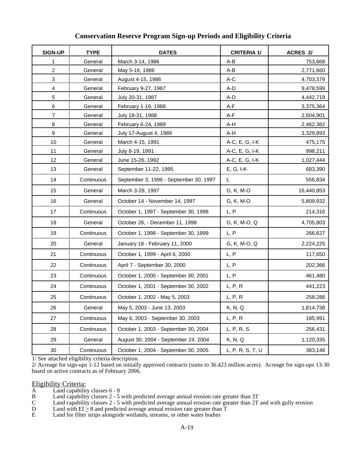| <b>SIGN-UP</b> | <b>TYPE</b> | <b>DATES</b>                           | <b>CRITERIA 1/</b> | ACRES 2/   |
|----------------|-------------|----------------------------------------|--------------------|------------|
| 1              | General     | March 3-14, 1986                       | A-B                | 753,668    |
| $\overline{a}$ | General     | May 5-16, 1986                         | A-B                | 2,771,660  |
| 3              | General     | August 4-15, 1986                      | A-C                | 4,703,379  |
| 4              | General     | February 9-27, 1987                    | A-D                | 9,478,599  |
| 5              | General     | July 20-31, 1987                       | A-D                | 4,442,719  |
| 6              | General     | February 1-19, 1988                    | A-F                | 3,375,364  |
| $\overline{7}$ | General     | July 18-31, 1988                       | A-F                | 2,604,901  |
| 8              | General     | February 6-24, 1989                    | A-H                | 2,462,382  |
| 9              | General     | July 17-August 4, 1989                 | A-H                | 3,329,893  |
| 10             | General     | March 4-15, 1991                       | A-C, E, G, I-K     | 475,175    |
| 11             | General     | July 8-19, 1991                        | A-C, E, G, I-K     | 998,211    |
| 12             | General     | June 15-26, 1992                       | A-C, E, G, I-K     | 1,027,444  |
| 13             | General     | September 11-22, 1995                  | $E, G, I-K$        | 683,390    |
| 14             | Continuous  | September 3, 1996 - September 30, 1997 | L                  | 556,834    |
| 15             | General     | March 3-28, 1997                       | G, K, M-O          | 16,440,853 |
| 16             | General     | October 14 - November 14, 1997         | G, K, M-O          | 5,809,932  |
| 17             | Continuous  | October 1, 1997 - September 30, 1998   | L, P               | 214,316    |
| 18             | General     | October 26, - December 11, 1998        | G, K, M-O, Q       | 4,705,803  |
| 19             | Continuous  | October 1, 1998 - September 30, 1999   | L, P               | 266,627    |
| 20             | General     | January 18 - February 11, 2000         | G, K, M-O, Q       | 2,224,225  |
| 21             | Continuous  | October 1, 1999 - April 6, 2000        | L, P               | 117,650    |
| 22             | Continuous  | April 7 - September 30, 2000           | L, P               | 202,366    |
| 23             | Continuous  | October 1, 2000 - September 30, 2001   | L, P               | 461,480    |
| 24             | Continuous  | October 1, 2001 - September 30, 2002   | L, P, R            | 441,223    |
| 25             | Continuous  | October 1, 2002 - May 5, 2003          | L, P, R            | 258,288    |
| 26             | General     | May 5, 2003 - June 13, 2003            | K, N, Q            | 1,814,738  |
| 27             | Continuous  | May 6, 2003 - September 30, 2003       | L, P, R            | 185,991    |
| 28             | Continuous  | October 1, 2003 - September 30, 2004   | L, P, R, S         | 256,431    |
| 29             | General     | August 30, 2004 - September 24, 2004   | K, N, Q            | 1,120,335  |
| $30\,$         | Continuous  | October 1, 2004 - September 30, 2005   | L, P, R, S, T, U   | 383,148    |

#### **Conservation Reserve Program Sign-up Periods and Eligibility Criteria**

1/ See attached eligibility criteria description.

2/ Acreage for sign-ups 1-12 based on initially approved contracts (sums to 36.423 million acres). Acreage for sign-ups 13-30 based on active contracts as of February 2006.

# Eligibility Criteria:<br>A Land capability

 $A$  Land capability classes  $6 - 8$ <br>B Land capability classes  $2 - 5$ 

B Land capability classes 2 - 5 with predicted average annual erosion rate greater than 3T<br>C Land capability classes 2 - 5 with predicted average annual erosion rate greater than 2T

- C Land capability classes  $2 5$  with predicted average annual erosion rate greater than  $2T$  and with gully erosion D Land with  $EI > 8$  and predicted average annual erosion rate greater than  $T$
- D Land with  $EI \ge 8$  and predicted average annual erosion rate greater than T<br>E Land for filter strips alongside wetlands, streams, or other water bodies
- Land for filter strips alongside wetlands, streams, or other water bodies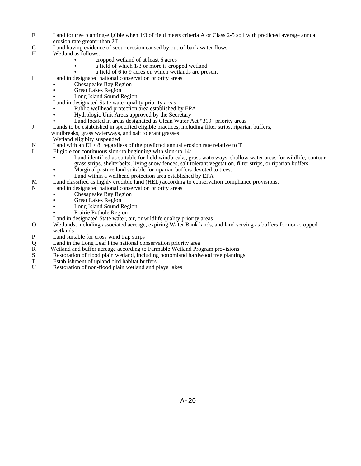- F Land for tree planting-eligible when 1/3 of field meets criteria A or Class 2-5 soil with predicted average annual erosion rate greater than 2T
- G Land having evidence of scour erosion caused by out-of-bank water flows
- H Wetland as follows:
	- C cropped wetland of at least 6 acres
	- $\bullet$  a field of which 1/3 or more is cropped wetland
	- a field of 6 to 9 acres on which wetlands are present
- I Land in designated national conservation priority areas
	- Chesapeake Bay Region
	- Great Lakes Region
	- Long Island Sound Region
	- Land in designated State water quality priority areas
	- Public wellhead protection area established by EPA
	- Hydrologic Unit Areas approved by the Secretary
	- Land located in areas designated as Clean Water Act "319" priority areas
- J Lands to be established in specified eligible practices, including filter strips, riparian buffers,
	- windbreaks, grass waterways, and salt tolerant grasses
		- Wetland eligibity suspended
- K Land with an  $EI \ge 8$ , regardless of the predicted annual erosion rate relative to T<br>Let Eligible for continuous sign-un beginning with sign-un 14:
- Eligible for continuous sign-up beginning with sign-up 14:
	- C Land identified as suitable for field windbreaks, grass waterways, shallow water areas for wildlife, contour grass strips, shelterbelts, living snow fences, salt tolerant vegetation, filter strips, or riparian buffers
	- Marginal pasture land suitable for riparian buffers devoted to trees.
	- Land within a wellhead protection area established by EPA
- M Land classified as highly erodible land (HEL) according to conservation compliance provisions.<br>N Land in designated national conservation priority areas
- Land in designated national conservation priority areas
	- Chesapeake Bay Region
	- **Great Lakes Region**
	- Long Island Sound Region
	- Prairie Pothole Region
	- Land in designated State water, air, or wildlife quality priority areas
- O Wetlands, including associated acreage, expiring Water Bank lands, and land serving as buffers for non-cropped wetlands
- P Land suitable for cross wind trap strips
- Q Land in the Long Leaf Pine national conservation priority area
- R Wetland and buffer acreage according to Farmable Wetland Program provisions<br>S Restoration of flood plain wetland, including bottomland hardwood tree planting
- S Restoration of flood plain wetland, including bottomland hardwood tree plantings<br>
T Establishment of upland bird habitat buffers
- T Establishment of upland bird habitat buffers<br>U Restoration of non-flood plain wetland and r
- Restoration of non-flood plain wetland and playa lakes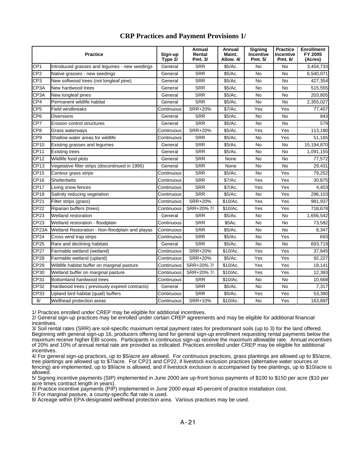|                    | <b>Practice</b>                                 | Sign-up<br>Type 2/ | Annual<br>Rental<br>Pmt. 3/ | Annual<br>Maint.<br>Allow. 4/ | <b>Signing</b><br>Incentive<br>Pmt. 5/ | <b>Practice</b><br>Incentive<br>Pmt. 6/ | <b>Enrollment</b><br>FY 2005<br>(Acres) |
|--------------------|-------------------------------------------------|--------------------|-----------------------------|-------------------------------|----------------------------------------|-----------------------------------------|-----------------------------------------|
| CP <sub>1</sub>    | Introduced grasses and legumes - new seedings   | General            | <b>SRR</b>                  | \$5/Ac.                       | No                                     | <b>No</b>                               | 3,454,733                               |
| CP <sub>2</sub>    | Native grasses - new seedings                   | General            | <b>SRR</b>                  | \$5/Ac.                       | <b>No</b>                              | <b>No</b>                               | 6,540,071                               |
| CP <sub>3</sub>    | New softwood trees (not longleaf pine)          | General            | <b>SRR</b>                  | \$5/Ac.                       | No                                     | <b>No</b>                               | 427,354                                 |
| CP <sub>3</sub> A  | New hardwood trees                              | General            | <b>SRR</b>                  | \$5/Ac.                       | <b>No</b>                              | <b>No</b>                               | 515,555                                 |
| CP <sub>3</sub> A  | New longleaf pines                              | General            | <b>SRR</b>                  | \$5/Ac.                       | No                                     | <b>No</b>                               | 203,805                                 |
| CP4                | Permanent wildlife habitat                      | General            | <b>SRR</b>                  | \$5/Ac.                       | No                                     | <b>No</b>                               | 2,355,027                               |
| CP <sub>5</sub>    | <b>Field windbreaks</b>                         | Continuous         | <b>SRR+20%</b>              | \$7/Ac.                       | Yes                                    | Yes                                     | 77,407                                  |
| CP <sub>6</sub>    | <b>Diversions</b>                               | General            | <b>SRR</b>                  | \$5/Ac.                       | No                                     | <b>No</b>                               | 843                                     |
| CP7                | Erosion control structures                      | General            | <b>SRR</b>                  | \$5/Ac.                       | No                                     | <b>No</b>                               | 579                                     |
| CP8                | Grass waterways                                 | Continuous         | <b>SRR+20%</b>              | \$5/Ac.                       | Yes                                    | Yes                                     | 113,180                                 |
| CP <sub>9</sub>    | Shallow water areas for wildlife                | Continuous         | <b>SRR</b>                  | \$5/Ac.                       | No                                     | Yes                                     | 51,165                                  |
| <b>CP10</b>        | Existing grasses and legumes                    | General            | <b>SRR</b>                  | \$5/Ac.                       | <b>No</b>                              | <b>No</b>                               | 15,194,870                              |
| <b>CP11</b>        | <b>Existing trees</b>                           | General            | <b>SRR</b>                  | \$5/Ac.                       | No                                     | <b>No</b>                               | 1,091,155                               |
| <b>CP12</b>        | Wildlife food plots                             | General            | <b>SRR</b>                  | None                          | <b>No</b>                              | <b>No</b>                               | 77,572                                  |
| CP13               | Vegetative filter strips (discontinued in 1995) | General            | <b>SRR</b>                  | None                          | <b>No</b>                              | <b>No</b>                               | 29.431                                  |
| CP <sub>15</sub>   | Contour grass strips                            | Continuous         | <b>SRR</b>                  | \$5/Ac.                       | <b>No</b>                              | Yes                                     | 79,252                                  |
| CP16               | Shelterbelts                                    | Continuous         | <b>SRR</b>                  | \$7/Ac.                       | Yes                                    | Yes                                     | 30,875                                  |
| <b>CP17</b>        | Living snow fences                              | Continuous         | <b>SRR</b>                  | \$7/Ac.                       | Yes                                    | Yes                                     | 4,403                                   |
| <b>CP18</b>        | Salinity reducing vegetation                    | Continuous         | <b>SRR</b>                  | \$5/Ac.                       | <b>No</b>                              | Yes                                     | 296,103                                 |
| CP21               | Filter strips (grass)                           | Continuous         | <b>SRR+20%</b>              | \$10/Ac.                      | Yes                                    | Yes                                     | 981,937                                 |
| CP22               | Riparian buffers (trees)                        | Continuous         | SRR+20% 7/                  | \$10/Ac.                      | Yes                                    | Yes                                     | 718,678                                 |
| CP23               | Wetland restoration                             | General            | <b>SRR</b>                  | \$5/Ac.                       | No                                     | No                                      | 1,656,542                               |
| CP23               | Wetland restoration - floodplain                | Continuous         | <b>SRR</b>                  | \$5Ac.                        | No                                     | <b>No</b>                               | 73,582                                  |
| CP <sub>23</sub> A | Wetland Restoration - Non-floodplain and playas | Continuous         | <b>SRR</b>                  | \$5/Ac.                       | <b>No</b>                              | <b>No</b>                               | 8,347                                   |
| CP24               | Cross wind trap strips                          | Continuous         | <b>SRR</b>                  | \$5/Ac.                       | No                                     | Yes                                     | 693                                     |
| CP25               | Rare and declining habitats                     | General            | <b>SRR</b>                  | \$5/Ac.                       | No                                     | <b>No</b>                               | 693,719                                 |
| <b>CP27</b>        | Farmable wetland (wetland)                      | Continuous         | SRR+20%                     | \$10/Ac.                      | Yes                                    | Yes                                     | 37,845                                  |
| CP28               | Farmable wetland (upland)                       | Continuous         | <b>SRR+20%</b>              | \$5/Ac.                       | Yes                                    | Yes                                     | 92,227                                  |
| CP29               | Wildlife habitat buffer on marginal pasture     | Continuous         | SRR+20% 7/                  | \$10/Ac.                      | Yes                                    | Yes                                     | 18,141                                  |
| CP30               | Wetland buffer on marginal pasture              | Continuous         | SRR+20% 7/                  | \$10/Ac.                      | Yes                                    | Yes                                     | 12,393                                  |
| CP31               | Bottomland hardwood trees                       | Continuous         | <b>SRR</b>                  | \$10/Ac.                      | <b>No</b>                              | <b>No</b>                               | 10,668                                  |
| CP32               | Hardwood trees (previously expired contracts)   | General            | <b>SRR</b>                  | \$5/Ac.                       | No                                     | <b>No</b>                               | 7,317                                   |
| CP33               | Upland bird habitat (quail) buffers             | Continuous         | <b>SRR</b>                  | \$5/Ac.                       | Yes                                    | Yes                                     | 53,390                                  |
| 8/                 | Wellhead protection areas                       | Continuous         | SRR+10%                     | \$10/Ac.                      | No                                     | Yes                                     | 163,897                                 |

#### **CRP Practices and Payment Provisions 1/**

1/ Practices enrolled under CREP may be eligible for additional incentives.

2/ General sign-up practices may be enrolled under certain CREP agreements and may be eligible for additional financial incentives.

3/ Soil rental rates (SRR) are soil-specific maximum rental payment rates for predominant soils (up to 3) for the land offered. Beginning with general sign-up 16, producers offering land for general sign-up enrollment requesting rental payments below the maximum receive higher EBI scores. Participants in continuous sign-up receive the maximum allowable rate. Annual incentives of 20% and 10% of annual rental rate are provided as indicated. Practices enrolled under CREP may be eligible for additional incentives.

4/ For general sign-up practices, up to \$5/acre are allowed. For continuous practices, grass plantings are allowed up to \$5/acre, tree plantings are allowed up to \$7/acre. For CP21 and CP22, if livestock exclusion practices (alternative water sources or fencing) are implemented, up to \$9/acre is allowed, and if livestock exclusion is accompanied by tree plantings, up to \$10/acre is allowed.

5/ Signing incentive payments (SIP) implemented in June 2000 are up-front bonus payments of \$100 to \$150 per acre (\$10 per acre times contract length in years).

6/ Practice incentive payments (PIP) implemented in June 2000 equal 40-percent of practice installation cost.

7/ For marginal pasture, a county-specific flat rate is used.

8/ Acreage within EPA-designated wellhead protection area. Various practices may be used.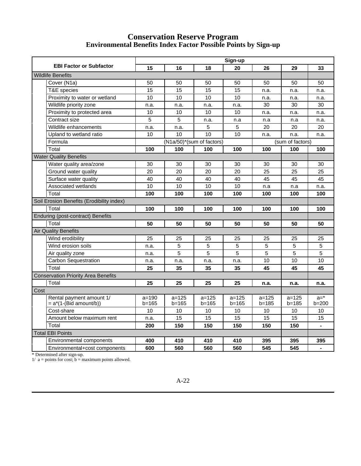#### **Conservation Reserve Program Environmental Benefits Index Factor Possible Points by Sign-up**

|                                                       |                        |                           |                        | Sign-up                |                    |                        |                          |
|-------------------------------------------------------|------------------------|---------------------------|------------------------|------------------------|--------------------|------------------------|--------------------------|
| <b>EBI Factor or Subfactor</b>                        | 15                     | 16                        | 18                     | 20                     | 26                 | 29                     | 33                       |
| <b>Wildlife Benefits</b>                              |                        |                           |                        |                        |                    |                        |                          |
| Cover (N1a)                                           | 50                     | 50                        | 50                     | 50                     | 50                 | 50                     | 50                       |
| T&E species                                           | 15                     | 15                        | 15                     | 15                     | n.a.               | n.a.                   | n.a.                     |
| Proximity to water or wetland                         | 10                     | 10                        | 10                     | 10                     | n.a.               | n.a.                   | n.a.                     |
| Wildlife priority zone                                | n.a.                   | n.a.                      | n.a.                   | n.a.                   | 30                 | 30                     | 30                       |
| Proximity to protected area                           | 10                     | 10                        | 10                     | 10                     | n.a.               | n.a.                   | n.a.                     |
| Contract size                                         | 5                      | 5                         | n.a.                   | n.a                    | n.a                | n.a                    | n.a.                     |
| Wildlife enhancements                                 | n.a.                   | n.a.                      | 5                      | 5                      | 20                 | 20                     | 20                       |
| Upland to wetland ratio                               | 10                     | 10                        | 10                     | 10                     | n.a.               | n.a.                   | n.a.                     |
| Formula                                               |                        | (N1a/50)*(sum of factors) |                        |                        |                    | (sum of factors)       |                          |
| Total                                                 | 100                    | 100                       | 100                    | 100                    | 100                | 100                    | 100                      |
| <b>Water Quality Benefits</b>                         |                        |                           |                        |                        |                    |                        |                          |
| Water quality area/zone                               | 30                     | 30                        | 30                     | 30                     | 30                 | 30                     | 30                       |
| Ground water quality                                  | 20                     | 20                        | 20                     | 20                     | 25                 | 25                     | 25                       |
| Surface water quality                                 | 40                     | 40                        | 40                     | 40                     | 45                 | 45                     | 45                       |
| Associated wetlands                                   | 10                     | 10                        | 10                     | 10                     | n.a                | n.a                    | n.a.                     |
| Total                                                 | 100                    | 100                       | 100                    | 100                    | 100                | 100                    | 100                      |
| Soil Erosion Benefits (Erodibility index)             |                        |                           |                        |                        |                    |                        |                          |
| Total                                                 | 100                    | 100                       | 100                    | 100                    | 100                | 100                    | 100                      |
| Enduring (post-contract) Benefits                     |                        |                           |                        |                        |                    |                        |                          |
| Total                                                 | 50                     | 50                        | 50                     | 50                     | 50                 | 50                     | 50                       |
| <b>Air Quality Benefits</b>                           |                        |                           |                        |                        |                    |                        |                          |
| Wind erodibility                                      | 25                     | 25                        | 25                     | 25                     | 25                 | 25                     | 25                       |
| Wind erosion soils                                    | n.a.                   | 5                         | 5                      | 5                      | 5                  | 5                      | 5                        |
| Air quality zone                                      | n.a.                   | $\overline{5}$            | $\overline{5}$         | $\overline{5}$         | $\overline{5}$     | $\overline{5}$         | $\overline{5}$           |
| Carbon Sequestration                                  | n.a.                   | n.a.                      | n.a.                   | n.a.                   | 10                 | 10                     | 10                       |
| Total                                                 | 25                     | 35                        | 35                     | 35                     | 45                 | 45                     | 45                       |
| <b>Conservation Priority Area Benefits</b>            |                        |                           |                        |                        |                    |                        |                          |
| Total                                                 | 25                     | 25                        | 25                     | 25                     | n.a.               | n.a.                   | n.a.                     |
| Cost                                                  |                        |                           |                        |                        |                    |                        |                          |
| Rental payment amount 1/<br>$= a^*(1-(Bid amount/b))$ | $a = 190$<br>$b = 165$ | $a = 125$<br>$b = 165$    | $a = 125$<br>$b = 165$ | $a = 125$<br>$b = 165$ | $a = 125$<br>b=185 | $a = 125$<br>$b = 185$ | $a = *$<br>$b = 200$     |
| Cost-share                                            | 10                     | 10                        | 10                     | 10                     | 10                 | 10                     | 10                       |
| Amount below maximum rent                             | n.a.                   | 15                        | 15                     | 15                     | 15                 | 15                     | 15                       |
| Total                                                 | 200                    | 150                       | 150                    | 150                    | 150                | 150                    | $\overline{\phantom{a}}$ |
| <b>Total EBI Points</b>                               |                        |                           |                        |                        |                    |                        |                          |
| Environmental components                              | 400                    | 410                       | 410                    | 410                    | 395                | 395                    | 395                      |
| Environmental+cost components                         | 600                    | 560                       | 560                    | 560                    | 545                | 545                    | ÷,                       |

\* Determined after sign-up.

 $1/ a =$  points for cost;  $b =$  maximum points allowed.